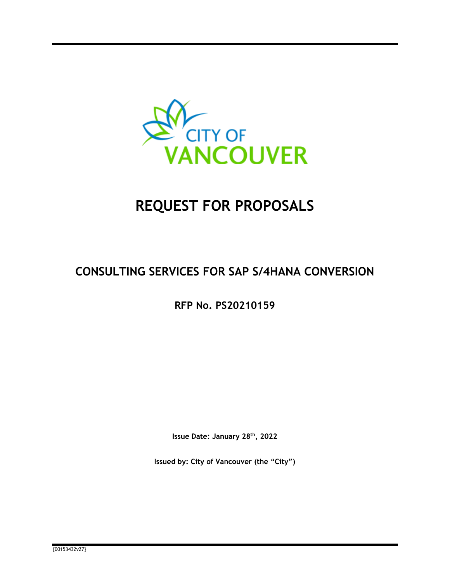

# **REQUEST FOR PROPOSALS**

# **CONSULTING SERVICES FOR SAP S/4HANA CONVERSION**

**RFP No. PS20210159** 

**Issue Date: January 28th, 2022** 

**Issued by: City of Vancouver (the "City")**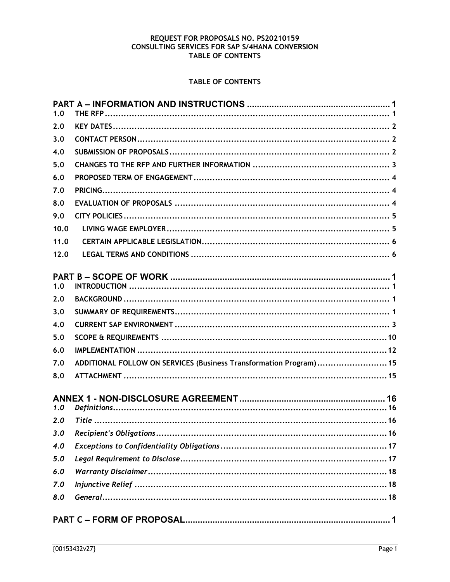## REQUEST FOR PROPOSALS NO. PS20210159<br>CONSULTING SERVICES FOR SAP S/4HANA CONVERSION TABLE OF CONTENTS

## **TABLE OF CONTENTS**

| 1.0  |                                                                    |  |
|------|--------------------------------------------------------------------|--|
| 2.0  |                                                                    |  |
| 3.0  |                                                                    |  |
| 4.0  |                                                                    |  |
| 5.0  |                                                                    |  |
| 6.0  |                                                                    |  |
| 7.0  |                                                                    |  |
| 8.0  |                                                                    |  |
| 9.0  |                                                                    |  |
| 10.0 |                                                                    |  |
| 11.0 |                                                                    |  |
| 12.0 |                                                                    |  |
| 1.0  |                                                                    |  |
| 2.0  |                                                                    |  |
| 3.0  |                                                                    |  |
| 4.0  |                                                                    |  |
| 5.0  |                                                                    |  |
| 6.0  |                                                                    |  |
| 7.0  | ADDITIONAL FOLLOW ON SERVICES (Business Transformation Program) 15 |  |
| 8.0  |                                                                    |  |
| 1.0  |                                                                    |  |
| 2.0  |                                                                    |  |
| 3.0  |                                                                    |  |
| 4.0  |                                                                    |  |
| 5.0  |                                                                    |  |
| 6.0  |                                                                    |  |
| 7.0  |                                                                    |  |
| 8.0  |                                                                    |  |
|      |                                                                    |  |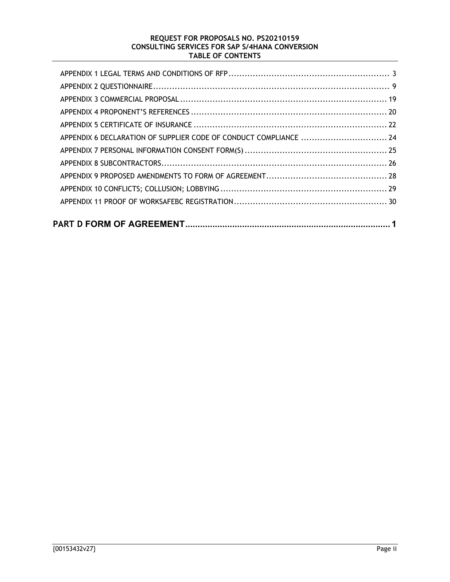## **REQUEST FOR PROPOSALS NO. PS20210159 CONSULTING SERVICES FOR SAP S/4HANA CONVERSION TABLE OF CONTENTS**

| APPENDIX 6 DECLARATION OF SUPPLIER CODE OF CONDUCT COMPLIANCE  24 |  |
|-------------------------------------------------------------------|--|
|                                                                   |  |
|                                                                   |  |
|                                                                   |  |
|                                                                   |  |
|                                                                   |  |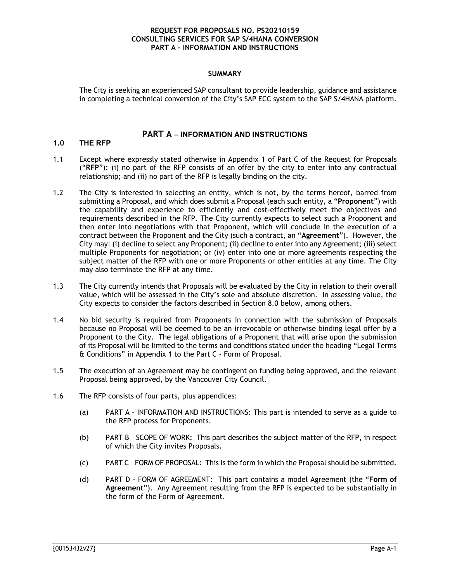## **SUMMARY**

The City is seeking an experienced SAP consultant to provide leadership, guidance and assistance in completing a technical conversion of the City's SAP ECC system to the SAP S/4HANA platform.

## **PART A – INFORMATION AND INSTRUCTIONS**

## **1.0 THE RFP**

- 1.1 Except where expressly stated otherwise in Appendix 1 of Part C of the Request for Proposals ("**RFP**"): (i) no part of the RFP consists of an offer by the city to enter into any contractual relationship; and (ii) no part of the RFP is legally binding on the city.
- 1.2 The City is interested in selecting an entity, which is not, by the terms hereof, barred from submitting a Proposal, and which does submit a Proposal (each such entity, a "**Proponent**") with the capability and experience to efficiently and cost-effectively meet the objectives and requirements described in the RFP. The City currently expects to select such a Proponent and then enter into negotiations with that Proponent, which will conclude in the execution of a contract between the Proponent and the City (such a contract, an "**Agreement**"). However, the City may: (i) decline to select any Proponent; (ii) decline to enter into any Agreement; (iii) select multiple Proponents for negotiation; or (iv) enter into one or more agreements respecting the subject matter of the RFP with one or more Proponents or other entities at any time. The City may also terminate the RFP at any time.
- 1.3 The City currently intends that Proposals will be evaluated by the City in relation to their overall value, which will be assessed in the City's sole and absolute discretion. In assessing value, the City expects to consider the factors described in Section 8.0 below, among others.
- 1.4 No bid security is required from Proponents in connection with the submission of Proposals because no Proposal will be deemed to be an irrevocable or otherwise binding legal offer by a Proponent to the City. The legal obligations of a Proponent that will arise upon the submission of its Proposal will be limited to the terms and conditions stated under the heading "Legal Terms & Conditions" in Appendix 1 to the Part C - Form of Proposal.
- 1.5 The execution of an Agreement may be contingent on funding being approved, and the relevant Proposal being approved, by the Vancouver City Council.
- 1.6 The RFP consists of four parts, plus appendices:
	- (a) PART A INFORMATION AND INSTRUCTIONS: This part is intended to serve as a guide to the RFP process for Proponents.
	- (b) PART B SCOPE OF WORK: This part describes the subject matter of the RFP, in respect of which the City invites Proposals.
	- (c) PART C FORM OF PROPOSAL: This is the form in which the Proposal should be submitted.
	- (d) PART D FORM OF AGREEMENT: This part contains a model Agreement (the "**Form of Agreement**"). Any Agreement resulting from the RFP is expected to be substantially in the form of the Form of Agreement.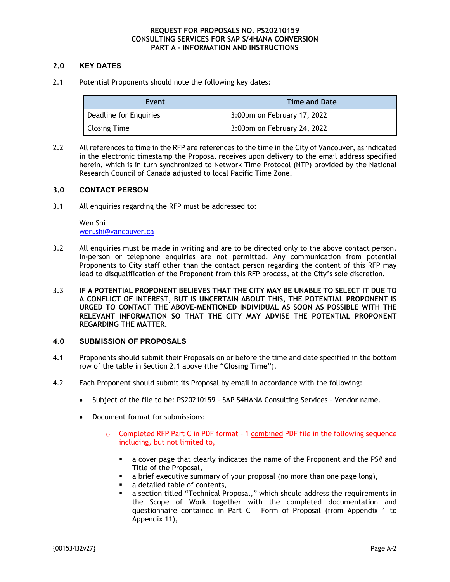## **2.0 KEY DATES**

2.1 Potential Proponents should note the following key dates:

| Event                  | <b>Time and Date</b>        |  |  |
|------------------------|-----------------------------|--|--|
| Deadline for Enquiries | 3:00pm on February 17, 2022 |  |  |
| <b>Closing Time</b>    | 3:00pm on February 24, 2022 |  |  |

2.2 All references to time in the RFP are references to the time in the City of Vancouver, as indicated in the electronic timestamp the Proposal receives upon delivery to the email address specified herein, which is in turn synchronized to Network Time Protocol (NTP) provided by the National Research Council of Canada adjusted to local Pacific Time Zone.

## **3.0 CONTACT PERSON**

3.1 All enquiries regarding the RFP must be addressed to:

Wen Shi wen.shi@vancouver.ca

- 3.2 All enquiries must be made in writing and are to be directed only to the above contact person. In-person or telephone enquiries are not permitted. Any communication from potential Proponents to City staff other than the contact person regarding the content of this RFP may lead to disqualification of the Proponent from this RFP process, at the City's sole discretion.
- 3.3 **IF A POTENTIAL PROPONENT BELIEVES THAT THE CITY MAY BE UNABLE TO SELECT IT DUE TO A CONFLICT OF INTEREST, BUT IS UNCERTAIN ABOUT THIS, THE POTENTIAL PROPONENT IS URGED TO CONTACT THE ABOVE-MENTIONED INDIVIDUAL AS SOON AS POSSIBLE WITH THE RELEVANT INFORMATION SO THAT THE CITY MAY ADVISE THE POTENTIAL PROPONENT REGARDING THE MATTER.**

## **4.0 SUBMISSION OF PROPOSALS**

- 4.1 Proponents should submit their Proposals on or before the time and date specified in the bottom row of the table in Section 2.1 above (the "**Closing Time**").
- 4.2 Each Proponent should submit its Proposal by email in accordance with the following:
	- Subject of the file to be: PS20210159 SAP S4HANA Consulting Services Vendor name.
	- Document format for submissions:
		- $\circ$  Completed RFP Part C in PDF format 1 combined PDF file in the following sequence including, but not limited to,
			- a cover page that clearly indicates the name of the Proponent and the PS# and Title of the Proposal,
			- a brief executive summary of your proposal (no more than one page long),
			- a detailed table of contents,
			- a section titled "Technical Proposal," which should address the requirements in the Scope of Work together with the completed documentation and questionnaire contained in Part C – Form of Proposal (from Appendix 1 to Appendix 11),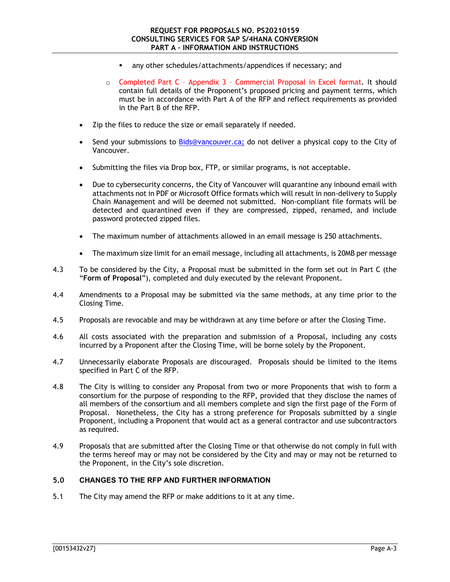- any other schedules/attachments/appendices if necessary; and
- o Completed Part C Appendix 3 Commercial Proposal in Excel format. It should contain full details of the Proponent's proposed pricing and payment terms, which must be in accordance with Part A of the RFP and reflect requirements as provided in the Part B of the RFP.
- Zip the files to reduce the size or email separately if needed.
- Send your submissions to Bids@vancouver.ca; do not deliver a physical copy to the City of Vancouver.
- Submitting the files via Drop box, FTP, or similar programs, is not acceptable.
- Due to cybersecurity concerns, the City of Vancouver will quarantine any inbound email with attachments not in PDF or Microsoft Office formats which will result in non-delivery to Supply Chain Management and will be deemed not submitted. Non-compliant file formats will be detected and quarantined even if they are compressed, zipped, renamed, and include password protected zipped files.
- The maximum number of attachments allowed in an email message is 250 attachments.
- The maximum size limit for an email message, including all attachments, is 20MB per message
- 4.3 To be considered by the City, a Proposal must be submitted in the form set out in Part C (the "**Form of Proposal**"), completed and duly executed by the relevant Proponent.
- 4.4 Amendments to a Proposal may be submitted via the same methods, at any time prior to the Closing Time.
- 4.5 Proposals are revocable and may be withdrawn at any time before or after the Closing Time.
- 4.6 All costs associated with the preparation and submission of a Proposal, including any costs incurred by a Proponent after the Closing Time, will be borne solely by the Proponent.
- 4.7 Unnecessarily elaborate Proposals are discouraged. Proposals should be limited to the items specified in Part C of the RFP.
- 4.8 The City is willing to consider any Proposal from two or more Proponents that wish to form a consortium for the purpose of responding to the RFP, provided that they disclose the names of all members of the consortium and all members complete and sign the first page of the Form of Proposal. Nonetheless, the City has a strong preference for Proposals submitted by a single Proponent, including a Proponent that would act as a general contractor and use subcontractors as required.
- 4.9 Proposals that are submitted after the Closing Time or that otherwise do not comply in full with the terms hereof may or may not be considered by the City and may or may not be returned to the Proponent, in the City's sole discretion.

## **5.0 CHANGES TO THE RFP AND FURTHER INFORMATION**

5.1 The City may amend the RFP or make additions to it at any time.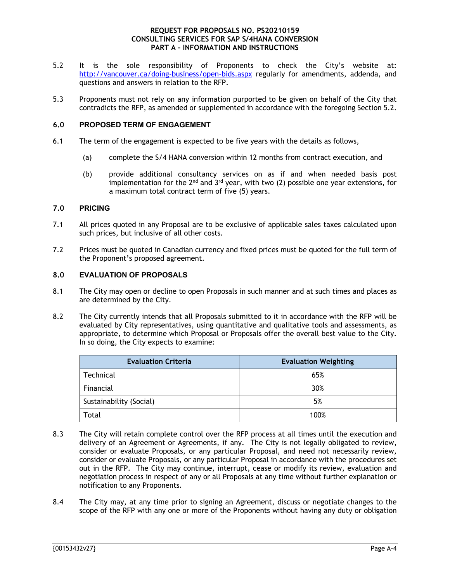- 5.2 It is the sole responsibility of Proponents to check the City's website at: http://vancouver.ca/doing-business/open-bids.aspx regularly for amendments, addenda, and questions and answers in relation to the RFP.
- 5.3 Proponents must not rely on any information purported to be given on behalf of the City that contradicts the RFP, as amended or supplemented in accordance with the foregoing Section 5.2.

## **6.0 PROPOSED TERM OF ENGAGEMENT**

- 6.1 The term of the engagement is expected to be five years with the details as follows,
	- (a) complete the S/4 HANA conversion within 12 months from contract execution, and
	- (b) provide additional consultancy services on as if and when needed basis post implementation for the  $2^{nd}$  and  $3^{rd}$  year, with two (2) possible one year extensions, for a maximum total contract term of five (5) years.

## **7.0 PRICING**

- 7.1 All prices quoted in any Proposal are to be exclusive of applicable sales taxes calculated upon such prices, but inclusive of all other costs.
- 7.2 Prices must be quoted in Canadian currency and fixed prices must be quoted for the full term of the Proponent's proposed agreement.

## **8.0 EVALUATION OF PROPOSALS**

- 8.1 The City may open or decline to open Proposals in such manner and at such times and places as are determined by the City.
- 8.2 The City currently intends that all Proposals submitted to it in accordance with the RFP will be evaluated by City representatives, using quantitative and qualitative tools and assessments, as appropriate, to determine which Proposal or Proposals offer the overall best value to the City. In so doing, the City expects to examine:

| <b>Evaluation Criteria</b> | <b>Evaluation Weighting</b> |
|----------------------------|-----------------------------|
| Technical                  | 65%                         |
| Financial                  | 30%                         |
| Sustainability (Social)    | 5%                          |
| Total                      | 100%                        |

- 8.3 The City will retain complete control over the RFP process at all times until the execution and delivery of an Agreement or Agreements, if any. The City is not legally obligated to review, consider or evaluate Proposals, or any particular Proposal, and need not necessarily review, consider or evaluate Proposals, or any particular Proposal in accordance with the procedures set out in the RFP. The City may continue, interrupt, cease or modify its review, evaluation and negotiation process in respect of any or all Proposals at any time without further explanation or notification to any Proponents.
- 8.4 The City may, at any time prior to signing an Agreement, discuss or negotiate changes to the scope of the RFP with any one or more of the Proponents without having any duty or obligation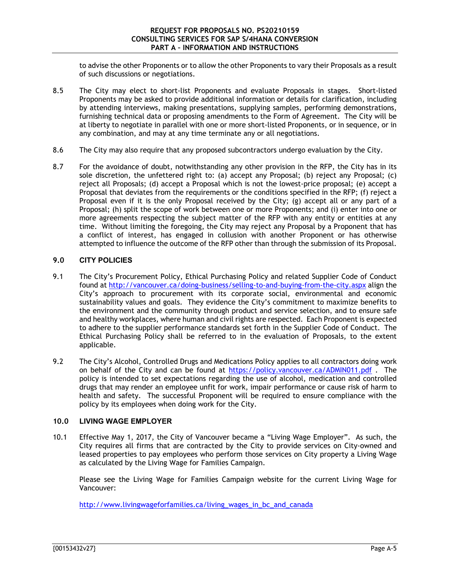to advise the other Proponents or to allow the other Proponents to vary their Proposals as a result of such discussions or negotiations.

- 8.5 The City may elect to short-list Proponents and evaluate Proposals in stages. Short-listed Proponents may be asked to provide additional information or details for clarification, including by attending interviews, making presentations, supplying samples, performing demonstrations, furnishing technical data or proposing amendments to the Form of Agreement. The City will be at liberty to negotiate in parallel with one or more short-listed Proponents, or in sequence, or in any combination, and may at any time terminate any or all negotiations.
- 8.6 The City may also require that any proposed subcontractors undergo evaluation by the City.
- 8.7 For the avoidance of doubt, notwithstanding any other provision in the RFP, the City has in its sole discretion, the unfettered right to: (a) accept any Proposal; (b) reject any Proposal; (c) reject all Proposals; (d) accept a Proposal which is not the lowest-price proposal; (e) accept a Proposal that deviates from the requirements or the conditions specified in the RFP; (f) reject a Proposal even if it is the only Proposal received by the City; (g) accept all or any part of a Proposal; (h) split the scope of work between one or more Proponents; and (i) enter into one or more agreements respecting the subject matter of the RFP with any entity or entities at any time. Without limiting the foregoing, the City may reject any Proposal by a Proponent that has a conflict of interest, has engaged in collusion with another Proponent or has otherwise attempted to influence the outcome of the RFP other than through the submission of its Proposal.

## **9.0 CITY POLICIES**

- 9.1 The City's Procurement Policy, Ethical Purchasing Policy and related Supplier Code of Conduct found at http://vancouver.ca/doing-business/selling-to-and-buying-from-the-city.aspx align the City's approach to procurement with its corporate social, environmental and economic sustainability values and goals. They evidence the City's commitment to maximize benefits to the environment and the community through product and service selection, and to ensure safe and healthy workplaces, where human and civil rights are respected. Each Proponent is expected to adhere to the supplier performance standards set forth in the Supplier Code of Conduct. The Ethical Purchasing Policy shall be referred to in the evaluation of Proposals, to the extent applicable.
- 9.2 The City's Alcohol, Controlled Drugs and Medications Policy applies to all contractors doing work on behalf of the City and can be found at https://policy.vancouver.ca/ADMIN011.pdf . The policy is intended to set expectations regarding the use of alcohol, medication and controlled drugs that may render an employee unfit for work, impair performance or cause risk of harm to health and safety. The successful Proponent will be required to ensure compliance with the policy by its employees when doing work for the City.

## **10.0 LIVING WAGE EMPLOYER**

10.1 Effective May 1, 2017, the City of Vancouver became a "Living Wage Employer". As such, the City requires all firms that are contracted by the City to provide services on City-owned and leased properties to pay employees who perform those services on City property a Living Wage as calculated by the Living Wage for Families Campaign.

Please see the Living Wage for Families Campaign website for the current Living Wage for Vancouver:

http://www.livingwageforfamilies.ca/living\_wages\_in\_bc\_and\_canada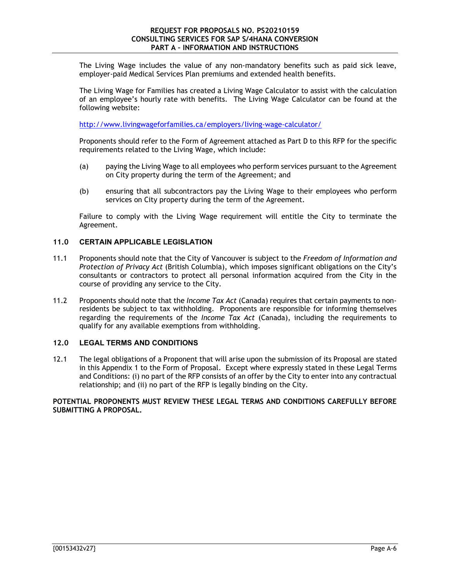The Living Wage includes the value of any non-mandatory benefits such as paid sick leave, employer-paid Medical Services Plan premiums and extended health benefits.

The Living Wage for Families has created a Living Wage Calculator to assist with the calculation of an employee's hourly rate with benefits. The Living Wage Calculator can be found at the following website:

http://www.livingwageforfamilies.ca/employers/living-wage-calculator/

Proponents should refer to the Form of Agreement attached as Part D to this RFP for the specific requirements related to the Living Wage, which include:

- (a) paying the Living Wage to all employees who perform services pursuant to the Agreement on City property during the term of the Agreement; and
- (b) ensuring that all subcontractors pay the Living Wage to their employees who perform services on City property during the term of the Agreement.

Failure to comply with the Living Wage requirement will entitle the City to terminate the Agreement.

## **11.0 CERTAIN APPLICABLE LEGISLATION**

- 11.1 Proponents should note that the City of Vancouver is subject to the *Freedom of Information and Protection of Privacy Act* (British Columbia), which imposes significant obligations on the City's consultants or contractors to protect all personal information acquired from the City in the course of providing any service to the City.
- 11.2 Proponents should note that the *Income Tax Act* (Canada) requires that certain payments to nonresidents be subject to tax withholding. Proponents are responsible for informing themselves regarding the requirements of the *Income Tax Act* (Canada), including the requirements to qualify for any available exemptions from withholding.

## **12.0 LEGAL TERMS AND CONDITIONS**

12.1 The legal obligations of a Proponent that will arise upon the submission of its Proposal are stated in this Appendix 1 to the Form of Proposal. Except where expressly stated in these Legal Terms and Conditions: (i) no part of the RFP consists of an offer by the City to enter into any contractual relationship; and (ii) no part of the RFP is legally binding on the City.

## **POTENTIAL PROPONENTS MUST REVIEW THESE LEGAL TERMS AND CONDITIONS CAREFULLY BEFORE SUBMITTING A PROPOSAL.**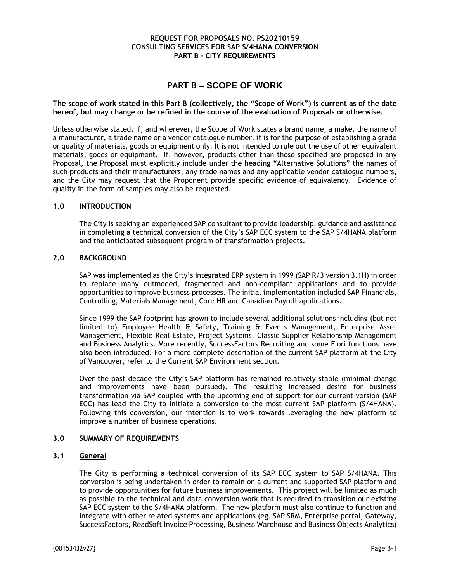## **PART B – SCOPE OF WORK**

## **The scope of work stated in this Part B (collectively, the "Scope of Work") is current as of the date hereof, but may change or be refined in the course of the evaluation of Proposals or otherwise.**

Unless otherwise stated, if, and wherever, the Scope of Work states a brand name, a make, the name of a manufacturer, a trade name or a vendor catalogue number, it is for the purpose of establishing a grade or quality of materials, goods or equipment only. It is not intended to rule out the use of other equivalent materials, goods or equipment. If, however, products other than those specified are proposed in any Proposal, the Proposal must explicitly include under the heading "Alternative Solutions" the names of such products and their manufacturers, any trade names and any applicable vendor catalogue numbers, and the City may request that the Proponent provide specific evidence of equivalency. Evidence of quality in the form of samples may also be requested.

## **1.0 INTRODUCTION**

The City is seeking an experienced SAP consultant to provide leadership, guidance and assistance in completing a technical conversion of the City's SAP ECC system to the SAP S/4HANA platform and the anticipated subsequent program of transformation projects.

## **2.0 BACKGROUND**

SAP was implemented as the City's integrated ERP system in 1999 (SAP R/3 version 3.1H) in order to replace many outmoded, fragmented and non-compliant applications and to provide opportunities to improve business processes. The initial implementation included SAP Financials, Controlling, Materials Management, Core HR and Canadian Payroll applications.

Since 1999 the SAP footprint has grown to include several additional solutions including (but not limited to) Employee Health & Safety, Training & Events Management, Enterprise Asset Management, Flexible Real Estate, Project Systems, Classic Supplier Relationship Management and Business Analytics. More recently, SuccessFactors Recruiting and some Fiori functions have also been introduced. For a more complete description of the current SAP platform at the City of Vancouver, refer to the Current SAP Environment section.

Over the past decade the City's SAP platform has remained relatively stable (minimal change and improvements have been pursued). The resulting increased desire for business transformation via SAP coupled with the upcoming end of support for our current version (SAP ECC) has lead the City to initiate a conversion to the most current SAP platform (S/4HANA). Following this conversion, our intention is to work towards leveraging the new platform to improve a number of business operations.

## **3.0 SUMMARY OF REQUIREMENTS**

## **3.1 General**

The City is performing a technical conversion of its SAP ECC system to SAP S/4HANA. This conversion is being undertaken in order to remain on a current and supported SAP platform and to provide opportunities for future business improvements. This project will be limited as much as possible to the technical and data conversion work that is required to transition our existing SAP ECC system to the S/4HANA platform. The new platform must also continue to function and integrate with other related systems and applications (eg. SAP SRM, Enterprise portal, Gateway, SuccessFactors, ReadSoft Invoice Processing, Business Warehouse and Business Objects Analytics)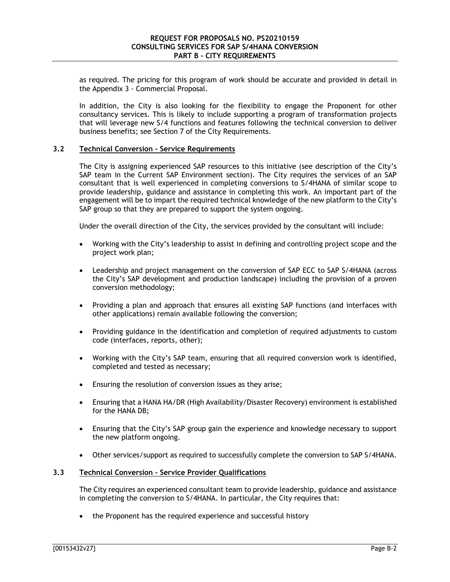as required. The pricing for this program of work should be accurate and provided in detail in the Appendix 3 - Commercial Proposal.

In addition, the City is also looking for the flexibility to engage the Proponent for other consultancy services. This is likely to include supporting a program of transformation projects that will leverage new S/4 functions and features following the technical conversion to deliver business benefits; see Section 7 of the City Requirements.

## **3.2 Technical Conversion - Service Requirements**

The City is assigning experienced SAP resources to this initiative (see description of the City's SAP team in the Current SAP Environment section). The City requires the services of an SAP consultant that is well experienced in completing conversions to S/4HANA of similar scope to provide leadership, guidance and assistance in completing this work. An important part of the engagement will be to impart the required technical knowledge of the new platform to the City's SAP group so that they are prepared to support the system ongoing.

Under the overall direction of the City, the services provided by the consultant will include:

- Working with the City's leadership to assist in defining and controlling project scope and the project work plan;
- Leadership and project management on the conversion of SAP ECC to SAP S/4HANA (across the City's SAP development and production landscape) including the provision of a proven conversion methodology;
- Providing a plan and approach that ensures all existing SAP functions (and interfaces with other applications) remain available following the conversion;
- Providing guidance in the identification and completion of required adjustments to custom code (interfaces, reports, other);
- Working with the City's SAP team, ensuring that all required conversion work is identified, completed and tested as necessary;
- Ensuring the resolution of conversion issues as they arise;
- Ensuring that a HANA HA/DR (High Availability/Disaster Recovery) environment is established for the HANA DB;
- Ensuring that the City's SAP group gain the experience and knowledge necessary to support the new platform ongoing.
- Other services/support as required to successfully complete the conversion to SAP S/4HANA.

## **3.3 Technical Conversion - Service Provider Qualifications**

The City requires an experienced consultant team to provide leadership, guidance and assistance in completing the conversion to S/4HANA. In particular, the City requires that:

• the Proponent has the required experience and successful history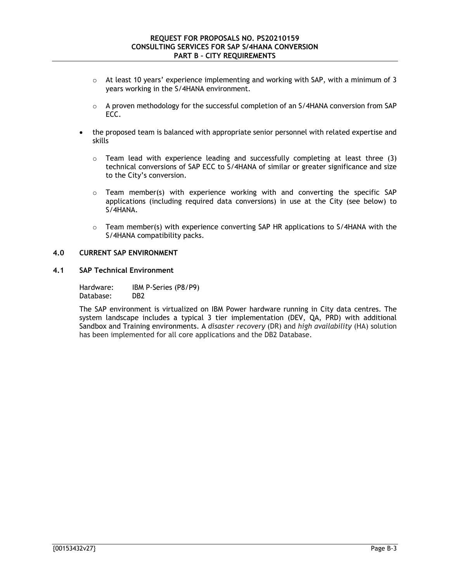- $\circ$  At least 10 years' experience implementing and working with SAP, with a minimum of 3 years working in the S/4HANA environment.
- $\circ$  A proven methodology for the successful completion of an S/4HANA conversion from SAP ECC.
- the proposed team is balanced with appropriate senior personnel with related expertise and skills
	- $\circ$  Team lead with experience leading and successfully completing at least three (3) technical conversions of SAP ECC to S/4HANA of similar or greater significance and size to the City's conversion.
	- $\circ$  Team member(s) with experience working with and converting the specific SAP applications (including required data conversions) in use at the City (see below) to S/4HANA.
	- $\circ$  Team member(s) with experience converting SAP HR applications to S/4HANA with the S/4HANA compatibility packs.

## **4.0 CURRENT SAP ENVIRONMENT**

## **4.1 SAP Technical Environment**

Hardware: IBM P-Series (P8/P9) Database: DB2

The SAP environment is virtualized on IBM Power hardware running in City data centres. The system landscape includes a typical 3 tier implementation (DEV, QA, PRD) with additional Sandbox and Training environments. A *disaster recovery* (DR) and *high availability* (HA) solution has been implemented for all core applications and the DB2 Database.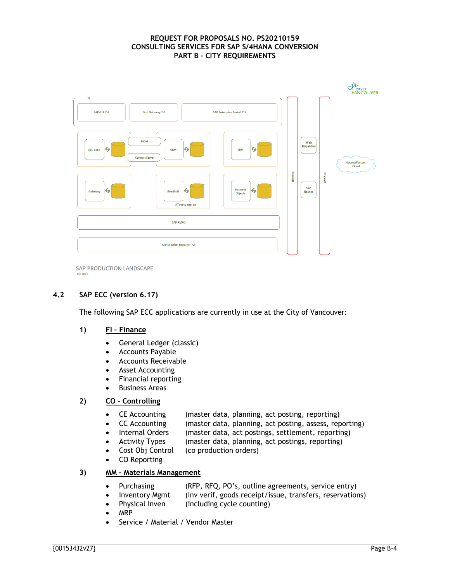## **REQUEST FOR PROPOSALS NO. PS20210159 CONSULTING SERVICES FOR SAP S/4HANA CONVERSION PART B – CITY REQUIREMENTS**



SAP PRODUCTION LANDSCAPE **Jan 2021** 

## **4.2 SAP ECC (version 6.17)**

The following SAP ECC applications are currently in use at the City of Vancouver:

- **1) FI Finance** 
	- General Ledger (classic)
	- Accounts Payable
	- Accounts Receivable
	- Asset Accounting
	- Financial reporting
	- Business Areas

## **2) CO – Controlling**

- CE Accounting (master data, planning, act posting, reporting)
- CC Accounting (master data, planning, act posting, assess, reporting)
- Internal Orders (master data, act postings, settlement, reporting)
	- Activity Types (master data, planning, act postings, reporting)
- Cost Obj Control (co production orders)
- CO Reporting

## **3) MM – Materials Management**

- Purchasing (RFP, RFQ, PO's, outline agreements, service entry)
	- Inventory Mgmt (inv verif, goods receipt/issue, transfers, reservations)
- Physical Inven (including cycle counting)
- MRP
- Service / Material / Vendor Master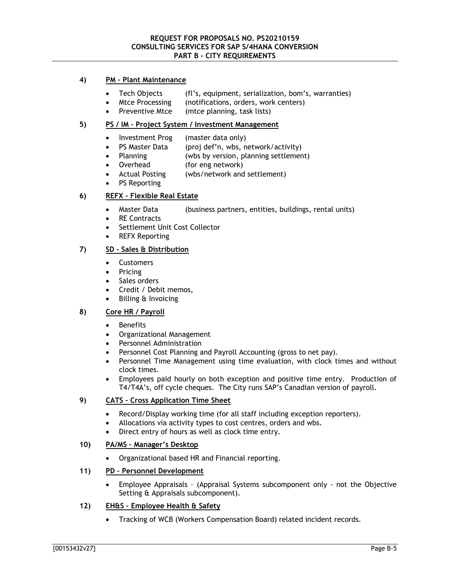## **4) PM – Plant Maintenance**

- Tech Objects (fl's, equipment, serialization, bom's, warranties)
- Mtce Processing (notifications, orders, work centers)
- Preventive Mtce (mtce planning, task lists)

## **5) PS / IM – Project System / Investment Management**

- Investment Prog (master data only)
- PS Master Data (proj def'n, wbs, network/activity)
- Planning (wbs by version, planning settlement)
- Overhead (for eng network)
- Actual Posting (wbs/network and settlement)
- PS Reporting

## **6) REFX – Flexible Real Estate**

- Master Data (business partners, entities, buildings, rental units)
- RE Contracts
- Settlement Unit Cost Collector
- REFX Reporting

## **7) SD – Sales & Distribution**

- Customers
- Pricing
- Sales orders
- Credit / Debit memos,
- Billing & Invoicing

## **8) Core HR / Payroll**

- Benefits
- Organizational Management
- Personnel Administration
- Personnel Cost Planning and Payroll Accounting (gross to net pay).
- Personnel Time Management using time evaluation, with clock times and without clock times.
- Employees paid hourly on both exception and positive time entry. Production of T4/T4A's, off cycle cheques. The City runs SAP's Canadian version of payroll.

## **9) CATS – Cross Application Time Sheet**

- Record/Display working time (for all staff including exception reporters).
- Allocations via activity types to cost centres, orders and wbs.
- Direct entry of hours as well as clock time entry.

## **10) PA/MS – Manager's Desktop**

- Organizational based HR and Financial reporting.
- **11) PD Personnel Development** 
	- Employee Appraisals (Appraisal Systems subcomponent only not the Objective Setting & Appraisals subcomponent).

## **12) EH&S – Employee Health & Safety**

Tracking of WCB (Workers Compensation Board) related incident records.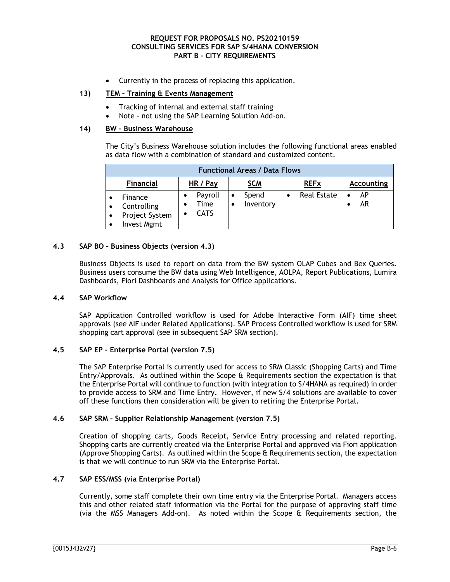Currently in the process of replacing this application.

## **13) TEM – Training & Events Management**

- Tracking of internal and external staff training
- Note not using the SAP Learning Solution Add-on.

## **14) BW – Business Warehouse**

The City's Business Warehouse solution includes the following functional areas enabled as data flow with a combination of standard and customized content.

| <b>Functional Areas / Data Flows</b>                    |                                |                    |                        |                 |  |  |
|---------------------------------------------------------|--------------------------------|--------------------|------------------------|-----------------|--|--|
| <b>Financial</b>                                        | HR / Pay                       | <b>SCM</b>         | <b>REF<sub>x</sub></b> | Accounting      |  |  |
| Finance<br>Controlling<br>Project System<br>Invest Mgmt | Payroll<br>Time<br><b>CATS</b> | Spend<br>Inventory | <b>Real Estate</b>     | AP<br><b>AR</b> |  |  |

## **4.3 SAP BO – Business Objects (version 4.3)**

Business Objects is used to report on data from the BW system OLAP Cubes and Bex Queries. Business users consume the BW data using Web Intelligence, AOLPA, Report Publications, Lumira Dashboards, Fiori Dashboards and Analysis for Office applications.

## **4.4 SAP Workflow**

SAP Application Controlled workflow is used for Adobe Interactive Form (AIF) time sheet approvals (see AIF under Related Applications). SAP Process Controlled workflow is used for SRM shopping cart approval (see in subsequent SAP SRM section).

## **4.5 SAP EP - Enterprise Portal (version 7.5)**

The SAP Enterprise Portal is currently used for access to SRM Classic (Shopping Carts) and Time Entry/Approvals. As outlined within the Scope & Requirements section the expectation is that the Enterprise Portal will continue to function (with integration to S/4HANA as required) in order to provide access to SRM and Time Entry. However, if new S/4 solutions are available to cover off these functions then consideration will be given to retiring the Enterprise Portal.

## **4.6 SAP SRM – Supplier Relationship Management (version 7.5)**

Creation of shopping carts, Goods Receipt, Service Entry processing and related reporting. Shopping carts are currently created via the Enterprise Portal and approved via Fiori application (Approve Shopping Carts). As outlined within the Scope & Requirements section, the expectation is that we will continue to run SRM via the Enterprise Portal.

## **4.7 SAP ESS/MSS (via Enterprise Portal)**

Currently, some staff complete their own time entry via the Enterprise Portal. Managers access this and other related staff information via the Portal for the purpose of approving staff time (via the MSS Managers Add-on). As noted within the Scope & Requirements section, the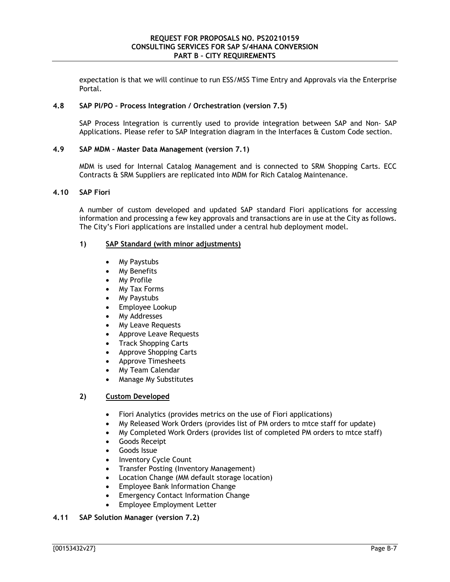expectation is that we will continue to run ESS/MSS Time Entry and Approvals via the Enterprise Portal.

## **4.8 SAP PI/PO – Process Integration / Orchestration (version 7.5)**

SAP Process Integration is currently used to provide integration between SAP and Non- SAP Applications. Please refer to SAP Integration diagram in the Interfaces & Custom Code section.

## **4.9 SAP MDM – Master Data Management (version 7.1)**

MDM is used for Internal Catalog Management and is connected to SRM Shopping Carts. ECC Contracts & SRM Suppliers are replicated into MDM for Rich Catalog Maintenance.

## **4.10 SAP Fiori**

A number of custom developed and updated SAP standard Fiori applications for accessing information and processing a few key approvals and transactions are in use at the City as follows. The City's Fiori applications are installed under a central hub deployment model.

## **1) SAP Standard (with minor adjustments)**

- My Paystubs
- My Benefits
- My Profile
- My Tax Forms
- My Paystubs
- Employee Lookup
- My Addresses
- My Leave Requests
- Approve Leave Requests
- Track Shopping Carts
- Approve Shopping Carts
- Approve Timesheets
- My Team Calendar
- Manage My Substitutes

## **2) Custom Developed**

- Fiori Analytics (provides metrics on the use of Fiori applications)
- My Released Work Orders (provides list of PM orders to mtce staff for update)
- My Completed Work Orders (provides list of completed PM orders to mtce staff)
- Goods Receipt
- Goods Issue
- Inventory Cycle Count
- Transfer Posting (Inventory Management)
- Location Change (MM default storage location)
- Employee Bank Information Change
- Emergency Contact Information Change
- Employee Employment Letter

## **4.11 SAP Solution Manager (version 7.2)**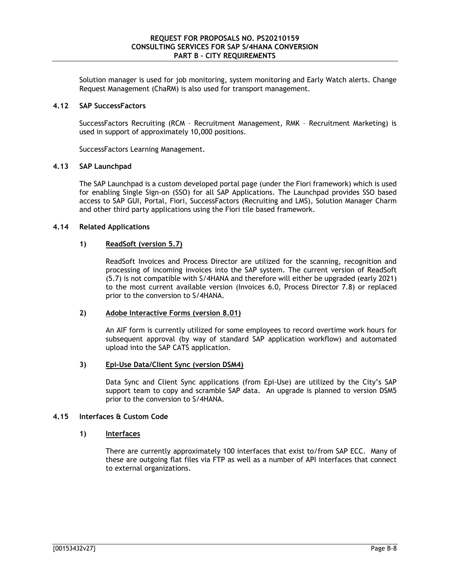Solution manager is used for job monitoring, system monitoring and Early Watch alerts. Change Request Management (ChaRM) is also used for transport management.

## **4.12 SAP SuccessFactors**

SuccessFactors Recruiting (RCM – Recruitment Management, RMK – Recruitment Marketing) is used in support of approximately 10,000 positions.

SuccessFactors Learning Management.

## **4.13 SAP Launchpad**

The SAP Launchpad is a custom developed portal page (under the Fiori framework) which is used for enabling Single Sign-on (SSO) for all SAP Applications. The Launchpad provides SSO based access to SAP GUI, Portal, Fiori, SuccessFactors (Recruiting and LMS), Solution Manager Charm and other third party applications using the Fiori tile based framework.

## **4.14 Related Applications**

## **1) ReadSoft (version 5.7)**

ReadSoft Invoices and Process Director are utilized for the scanning, recognition and processing of incoming invoices into the SAP system. The current version of ReadSoft (5.7) is not compatible with S/4HANA and therefore will either be upgraded (early 2021) to the most current available version (Invoices 6.0, Process Director 7.8) or replaced prior to the conversion to S/4HANA.

## **2) Adobe Interactive Forms (version 8.01)**

An AIF form is currently utilized for some employees to record overtime work hours for subsequent approval (by way of standard SAP application workflow) and automated upload into the SAP CATS application.

## **3) Epi-Use Data/Client Sync (version DSM4)**

Data Sync and Client Sync applications (from Epi-Use) are utilized by the City's SAP support team to copy and scramble SAP data. An upgrade is planned to version DSM5 prior to the conversion to S/4HANA.

## **4.15 Interfaces & Custom Code**

## **1) Interfaces**

There are currently approximately 100 interfaces that exist to/from SAP ECC. Many of these are outgoing flat files via FTP as well as a number of API interfaces that connect to external organizations.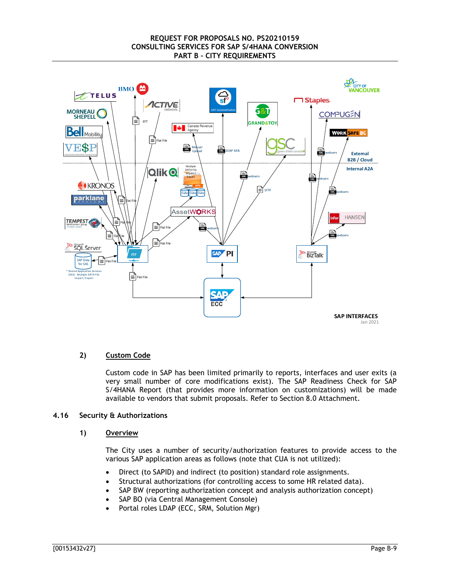

## **2) Custom Code**

Custom code in SAP has been limited primarily to reports, interfaces and user exits (a very small number of core modifications exist). The SAP Readiness Check for SAP S/4HANA Report (that provides more information on customizations) will be made available to vendors that submit proposals. Refer to Section 8.0 Attachment.

## **4.16 Security & Authorizations**

## **1) Overview**

The City uses a number of security/authorization features to provide access to the various SAP application areas as follows (note that CUA is not utilized):

- Direct (to SAPID) and indirect (to position) standard role assignments.
- Structural authorizations (for controlling access to some HR related data).
- SAP BW (reporting authorization concept and analysis authorization concept)
- SAP BO (via Central Management Console)
- Portal roles LDAP (ECC, SRM, Solution Mgr)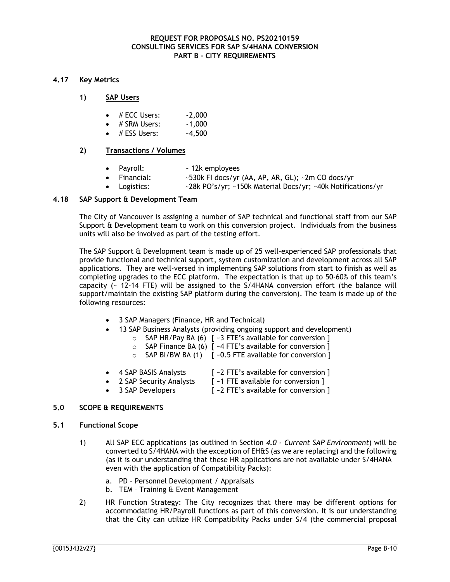## **4.17 Key Metrics**

## **1) SAP Users**

- # ECC Users: ~2,000
- # SRM Users: ~1,000
- $\bullet$  # ESS Users:  $-4,500$

## **2) Transactions / Volumes**

- Payroll: ~ 12k employees
	- Financial: ~530k FI docs/yr (AA, AP, AR, GL); ~2m CO docs/yr
- Logistics: ~28k PO's/yr; ~150k Material Docs/yr; ~40k Notifications/yr

## **4.18 SAP Support & Development Team**

The City of Vancouver is assigning a number of SAP technical and functional staff from our SAP Support & Development team to work on this conversion project. Individuals from the business units will also be involved as part of the testing effort.

The SAP Support & Development team is made up of 25 well-experienced SAP professionals that provide functional and technical support, system customization and development across all SAP applications. They are well-versed in implementing SAP solutions from start to finish as well as completing upgrades to the ECC platform. The expectation is that up to 50-60% of this team's capacity (~ 12-14 FTE) will be assigned to the S/4HANA conversion effort (the balance will support/maintain the existing SAP platform during the conversion). The team is made up of the following resources:

- 3 SAP Managers (Finance, HR and Technical)
- 13 SAP Business Analysts (providing ongoing support and development)
	- $\circ$  SAP HR/Pay BA (6) [ ~3 FTE's available for conversion ]
	- o SAP Finance BA (6) [ ~4 FTE's available for conversion ]
	- $\circ$  SAP BI/BW BA (1) [ ~0.5 FTE available for conversion ]
- $\bullet$  4 SAP BASIS Analysts  $\lceil$  -2 FTE's available for conversion ]
	- 2 SAP Security Analysts [ ~1 FTE available for conversion ]
- 3 SAP Developers [ ~2 FTE's available for conversion ]

## **5.0 SCOPE & REQUIREMENTS**

## **5.1 Functional Scope**

- 1) All SAP ECC applications (as outlined in Section *4.0 Current SAP Environment*) will be converted to S/4HANA with the exception of EH&S (as we are replacing) and the following (as it is our understanding that these HR applications are not available under S/4HANA – even with the application of Compatibility Packs):
	- a. PD Personnel Development / Appraisals
	- b. TEM Training & Event Management
- 2) HR Function Strategy: The City recognizes that there may be different options for accommodating HR/Payroll functions as part of this conversion. It is our understanding that the City can utilize HR Compatibility Packs under S/4 (the commercial proposal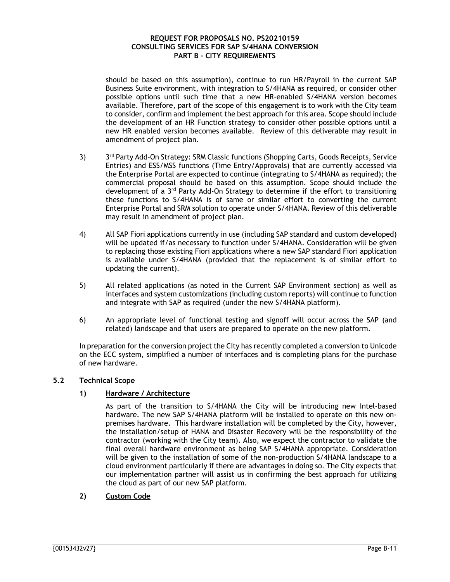should be based on this assumption), continue to run HR/Payroll in the current SAP Business Suite environment, with integration to S/4HANA as required, or consider other possible options until such time that a new HR-enabled S/4HANA version becomes available. Therefore, part of the scope of this engagement is to work with the City team to consider, confirm and implement the best approach for this area. Scope should include the development of an HR Function strategy to consider other possible options until a new HR enabled version becomes available. Review of this deliverable may result in amendment of project plan.

- 3) 3<sup>rd</sup> Party Add-On Strategy: SRM Classic functions (Shopping Carts, Goods Receipts, Service Entries) and ESS/MSS functions (Time Entry/Approvals) that are currently accessed via the Enterprise Portal are expected to continue (integrating to S/4HANA as required); the commercial proposal should be based on this assumption. Scope should include the development of a 3rd Party Add-On Strategy to determine if the effort to transitioning these functions to S/4HANA is of same or similar effort to converting the current Enterprise Portal and SRM solution to operate under S/4HANA. Review of this deliverable may result in amendment of project plan.
- 4) All SAP Fiori applications currently in use (including SAP standard and custom developed) will be updated if/as necessary to function under S/4HANA. Consideration will be given to replacing those existing Fiori applications where a new SAP standard Fiori application is available under S/4HANA (provided that the replacement is of similar effort to updating the current).
- 5) All related applications (as noted in the Current SAP Environment section) as well as interfaces and system customizations (including custom reports) will continue to function and integrate with SAP as required (under the new S/4HANA platform).
- 6) An appropriate level of functional testing and signoff will occur across the SAP (and related) landscape and that users are prepared to operate on the new platform.

In preparation for the conversion project the City has recently completed a conversion to Unicode on the ECC system, simplified a number of interfaces and is completing plans for the purchase of new hardware.

## **5.2 Technical Scope**

## **1) Hardware / Architecture**

As part of the transition to S/4HANA the City will be introducing new Intel-based hardware. The new SAP S/4HANA platform will be installed to operate on this new onpremises hardware. This hardware installation will be completed by the City, however, the installation/setup of HANA and Disaster Recovery will be the responsibility of the contractor (working with the City team). Also, we expect the contractor to validate the final overall hardware environment as being SAP S/4HANA appropriate. Consideration will be given to the installation of some of the non-production S/4HANA landscape to a cloud environment particularly if there are advantages in doing so. The City expects that our implementation partner will assist us in confirming the best approach for utilizing the cloud as part of our new SAP platform.

**2) Custom Code**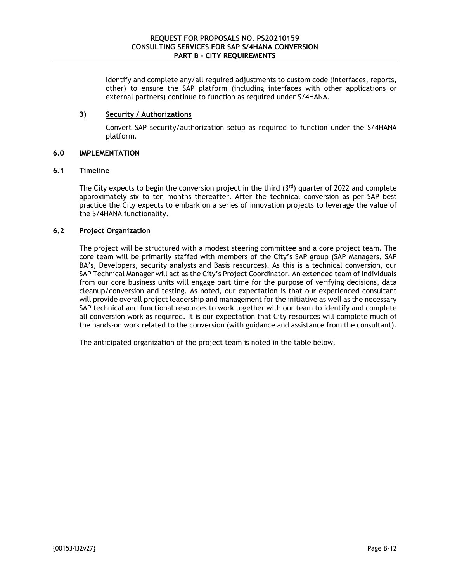Identify and complete any/all required adjustments to custom code (interfaces, reports, other) to ensure the SAP platform (including interfaces with other applications or external partners) continue to function as required under S/4HANA.

## **3) Security / Authorizations**

Convert SAP security/authorization setup as required to function under the S/4HANA platform.

## **6.0 IMPLEMENTATION**

## **6.1 Timeline**

The City expects to begin the conversion project in the third  $(3<sup>rd</sup>)$  quarter of 2022 and complete approximately six to ten months thereafter. After the technical conversion as per SAP best practice the City expects to embark on a series of innovation projects to leverage the value of the S/4HANA functionality.

## **6.2 Project Organization**

The project will be structured with a modest steering committee and a core project team. The core team will be primarily staffed with members of the City's SAP group (SAP Managers, SAP BA's, Developers, security analysts and Basis resources). As this is a technical conversion, our SAP Technical Manager will act as the City's Project Coordinator. An extended team of individuals from our core business units will engage part time for the purpose of verifying decisions, data cleanup/conversion and testing. As noted, our expectation is that our experienced consultant will provide overall project leadership and management for the initiative as well as the necessary SAP technical and functional resources to work together with our team to identify and complete all conversion work as required. It is our expectation that City resources will complete much of the hands-on work related to the conversion (with guidance and assistance from the consultant).

The anticipated organization of the project team is noted in the table below.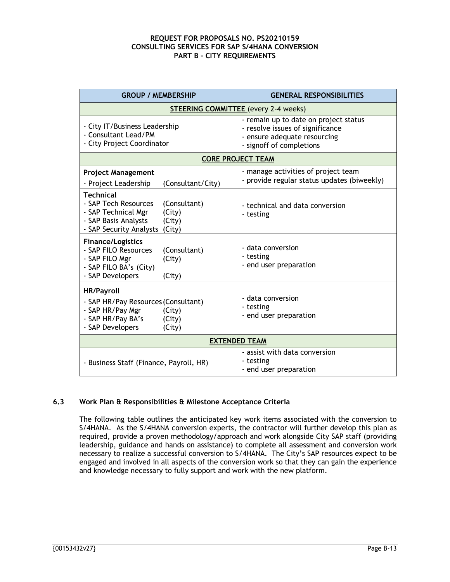## **REQUEST FOR PROPOSALS NO. PS20210159 CONSULTING SERVICES FOR SAP S/4HANA CONVERSION PART B – CITY REQUIREMENTS**

| <b>GROUP / MEMBERSHIP</b>                                                                                                                                     | <b>GENERAL RESPONSIBILITIES</b>                                                                                                       |  |  |  |
|---------------------------------------------------------------------------------------------------------------------------------------------------------------|---------------------------------------------------------------------------------------------------------------------------------------|--|--|--|
|                                                                                                                                                               | <b>STEERING COMMITTEE</b> (every 2-4 weeks)                                                                                           |  |  |  |
| - City IT/Business Leadership<br>- Consultant Lead/PM<br>- City Project Coordinator                                                                           | - remain up to date on project status<br>- resolve issues of significance<br>- ensure adequate resourcing<br>- signoff of completions |  |  |  |
|                                                                                                                                                               | <b>CORE PROJECT TEAM</b>                                                                                                              |  |  |  |
| <b>Project Management</b><br>- Project Leadership<br>(Consultant/City)                                                                                        | - manage activities of project team<br>- provide regular status updates (biweekly)                                                    |  |  |  |
| <b>Technical</b><br>- SAP Tech Resources<br>(Consultant)<br>- SAP Technical Mgr<br>(City)<br>- SAP Basis Analysts<br>(City)<br>- SAP Security Analysts (City) | - technical and data conversion<br>- testing                                                                                          |  |  |  |
| <b>Finance/Logistics</b><br>- SAP FILO Resources<br>(Consultant)<br>- SAP FILO Mgr<br>(City)<br>- SAP FILO BA's (City)<br>- SAP Developers<br>(City)          | - data conversion<br>- testing<br>- end user preparation                                                                              |  |  |  |
| <b>HR/Payroll</b><br>- SAP HR/Pay Resources (Consultant)<br>- SAP HR/Pay Mgr<br>(City)<br>- SAP HR/Pay BA's<br>(City)<br>- SAP Developers<br>(City)           | - data conversion<br>- testing<br>- end user preparation                                                                              |  |  |  |
| <b>EXTENDED TEAM</b>                                                                                                                                          |                                                                                                                                       |  |  |  |
| - Business Staff (Finance, Payroll, HR)                                                                                                                       | - assist with data conversion<br>- testing<br>- end user preparation                                                                  |  |  |  |

## **6.3 Work Plan & Responsibilities & Milestone Acceptance Criteria**

The following table outlines the anticipated key work items associated with the conversion to S/4HANA. As the S/4HANA conversion experts, the contractor will further develop this plan as required, provide a proven methodology/approach and work alongside City SAP staff (providing leadership, guidance and hands on assistance) to complete all assessment and conversion work necessary to realize a successful conversion to S/4HANA. The City's SAP resources expect to be engaged and involved in all aspects of the conversion work so that they can gain the experience and knowledge necessary to fully support and work with the new platform.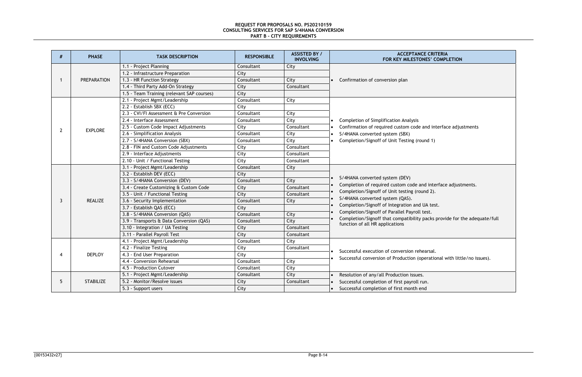#### **REQUEST FOR PROPOSALS NO. PS20210159 CONSULTING SERVICES FOR SAP S/4HANA CONVERSION PART B – CITY REQUIREMENTS**



| #              | <b>PHASE</b>       | <b>TASK DESCRIPTION</b>                    | <b>RESPONSIBLE</b> | <b>ASSISTED BY /</b><br><b>INVOLVING</b> | <b>ACCEPTANCE CRITERIA</b><br>FOR KEY MILESTONES' COMPLETION                                                 |
|----------------|--------------------|--------------------------------------------|--------------------|------------------------------------------|--------------------------------------------------------------------------------------------------------------|
|                |                    | 1.1 - Project Planning                     | Consultant         | City                                     |                                                                                                              |
|                | <b>PREPARATION</b> | 1.2 - Infrastructure Preparation           | City               |                                          |                                                                                                              |
| $\mathbf 1$    |                    | 1.3 - HR Function Strategy                 | Consultant         | City                                     | Confirmation of conversion plan                                                                              |
|                |                    | 1.4 - Third Party Add-On Strategy          | City               | Consultant                               |                                                                                                              |
|                |                    | 1.5 - Team Training (relevant SAP courses) | City               |                                          |                                                                                                              |
|                |                    | 2.1 - Project Mgmt/Leadership              | Consultant         | City                                     |                                                                                                              |
|                |                    | 2.2 - Establish SBX (ECC)                  | City               |                                          |                                                                                                              |
|                |                    | 2.3 - CVI/FI Assessment & Pre Conversion   | Consultant         | City                                     |                                                                                                              |
|                |                    | 2.4 - Interface Assessment                 | Consultant         | City                                     | <b>Completion of Simplification Analysis</b>                                                                 |
| $\overline{2}$ | <b>EXPLORE</b>     | 2.5 - Custom Code Impact Adjustments       | City               | Consultant                               | Confirmation of required custom code and interface adjus                                                     |
|                |                    | 2.6 - Simplification Analysis              | Consultant         | City                                     | S/4HANA converted system (SBX)                                                                               |
|                |                    | 2.7 - S/4HANA Conversion (SBX)             | Consultant         | City                                     | Completion/Signoff of Unit Testing (round 1)                                                                 |
|                |                    | 2.8 - FIN and Custom Code Adjustments      | City               | Consultant                               |                                                                                                              |
|                |                    | 2.9 - Interface Adjustments                | City               | Consultant                               |                                                                                                              |
|                |                    | 2.10 - Unit / Functional Testing           | City               | Consultant                               |                                                                                                              |
|                | <b>REALIZE</b>     | 3.1 - Project Mgmt/Leadership              | Consultant         | City                                     |                                                                                                              |
|                |                    | 3.2 - Establish DEV (ECC)                  | City               |                                          |                                                                                                              |
|                |                    | 3.3 - S/4HANA Conversion (DEV)             | Consultant         | City                                     | S/4HANA converted system (DEV)                                                                               |
|                |                    | 3.4 - Create Customizing & Custom Code     | City               | Consultant                               | Completion of required custom code and interface adjustr                                                     |
|                |                    | 3.5 - Unit / Functional Testing            | City               | Consultant                               | Completion/Signoff of Unit testing (round 2).                                                                |
| 3              |                    | 3.6 - Security Implementation              | Consultant         | City                                     | S/4HANA converted system (QAS).                                                                              |
|                |                    | 3.7 - Establish QAS (ECC)                  | City               |                                          | Completion/Signoff of Integration and UA test.                                                               |
|                |                    | 3.8 - S/4HANA Conversion (QAS)             | Consultant         | City                                     | Completion/Signoff of Parallel Payroll test.                                                                 |
|                |                    | 3.9 - Transports & Data Conversion (QAS)   | Consultant         | City                                     | Completion/Signoff that compatibility packs provide for tl<br>function of all HR applications                |
|                |                    | 3.10 - Integration / UA Testing            | City               | Consultant                               |                                                                                                              |
|                |                    | 3.11 - Parallel Payroll Test               | City               | Consultant                               |                                                                                                              |
|                |                    | 4.1 - Project Mgmt/Leadership              | Consultant         | City                                     |                                                                                                              |
|                |                    | 4.2 - Finalize Testing                     | City               | Consultant                               | Successful execution of conversion rehearsal.<br>Successful conversion of Production (operational with littl |
| 4              | <b>DEPLOY</b>      | 4.3 - End User Preparation                 | City               |                                          |                                                                                                              |
|                |                    | 4.4 - Conversion Rehearsal                 | Consultant         | City                                     |                                                                                                              |
|                |                    | 4.5 - Production Cutover                   | Consultant         | City                                     |                                                                                                              |
|                |                    | 5.1 - Project Mgmt/Leadership              | Consultant         | City                                     | Resolution of any/all Production issues.                                                                     |
| 5              | <b>STABILIZE</b>   | 5.2 - Monitor/Resolve issues               | City               | Consultant                               | Successful completion of first payroll run.                                                                  |
|                |                    | 5.3 - Support users                        | City               |                                          | Successful completion of first month end                                                                     |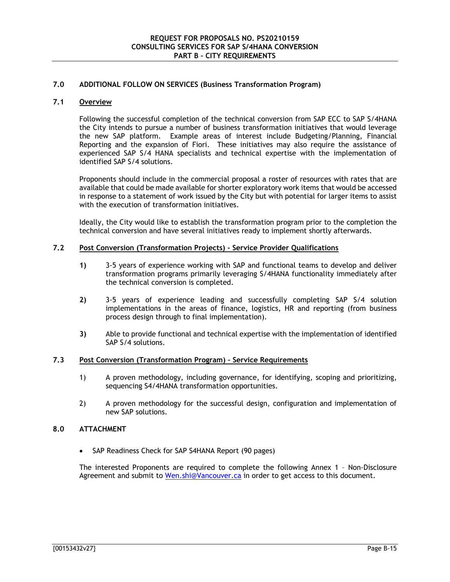## **7.0 ADDITIONAL FOLLOW ON SERVICES (Business Transformation Program)**

## **7.1 Overview**

Following the successful completion of the technical conversion from SAP ECC to SAP S/4HANA the City intends to pursue a number of business transformation initiatives that would leverage the new SAP platform. Example areas of interest include Budgeting/Planning, Financial Reporting and the expansion of Fiori. These initiatives may also require the assistance of experienced SAP S/4 HANA specialists and technical expertise with the implementation of identified SAP S/4 solutions.

Proponents should include in the commercial proposal a roster of resources with rates that are available that could be made available for shorter exploratory work items that would be accessed in response to a statement of work issued by the City but with potential for larger items to assist with the execution of transformation initiatives.

Ideally, the City would like to establish the transformation program prior to the completion the technical conversion and have several initiatives ready to implement shortly afterwards.

## **7.2 Post Conversion (Transformation Projects) - Service Provider Qualifications**

- **1)** 3-5 years of experience working with SAP and functional teams to develop and deliver transformation programs primarily leveraging S/4HANA functionality immediately after the technical conversion is completed.
- **2)** 3-5 years of experience leading and successfully completing SAP S/4 solution implementations in the areas of finance, logistics, HR and reporting (from business process design through to final implementation).
- **3)** Able to provide functional and technical expertise with the implementation of identified SAP S/4 solutions.

## **7.3 Post Conversion (Transformation Program) – Service Requirements**

- 1) A proven methodology, including governance, for identifying, scoping and prioritizing, sequencing S4/4HANA transformation opportunities.
- 2) A proven methodology for the successful design, configuration and implementation of new SAP solutions.

## **8.0 ATTACHMENT**

SAP Readiness Check for SAP S4HANA Report (90 pages)

The interested Proponents are required to complete the following Annex 1 – Non-Disclosure Agreement and submit to Wen.shi@Vancouver.ca in order to get access to this document.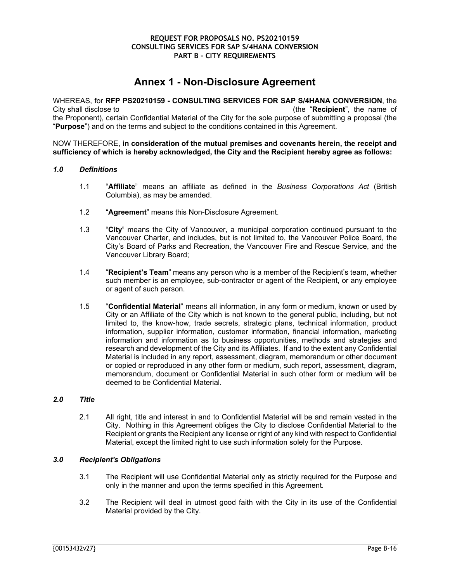## **Annex 1 - Non-Disclosure Agreement**

WHEREAS, for **RFP PS20210159 - CONSULTING SERVICES FOR SAP S/4HANA CONVERSION**, the City shall disclose to (the "**Recipient**", the name of the Proponent), certain Confidential Material of the City for the sole purpose of submitting a proposal (the "**Purpose**") and on the terms and subject to the conditions contained in this Agreement.

NOW THEREFORE, **in consideration of the mutual premises and covenants herein, the receipt and sufficiency of which is hereby acknowledged, the City and the Recipient hereby agree as follows:** 

## *1.0 Definitions*

- 1.1 "**Affiliate**" means an affiliate as defined in the *Business Corporations Act* (British Columbia), as may be amended.
- 1.2 "**Agreement**" means this Non-Disclosure Agreement.
- 1.3 "**City**" means the City of Vancouver, a municipal corporation continued pursuant to the Vancouver Charter, and includes, but is not limited to, the Vancouver Police Board, the City's Board of Parks and Recreation, the Vancouver Fire and Rescue Service, and the Vancouver Library Board;
- 1.4 "**Recipient's Team**" means any person who is a member of the Recipient's team, whether such member is an employee, sub-contractor or agent of the Recipient, or any employee or agent of such person.
- 1.5 "**Confidential Material**" means all information, in any form or medium, known or used by City or an Affiliate of the City which is not known to the general public, including, but not limited to, the know-how, trade secrets, strategic plans, technical information, product information, supplier information, customer information, financial information, marketing information and information as to business opportunities, methods and strategies and research and development of the City and its Affiliates. If and to the extent any Confidential Material is included in any report, assessment, diagram, memorandum or other document or copied or reproduced in any other form or medium, such report, assessment, diagram, memorandum, document or Confidential Material in such other form or medium will be deemed to be Confidential Material.

## *2.0 Title*

2.1 All right, title and interest in and to Confidential Material will be and remain vested in the City. Nothing in this Agreement obliges the City to disclose Confidential Material to the Recipient or grants the Recipient any license or right of any kind with respect to Confidential Material, except the limited right to use such information solely for the Purpose.

## *3.0 Recipient's Obligations*

- 3.1 The Recipient will use Confidential Material only as strictly required for the Purpose and only in the manner and upon the terms specified in this Agreement.
- 3.2 The Recipient will deal in utmost good faith with the City in its use of the Confidential Material provided by the City.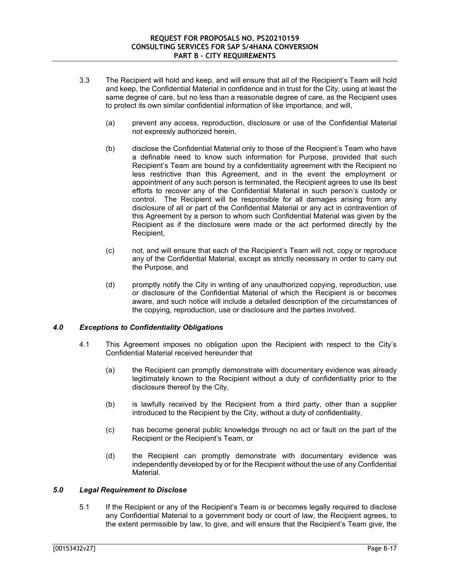- 3.3 The Recipient will hold and keep, and will ensure that all of the Recipient's Team will hold and keep, the Confidential Material in confidence and in trust for the City, using at least the same degree of care, but no less than a reasonable degree of care, as the Recipient uses to protect its own similar confidential information of like importance, and will,
	- (a) prevent any access, reproduction, disclosure or use of the Confidential Material not expressly authorized herein,
	- (b) disclose the Confidential Material only to those of the Recipient's Team who have a definable need to know such information for Purpose, provided that such Recipient's Team are bound by a confidentiality agreement with the Recipient no less restrictive than this Agreement, and in the event the employment or appointment of any such person is terminated, the Recipient agrees to use its best efforts to recover any of the Confidential Material in such person's custody or control. The Recipient will be responsible for all damages arising from any disclosure of all or part of the Confidential Material or any act in contravention of this Agreement by a person to whom such Confidential Material was given by the Recipient as if the disclosure were made or the act performed directly by the Recipient,
	- (c) not, and will ensure that each of the Recipient's Team will not, copy or reproduce any of the Confidential Material, except as strictly necessary in order to carry out the Purpose, and
	- (d) promptly notify the City in writing of any unauthorized copying, reproduction, use or disclosure of the Confidential Material of which the Recipient is or becomes aware, and such notice will include a detailed description of the circumstances of the copying, reproduction, use or disclosure and the parties involved.

## *4.0 Exceptions to Confidentiality Obligations*

- 4.1 This Agreement imposes no obligation upon the Recipient with respect to the City's Confidential Material received hereunder that
	- (a) the Recipient can promptly demonstrate with documentary evidence was already legitimately known to the Recipient without a duty of confidentiality prior to the disclosure thereof by the City,
	- (b) is lawfully received by the Recipient from a third party, other than a supplier introduced to the Recipient by the City, without a duty of confidentiality,
	- (c) has become general public knowledge through no act or fault on the part of the Recipient or the Recipient's Team, or
	- (d) the Recipient can promptly demonstrate with documentary evidence was independently developed by or for the Recipient without the use of any Confidential Material.

## *5.0 Legal Requirement to Disclose*

5.1 If the Recipient or any of the Recipient's Team is or becomes legally required to disclose any Confidential Material to a government body or court of law, the Recipient agrees, to the extent permissible by law, to give, and will ensure that the Recipient's Team give, the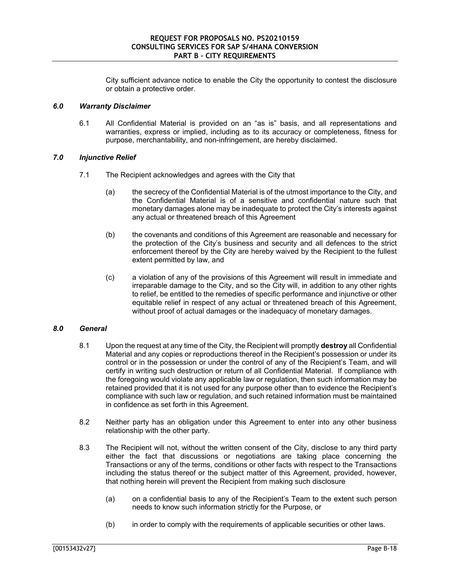City sufficient advance notice to enable the City the opportunity to contest the disclosure or obtain a protective order.

## *6.0 Warranty Disclaimer*

6.1 All Confidential Material is provided on an "as is" basis, and all representations and warranties, express or implied, including as to its accuracy or completeness, fitness for purpose, merchantability, and non-infringement, are hereby disclaimed.

## *7.0 Injunctive Relief*

- 7.1 The Recipient acknowledges and agrees with the City that
	- (a) the secrecy of the Confidential Material is of the utmost importance to the City, and the Confidential Material is of a sensitive and confidential nature such that monetary damages alone may be inadequate to protect the City's interests against any actual or threatened breach of this Agreement
	- (b) the covenants and conditions of this Agreement are reasonable and necessary for the protection of the City's business and security and all defences to the strict enforcement thereof by the City are hereby waived by the Recipient to the fullest extent permitted by law, and
	- (c) a violation of any of the provisions of this Agreement will result in immediate and irreparable damage to the City, and so the City will, in addition to any other rights to relief, be entitled to the remedies of specific performance and injunctive or other equitable relief in respect of any actual or threatened breach of this Agreement, without proof of actual damages or the inadequacy of monetary damages.

## *8.0 General*

- 8.1 Upon the request at any time of the City, the Recipient will promptly **destroy** all Confidential Material and any copies or reproductions thereof in the Recipient's possession or under its control or in the possession or under the control of any of the Recipient's Team, and will certify in writing such destruction or return of all Confidential Material. If compliance with the foregoing would violate any applicable law or regulation, then such information may be retained provided that it is not used for any purpose other than to evidence the Recipient's compliance with such law or regulation, and such retained information must be maintained in confidence as set forth in this Agreement.
- 8.2 Neither party has an obligation under this Agreement to enter into any other business relationship with the other party.
- 8.3 The Recipient will not, without the written consent of the City, disclose to any third party either the fact that discussions or negotiations are taking place concerning the Transactions or any of the terms, conditions or other facts with respect to the Transactions including the status thereof or the subject matter of this Agreement, provided, however, that nothing herein will prevent the Recipient from making such disclosure
	- (a) on a confidential basis to any of the Recipient's Team to the extent such person needs to know such information strictly for the Purpose, or
	- (b) in order to comply with the requirements of applicable securities or other laws.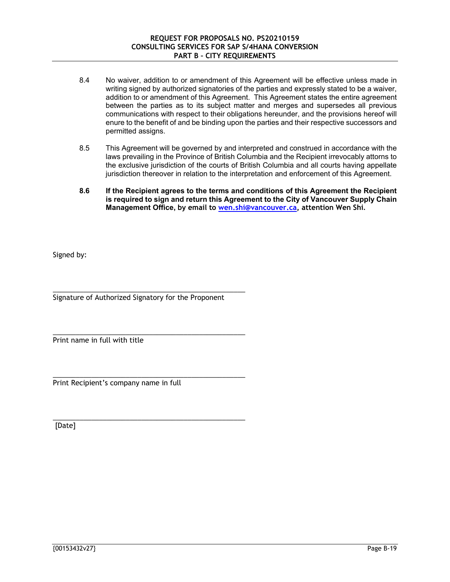#### **REQUEST FOR PROPOSALS NO. PS20210159 CONSULTING SERVICES FOR SAP S/4HANA CONVERSION PART B – CITY REQUIREMENTS**

- 8.4 No waiver, addition to or amendment of this Agreement will be effective unless made in writing signed by authorized signatories of the parties and expressly stated to be a waiver, addition to or amendment of this Agreement. This Agreement states the entire agreement between the parties as to its subject matter and merges and supersedes all previous communications with respect to their obligations hereunder, and the provisions hereof will enure to the benefit of and be binding upon the parties and their respective successors and permitted assigns.
- 8.5 This Agreement will be governed by and interpreted and construed in accordance with the laws prevailing in the Province of British Columbia and the Recipient irrevocably attorns to the exclusive jurisdiction of the courts of British Columbia and all courts having appellate jurisdiction thereover in relation to the interpretation and enforcement of this Agreement.
- **8.6 If the Recipient agrees to the terms and conditions of this Agreement the Recipient is required to sign and return this Agreement to the City of Vancouver Supply Chain Management Office, by email to wen.shi@vancouver.ca, attention Wen Shi.**

Signed by:

\_\_\_\_\_\_\_\_\_\_\_\_\_\_\_\_\_\_\_\_\_\_\_\_\_\_\_\_\_\_\_\_\_\_\_\_\_\_\_\_\_\_\_\_\_\_\_\_\_\_ Signature of Authorized Signatory for the Proponent

\_\_\_\_\_\_\_\_\_\_\_\_\_\_\_\_\_\_\_\_\_\_\_\_\_\_\_\_\_\_\_\_\_\_\_\_\_\_\_\_\_\_\_\_\_\_\_\_\_\_

\_\_\_\_\_\_\_\_\_\_\_\_\_\_\_\_\_\_\_\_\_\_\_\_\_\_\_\_\_\_\_\_\_\_\_\_\_\_\_\_\_\_\_\_\_\_\_\_\_\_

\_\_\_\_\_\_\_\_\_\_\_\_\_\_\_\_\_\_\_\_\_\_\_\_\_\_\_\_\_\_\_\_\_\_\_\_\_\_\_\_\_\_\_\_\_\_\_\_\_\_ Print name in full with title

Print Recipient's company name in full

[Date]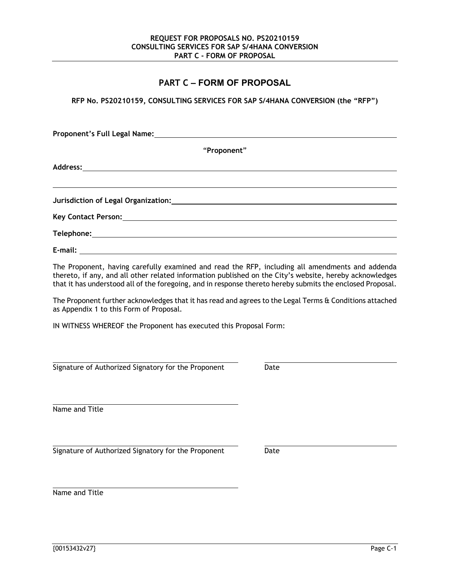**Jurisdiction of Legal Organization:**

**Key Contact Person:**

**Telephone:**

**E-mail:** 

**REQUEST FOR PROPOSALS NO. PS20210159 CONSULTING SERVICES FOR SAP S/4HANA CONVERSION** 

**PART C – FORM OF PROPOSAL** 

**RFP No. PS20210159, CONSULTING SERVICES FOR SAP S/4HANA CONVERSION (the "RFP")** 

**Proponent's Full Legal Name:**

"**Proponent**"

The Proponent, having carefully examined and read the RFP, including all amendments and addenda thereto, if any, and all other related information published on the City's website, hereby acknowledges that it has understood all of the foregoing, and in response thereto hereby submits the enclosed Proposal.

The Proponent further acknowledges that it has read and agrees to the Legal Terms & Conditions attached as Appendix 1 to this Form of Proposal.

IN WITNESS WHEREOF the Proponent has executed this Proposal Form:

 Signature of Authorized Signatory for the Proponent Date

Name and Title

Signature of Authorized Signatory for the Proponent Date

Name and Title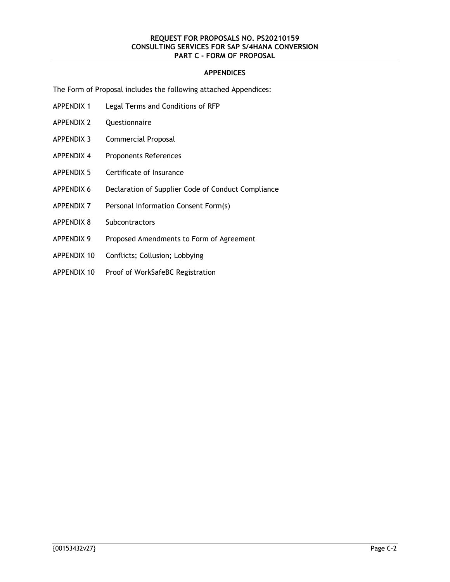#### **REQUEST FOR PROPOSALS NO. PS20210159 CONSULTING SERVICES FOR SAP S/4HANA CONVERSION PART C - FORM OF PROPOSAL**

## **APPENDICES**

The Form of Proposal includes the following attached Appendices:

- APPENDIX 1 Legal Terms and Conditions of RFP
- APPENDIX 2 Questionnaire
- APPENDIX 3 Commercial Proposal
- APPENDIX 4 Proponents References
- APPENDIX 5 Certificate of Insurance
- APPENDIX 6 Declaration of Supplier Code of Conduct Compliance
- APPENDIX 7 Personal Information Consent Form(s)
- APPENDIX 8 Subcontractors
- APPENDIX 9 Proposed Amendments to Form of Agreement
- APPENDIX 10 Conflicts; Collusion; Lobbying
- APPENDIX 10 Proof of WorkSafeBC Registration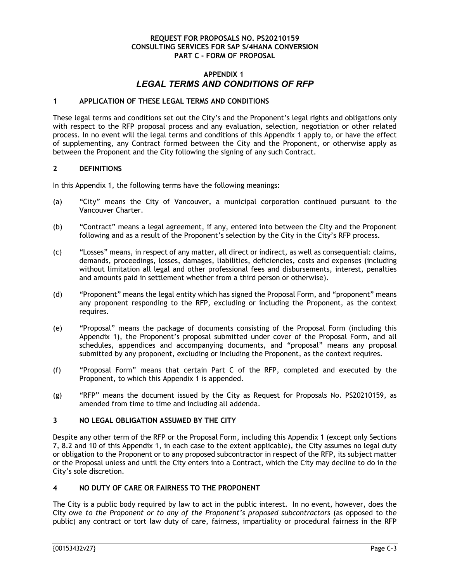## **APPENDIX 1** *LEGAL TERMS AND CONDITIONS OF RFP*

## **1 APPLICATION OF THESE LEGAL TERMS AND CONDITIONS**

These legal terms and conditions set out the City's and the Proponent's legal rights and obligations only with respect to the RFP proposal process and any evaluation, selection, negotiation or other related process. In no event will the legal terms and conditions of this Appendix 1 apply to, or have the effect of supplementing, any Contract formed between the City and the Proponent, or otherwise apply as between the Proponent and the City following the signing of any such Contract.

## **2 DEFINITIONS**

In this Appendix 1, the following terms have the following meanings:

- (a) "City" means the City of Vancouver, a municipal corporation continued pursuant to the Vancouver Charter.
- (b) "Contract" means a legal agreement, if any, entered into between the City and the Proponent following and as a result of the Proponent's selection by the City in the City's RFP process.
- (c) "Losses" means, in respect of any matter, all direct or indirect, as well as consequential: claims, demands, proceedings, losses, damages, liabilities, deficiencies, costs and expenses (including without limitation all legal and other professional fees and disbursements, interest, penalties and amounts paid in settlement whether from a third person or otherwise).
- (d) "Proponent" means the legal entity which has signed the Proposal Form, and "proponent" means any proponent responding to the RFP, excluding or including the Proponent, as the context requires.
- (e) "Proposal" means the package of documents consisting of the Proposal Form (including this Appendix 1), the Proponent's proposal submitted under cover of the Proposal Form, and all schedules, appendices and accompanying documents, and "proposal" means any proposal submitted by any proponent, excluding or including the Proponent, as the context requires.
- (f) "Proposal Form" means that certain Part C of the RFP, completed and executed by the Proponent, to which this Appendix 1 is appended.
- (g) "RFP" means the document issued by the City as Request for Proposals No. PS20210159, as amended from time to time and including all addenda.

## **3 NO LEGAL OBLIGATION ASSUMED BY THE CITY**

Despite any other term of the RFP or the Proposal Form, including this Appendix 1 (except only Sections 7, 8.2 and 10 of this Appendix 1, in each case to the extent applicable), the City assumes no legal duty or obligation to the Proponent or to any proposed subcontractor in respect of the RFP, its subject matter or the Proposal unless and until the City enters into a Contract, which the City may decline to do in the City's sole discretion.

## **4 NO DUTY OF CARE OR FAIRNESS TO THE PROPONENT**

The City is a public body required by law to act in the public interest. In no event, however, does the City owe *to the Proponent or to any of the Proponent's proposed subcontractors* (as opposed to the public) any contract or tort law duty of care, fairness, impartiality or procedural fairness in the RFP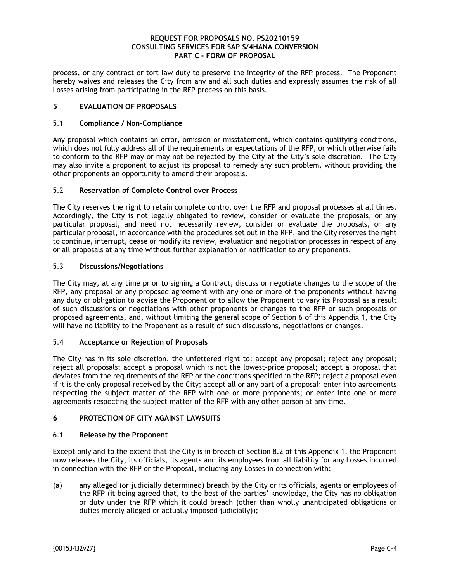### **REQUEST FOR PROPOSALS NO. PS20210159 CONSULTING SERVICES FOR SAP S/4HANA CONVERSION PART C - FORM OF PROPOSAL**

process, or any contract or tort law duty to preserve the integrity of the RFP process.The Proponent hereby waives and releases the City from any and all such duties and expressly assumes the risk of all Losses arising from participating in the RFP process on this basis.

## **5 EVALUATION OF PROPOSALS**

## 5.1 **Compliance / Non-Compliance**

Any proposal which contains an error, omission or misstatement, which contains qualifying conditions, which does not fully address all of the requirements or expectations of the RFP, or which otherwise fails to conform to the RFP may or may not be rejected by the City at the City's sole discretion. The City may also invite a proponent to adjust its proposal to remedy any such problem, without providing the other proponents an opportunity to amend their proposals.

## 5.2 **Reservation of Complete Control over Process**

The City reserves the right to retain complete control over the RFP and proposal processes at all times. Accordingly, the City is not legally obligated to review, consider or evaluate the proposals, or any particular proposal, and need not necessarily review, consider or evaluate the proposals, or any particular proposal, in accordance with the procedures set out in the RFP, and the City reserves the right to continue, interrupt, cease or modify its review, evaluation and negotiation processes in respect of any or all proposals at any time without further explanation or notification to any proponents.

## 5.3 **Discussions/Negotiations**

The City may, at any time prior to signing a Contract, discuss or negotiate changes to the scope of the RFP, any proposal or any proposed agreement with any one or more of the proponents without having any duty or obligation to advise the Proponent or to allow the Proponent to vary its Proposal as a result of such discussions or negotiations with other proponents or changes to the RFP or such proposals or proposed agreements, and, without limiting the general scope of Section 6 of this Appendix 1, the City will have no liability to the Proponent as a result of such discussions, negotiations or changes.

## 5.4 **Acceptance or Rejection of Proposals**

The City has in its sole discretion, the unfettered right to: accept any proposal; reject any proposal; reject all proposals; accept a proposal which is not the lowest-price proposal; accept a proposal that deviates from the requirements of the RFP or the conditions specified in the RFP; reject a proposal even if it is the only proposal received by the City; accept all or any part of a proposal; enter into agreements respecting the subject matter of the RFP with one or more proponents; or enter into one or more agreements respecting the subject matter of the RFP with any other person at any time.

## **6 PROTECTION OF CITY AGAINST LAWSUITS**

## 6.1 **Release by the Proponent**

Except only and to the extent that the City is in breach of Section 8.2 of this Appendix 1, the Proponent now releases the City, its officials, its agents and its employees from all liability for any Losses incurred in connection with the RFP or the Proposal, including any Losses in connection with:

(a) any alleged (or judicially determined) breach by the City or its officials, agents or employees of the RFP (it being agreed that, to the best of the parties' knowledge, the City has no obligation or duty under the RFP which it could breach (other than wholly unanticipated obligations or duties merely alleged or actually imposed judicially));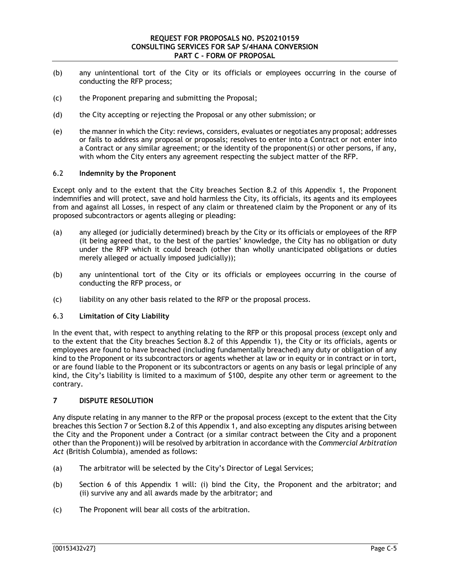- (b) any unintentional tort of the City or its officials or employees occurring in the course of conducting the RFP process;
- (c) the Proponent preparing and submitting the Proposal;
- (d) the City accepting or rejecting the Proposal or any other submission; or
- (e) the manner in which the City: reviews, considers, evaluates or negotiates any proposal; addresses or fails to address any proposal or proposals; resolves to enter into a Contract or not enter into a Contract or any similar agreement; or the identity of the proponent(s) or other persons, if any, with whom the City enters any agreement respecting the subject matter of the RFP.

## 6.2 **Indemnity by the Proponent**

Except only and to the extent that the City breaches Section 8.2 of this Appendix 1, the Proponent indemnifies and will protect, save and hold harmless the City, its officials, its agents and its employees from and against all Losses, in respect of any claim or threatened claim by the Proponent or any of its proposed subcontractors or agents alleging or pleading:

- (a) any alleged (or judicially determined) breach by the City or its officials or employees of the RFP (it being agreed that, to the best of the parties' knowledge, the City has no obligation or duty under the RFP which it could breach (other than wholly unanticipated obligations or duties merely alleged or actually imposed judicially));
- (b) any unintentional tort of the City or its officials or employees occurring in the course of conducting the RFP process, or
- (c) liability on any other basis related to the RFP or the proposal process.

## 6.3 **Limitation of City Liability**

In the event that, with respect to anything relating to the RFP or this proposal process (except only and to the extent that the City breaches Section 8.2 of this Appendix 1), the City or its officials, agents or employees are found to have breached (including fundamentally breached) any duty or obligation of any kind to the Proponent or its subcontractors or agents whether at law or in equity or in contract or in tort, or are found liable to the Proponent or its subcontractors or agents on any basis or legal principle of any kind, the City's liability is limited to a maximum of \$100, despite any other term or agreement to the contrary.

## **7 DISPUTE RESOLUTION**

Any dispute relating in any manner to the RFP or the proposal process (except to the extent that the City breaches this Section 7 or Section 8.2 of this Appendix 1, and also excepting any disputes arising between the City and the Proponent under a Contract (or a similar contract between the City and a proponent other than the Proponent)) will be resolved by arbitration in accordance with the *Commercial Arbitration Act* (British Columbia), amended as follows:

- (a) The arbitrator will be selected by the City's Director of Legal Services;
- (b) Section 6 of this Appendix 1 will: (i) bind the City, the Proponent and the arbitrator; and (ii) survive any and all awards made by the arbitrator; and
- (c) The Proponent will bear all costs of the arbitration.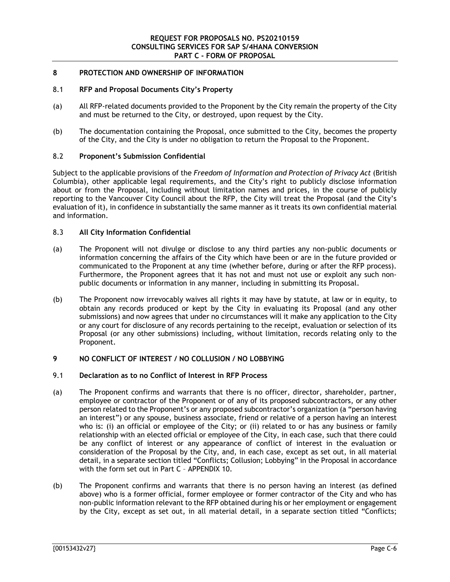## **8 PROTECTION AND OWNERSHIP OF INFORMATION**

## 8.1 **RFP and Proposal Documents City's Property**

- (a) All RFP-related documents provided to the Proponent by the City remain the property of the City and must be returned to the City, or destroyed, upon request by the City.
- (b) The documentation containing the Proposal, once submitted to the City, becomes the property of the City, and the City is under no obligation to return the Proposal to the Proponent.

## 8.2 **Proponent's Submission Confidential**

Subject to the applicable provisions of the *Freedom of Information and Protection of Privacy Act* (British Columbia), other applicable legal requirements, and the City's right to publicly disclose information about or from the Proposal, including without limitation names and prices, in the course of publicly reporting to the Vancouver City Council about the RFP, the City will treat the Proposal (and the City's evaluation of it), in confidence in substantially the same manner as it treats its own confidential material and information.

## 8.3 **All City Information Confidential**

- (a) The Proponent will not divulge or disclose to any third parties any non-public documents or information concerning the affairs of the City which have been or are in the future provided or communicated to the Proponent at any time (whether before, during or after the RFP process). Furthermore, the Proponent agrees that it has not and must not use or exploit any such nonpublic documents or information in any manner, including in submitting its Proposal.
- (b) The Proponent now irrevocably waives all rights it may have by statute, at law or in equity, to obtain any records produced or kept by the City in evaluating its Proposal (and any other submissions) and now agrees that under no circumstances will it make any application to the City or any court for disclosure of any records pertaining to the receipt, evaluation or selection of its Proposal (or any other submissions) including, without limitation, records relating only to the Proponent.

## **9 NO CONFLICT OF INTEREST / NO COLLUSION / NO LOBBYING**

## 9.1 **Declaration as to no Conflict of Interest in RFP Process**

- (a) The Proponent confirms and warrants that there is no officer, director, shareholder, partner, employee or contractor of the Proponent or of any of its proposed subcontractors, or any other person related to the Proponent's or any proposed subcontractor's organization (a "person having an interest") or any spouse, business associate, friend or relative of a person having an interest who is: (i) an official or employee of the City; or (ii) related to or has any business or family relationship with an elected official or employee of the City, in each case, such that there could be any conflict of interest or any appearance of conflict of interest in the evaluation or consideration of the Proposal by the City, and, in each case, except as set out, in all material detail, in a separate section titled "Conflicts; Collusion; Lobbying" in the Proposal in accordance with the form set out in Part C – APPENDIX 10.
- (b) The Proponent confirms and warrants that there is no person having an interest (as defined above) who is a former official, former employee or former contractor of the City and who has non-public information relevant to the RFP obtained during his or her employment or engagement by the City, except as set out, in all material detail, in a separate section titled "Conflicts;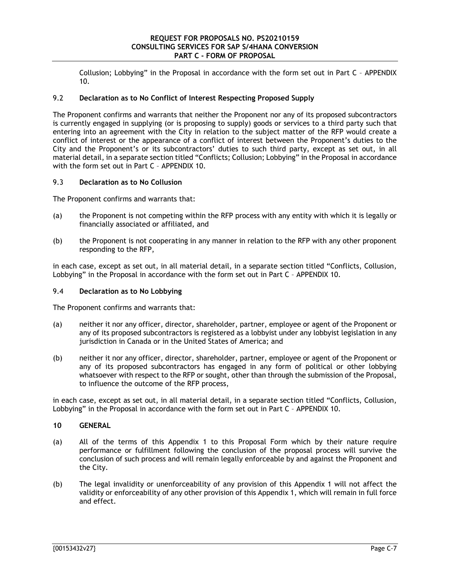Collusion; Lobbying" in the Proposal in accordance with the form set out in Part C – APPENDIX 10.

## 9.2 **Declaration as to No Conflict of Interest Respecting Proposed Supply**

The Proponent confirms and warrants that neither the Proponent nor any of its proposed subcontractors is currently engaged in supplying (or is proposing to supply) goods or services to a third party such that entering into an agreement with the City in relation to the subject matter of the RFP would create a conflict of interest or the appearance of a conflict of interest between the Proponent's duties to the City and the Proponent's or its subcontractors' duties to such third party, except as set out, in all material detail, in a separate section titled "Conflicts; Collusion; Lobbying" in the Proposal in accordance with the form set out in Part C – APPENDIX 10.

## 9.3 **Declaration as to No Collusion**

The Proponent confirms and warrants that:

- (a) the Proponent is not competing within the RFP process with any entity with which it is legally or financially associated or affiliated, and
- (b) the Proponent is not cooperating in any manner in relation to the RFP with any other proponent responding to the RFP,

in each case, except as set out, in all material detail, in a separate section titled "Conflicts, Collusion, Lobbying" in the Proposal in accordance with the form set out in Part C – APPENDIX 10.

## 9.4 **Declaration as to No Lobbying**

The Proponent confirms and warrants that:

- (a) neither it nor any officer, director, shareholder, partner, employee or agent of the Proponent or any of its proposed subcontractors is registered as a lobbyist under any lobbyist legislation in any jurisdiction in Canada or in the United States of America; and
- (b) neither it nor any officer, director, shareholder, partner, employee or agent of the Proponent or any of its proposed subcontractors has engaged in any form of political or other lobbying whatsoever with respect to the RFP or sought, other than through the submission of the Proposal, to influence the outcome of the RFP process,

in each case, except as set out, in all material detail, in a separate section titled "Conflicts, Collusion, Lobbying" in the Proposal in accordance with the form set out in Part C – APPENDIX 10.

## **10 GENERAL**

- (a) All of the terms of this Appendix 1 to this Proposal Form which by their nature require performance or fulfillment following the conclusion of the proposal process will survive the conclusion of such process and will remain legally enforceable by and against the Proponent and the City.
- (b) The legal invalidity or unenforceability of any provision of this Appendix 1 will not affect the validity or enforceability of any other provision of this Appendix 1, which will remain in full force and effect.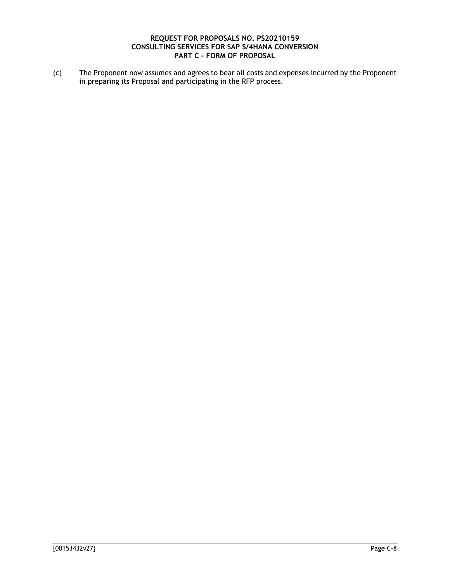(c) The Proponent now assumes and agrees to bear all costs and expenses incurred by the Proponent in preparing its Proposal and participating in the RFP process.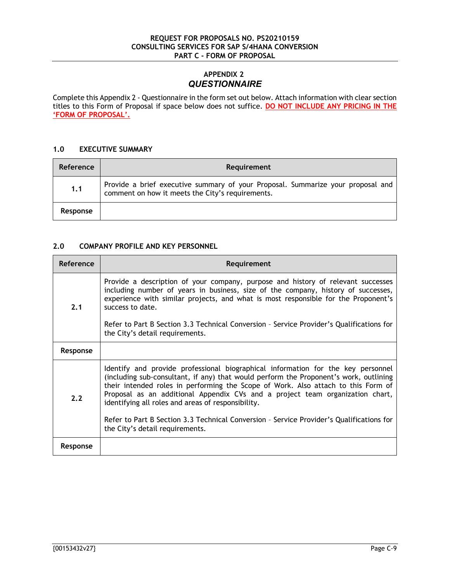# **APPENDIX 2** *QUESTIONNAIRE*

Complete this Appendix 2 - Questionnaire in the form set out below. Attach information with clear section titles to this Form of Proposal if space below does not suffice. **DO NOT INCLUDE ANY PRICING IN THE 'FORM OF PROPOSAL'.**

## **1.0 EXECUTIVE SUMMARY**

| Reference | Requirement                                                                                                                         |  |  |
|-----------|-------------------------------------------------------------------------------------------------------------------------------------|--|--|
| 1.1       | Provide a brief executive summary of your Proposal. Summarize your proposal and<br>comment on how it meets the City's requirements. |  |  |
| Response  |                                                                                                                                     |  |  |

## **2.0 COMPANY PROFILE AND KEY PERSONNEL**

| Reference | Requirement                                                                                                                                                                                                                                                                                                                                                                                                                                                                                                                          |  |  |  |
|-----------|--------------------------------------------------------------------------------------------------------------------------------------------------------------------------------------------------------------------------------------------------------------------------------------------------------------------------------------------------------------------------------------------------------------------------------------------------------------------------------------------------------------------------------------|--|--|--|
| 2.1       | Provide a description of your company, purpose and history of relevant successes<br>including number of years in business, size of the company, history of successes,<br>experience with similar projects, and what is most responsible for the Proponent's<br>success to date.<br>Refer to Part B Section 3.3 Technical Conversion - Service Provider's Qualifications for<br>the City's detail requirements.                                                                                                                       |  |  |  |
| Response  |                                                                                                                                                                                                                                                                                                                                                                                                                                                                                                                                      |  |  |  |
| 2.2       | Identify and provide professional biographical information for the key personnel<br>(including sub-consultant, if any) that would perform the Proponent's work, outlining<br>their intended roles in performing the Scope of Work. Also attach to this Form of<br>Proposal as an additional Appendix CVs and a project team organization chart,<br>identifying all roles and areas of responsibility.<br>Refer to Part B Section 3.3 Technical Conversion - Service Provider's Qualifications for<br>the City's detail requirements. |  |  |  |
| Response  |                                                                                                                                                                                                                                                                                                                                                                                                                                                                                                                                      |  |  |  |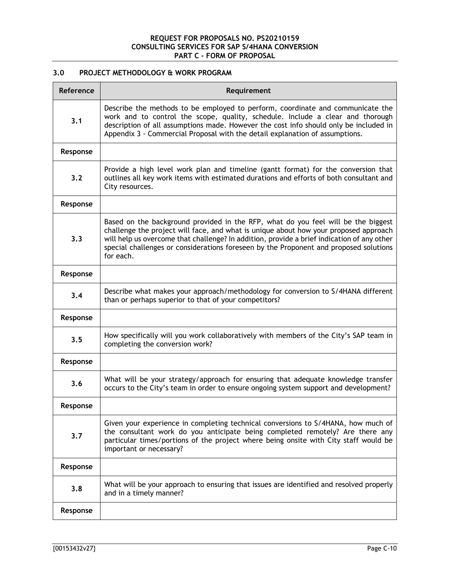# **3.0 PROJECT METHODOLOGY & WORK PROGRAM**

| Reference | Requirement                                                                                                                                                                                                                                                                                                                                                                   |
|-----------|-------------------------------------------------------------------------------------------------------------------------------------------------------------------------------------------------------------------------------------------------------------------------------------------------------------------------------------------------------------------------------|
| 3.1       | Describe the methods to be employed to perform, coordinate and communicate the<br>work and to control the scope, quality, schedule. Include a clear and thorough<br>description of all assumptions made. However the cost info should only be included in<br>Appendix 3 - Commercial Proposal with the detail explanation of assumptions.                                     |
| Response  |                                                                                                                                                                                                                                                                                                                                                                               |
| 3.2       | Provide a high level work plan and timeline (gantt format) for the conversion that<br>outlines all key work items with estimated durations and efforts of both consultant and<br>City resources.                                                                                                                                                                              |
| Response  |                                                                                                                                                                                                                                                                                                                                                                               |
| 3.3       | Based on the background provided in the RFP, what do you feel will be the biggest<br>challenge the project will face, and what is unique about how your proposed approach<br>will help us overcome that challenge? In addition, provide a brief indication of any other<br>special challenges or considerations foreseen by the Proponent and proposed solutions<br>for each. |
| Response  |                                                                                                                                                                                                                                                                                                                                                                               |
| 3.4       | Describe what makes your approach/methodology for conversion to S/4HANA different<br>than or perhaps superior to that of your competitors?                                                                                                                                                                                                                                    |
| Response  |                                                                                                                                                                                                                                                                                                                                                                               |
| 3.5       | How specifically will you work collaboratively with members of the City's SAP team in<br>completing the conversion work?                                                                                                                                                                                                                                                      |
| Response  |                                                                                                                                                                                                                                                                                                                                                                               |
| 3.6       | What will be your strategy/approach for ensuring that adequate knowledge transfer<br>occurs to the City's team in order to ensure ongoing system support and development?                                                                                                                                                                                                     |
| Response  |                                                                                                                                                                                                                                                                                                                                                                               |
| 3.7       | Given your experience in completing technical conversions to S/4HANA, how much of<br>the consultant work do you anticipate being completed remotely? Are there any<br>particular times/portions of the project where being onsite with City staff would be<br>important or necessary?                                                                                         |
| Response  |                                                                                                                                                                                                                                                                                                                                                                               |
| 3.8       | What will be your approach to ensuring that issues are identified and resolved properly<br>and in a timely manner?                                                                                                                                                                                                                                                            |
| Response  |                                                                                                                                                                                                                                                                                                                                                                               |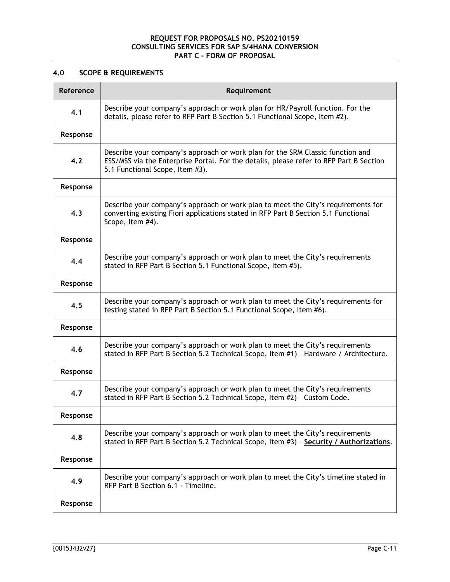# **4.0 SCOPE & REQUIREMENTS**

| Reference | Requirement                                                                                                                                                                                                 |  |
|-----------|-------------------------------------------------------------------------------------------------------------------------------------------------------------------------------------------------------------|--|
| 4.1       | Describe your company's approach or work plan for HR/Payroll function. For the<br>details, please refer to RFP Part B Section 5.1 Functional Scope, Item #2).                                               |  |
| Response  |                                                                                                                                                                                                             |  |
| 4.2       | Describe your company's approach or work plan for the SRM Classic function and<br>ESS/MSS via the Enterprise Portal. For the details, please refer to RFP Part B Section<br>5.1 Functional Scope, Item #3). |  |
| Response  |                                                                                                                                                                                                             |  |
| 4.3       | Describe your company's approach or work plan to meet the City's requirements for<br>converting existing Fiori applications stated in RFP Part B Section 5.1 Functional<br>Scope, Item #4).                 |  |
| Response  |                                                                                                                                                                                                             |  |
| 4,4       | Describe your company's approach or work plan to meet the City's requirements<br>stated in RFP Part B Section 5.1 Functional Scope, Item #5).                                                               |  |
| Response  |                                                                                                                                                                                                             |  |
| 4.5       | Describe your company's approach or work plan to meet the City's requirements for<br>testing stated in RFP Part B Section 5.1 Functional Scope, Item #6).                                                   |  |
| Response  |                                                                                                                                                                                                             |  |
| 4.6       | Describe your company's approach or work plan to meet the City's requirements<br>stated in RFP Part B Section 5.2 Technical Scope, Item #1) - Hardware / Architecture.                                      |  |
| Response  |                                                                                                                                                                                                             |  |
| 4.7       | Describe your company's approach or work plan to meet the City's requirements<br>stated in RFP Part B Section 5.2 Technical Scope, Item #2) - Custom Code.                                                  |  |
| Response  |                                                                                                                                                                                                             |  |
| 4.8       | Describe your company's approach or work plan to meet the City's requirements<br>stated in RFP Part B Section 5.2 Technical Scope, Item #3) - Security / Authorizations.                                    |  |
| Response  |                                                                                                                                                                                                             |  |
| 4.9       | Describe your company's approach or work plan to meet the City's timeline stated in<br>RFP Part B Section 6.1 - Timeline.                                                                                   |  |
| Response  |                                                                                                                                                                                                             |  |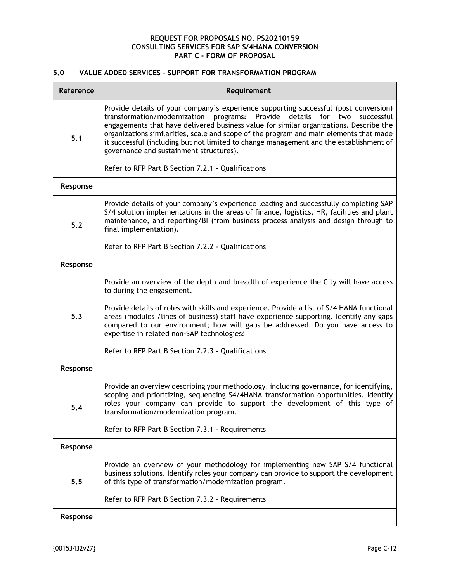# **5.0 VALUE ADDED SERVICES – SUPPORT FOR TRANSFORMATION PROGRAM**

| Reference                                                                                                                                                                                                                                                                                                                                                                                                                                                                                              | Requirement                                                                                                                                                                                                                                                                                                                                                                                                                                                                                            |  |  |
|--------------------------------------------------------------------------------------------------------------------------------------------------------------------------------------------------------------------------------------------------------------------------------------------------------------------------------------------------------------------------------------------------------------------------------------------------------------------------------------------------------|--------------------------------------------------------------------------------------------------------------------------------------------------------------------------------------------------------------------------------------------------------------------------------------------------------------------------------------------------------------------------------------------------------------------------------------------------------------------------------------------------------|--|--|
| 5.1                                                                                                                                                                                                                                                                                                                                                                                                                                                                                                    | Provide details of your company's experience supporting successful (post conversion)<br>transformation/modernization<br>programs? Provide<br>details<br>for two<br>successful<br>engagements that have delivered business value for similar organizations. Describe the<br>organizations similarities, scale and scope of the program and main elements that made<br>it successful (including but not limited to change management and the establishment of<br>governance and sustainment structures). |  |  |
|                                                                                                                                                                                                                                                                                                                                                                                                                                                                                                        | Refer to RFP Part B Section 7.2.1 - Qualifications                                                                                                                                                                                                                                                                                                                                                                                                                                                     |  |  |
| Response                                                                                                                                                                                                                                                                                                                                                                                                                                                                                               |                                                                                                                                                                                                                                                                                                                                                                                                                                                                                                        |  |  |
| $5.2$                                                                                                                                                                                                                                                                                                                                                                                                                                                                                                  | Provide details of your company's experience leading and successfully completing SAP<br>S/4 solution implementations in the areas of finance, logistics, HR, facilities and plant<br>maintenance, and reporting/BI (from business process analysis and design through to<br>final implementation).                                                                                                                                                                                                     |  |  |
|                                                                                                                                                                                                                                                                                                                                                                                                                                                                                                        | Refer to RFP Part B Section 7.2.2 - Qualifications                                                                                                                                                                                                                                                                                                                                                                                                                                                     |  |  |
| Response                                                                                                                                                                                                                                                                                                                                                                                                                                                                                               |                                                                                                                                                                                                                                                                                                                                                                                                                                                                                                        |  |  |
| Provide an overview of the depth and breadth of experience the City will have access<br>to during the engagement.<br>Provide details of roles with skills and experience. Provide a list of S/4 HANA functional<br>5.3<br>areas (modules /lines of business) staff have experience supporting. Identify any gaps<br>compared to our environment; how will gaps be addressed. Do you have access to<br>expertise in related non-SAP technologies?<br>Refer to RFP Part B Section 7.2.3 - Qualifications |                                                                                                                                                                                                                                                                                                                                                                                                                                                                                                        |  |  |
| Response                                                                                                                                                                                                                                                                                                                                                                                                                                                                                               |                                                                                                                                                                                                                                                                                                                                                                                                                                                                                                        |  |  |
| 5.4                                                                                                                                                                                                                                                                                                                                                                                                                                                                                                    | Provide an overview describing your methodology, including governance, for identifying,<br>scoping and prioritizing, sequencing S4/4HANA transformation opportunities. Identify<br>roles your company can provide to support the development of this type of<br>transformation/modernization program.                                                                                                                                                                                                  |  |  |
|                                                                                                                                                                                                                                                                                                                                                                                                                                                                                                        | Refer to RFP Part B Section 7.3.1 - Requirements                                                                                                                                                                                                                                                                                                                                                                                                                                                       |  |  |
| Response                                                                                                                                                                                                                                                                                                                                                                                                                                                                                               |                                                                                                                                                                                                                                                                                                                                                                                                                                                                                                        |  |  |
| 5.5                                                                                                                                                                                                                                                                                                                                                                                                                                                                                                    | Provide an overview of your methodology for implementing new SAP S/4 functional<br>business solutions. Identify roles your company can provide to support the development<br>of this type of transformation/modernization program.<br>Refer to RFP Part B Section 7.3.2 - Requirements                                                                                                                                                                                                                 |  |  |
|                                                                                                                                                                                                                                                                                                                                                                                                                                                                                                        |                                                                                                                                                                                                                                                                                                                                                                                                                                                                                                        |  |  |
| Response                                                                                                                                                                                                                                                                                                                                                                                                                                                                                               |                                                                                                                                                                                                                                                                                                                                                                                                                                                                                                        |  |  |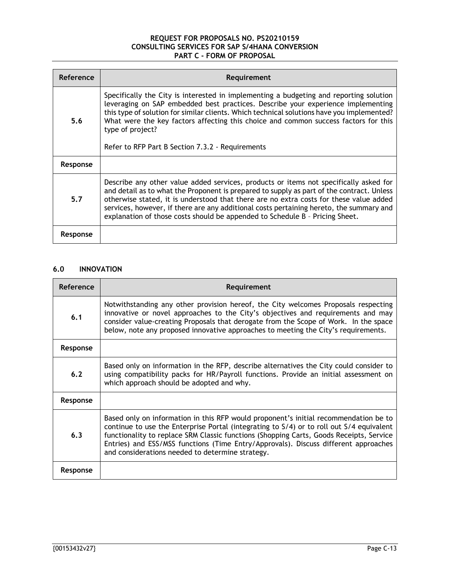| Reference | Requirement                                                                                                                                                                                                                                                                                                                                                                                                                                             |  |  |  |
|-----------|---------------------------------------------------------------------------------------------------------------------------------------------------------------------------------------------------------------------------------------------------------------------------------------------------------------------------------------------------------------------------------------------------------------------------------------------------------|--|--|--|
| 5.6       | Specifically the City is interested in implementing a budgeting and reporting solution<br>leveraging on SAP embedded best practices. Describe your experience implementing<br>this type of solution for similar clients. Which technical solutions have you implemented?<br>What were the key factors affecting this choice and common success factors for this<br>type of project?                                                                     |  |  |  |
|           | Refer to RFP Part B Section 7.3.2 - Requirements                                                                                                                                                                                                                                                                                                                                                                                                        |  |  |  |
| Response  |                                                                                                                                                                                                                                                                                                                                                                                                                                                         |  |  |  |
| 5.7       | Describe any other value added services, products or items not specifically asked for<br>and detail as to what the Proponent is prepared to supply as part of the contract. Unless<br>otherwise stated, it is understood that there are no extra costs for these value added<br>services, however, if there are any additional costs pertaining hereto, the summary and<br>explanation of those costs should be appended to Schedule B - Pricing Sheet. |  |  |  |
| Response  |                                                                                                                                                                                                                                                                                                                                                                                                                                                         |  |  |  |

# **6.0 INNOVATION**

| Reference | Requirement                                                                                                                                                                                                                                                                                                                                                                                                            |  |  |
|-----------|------------------------------------------------------------------------------------------------------------------------------------------------------------------------------------------------------------------------------------------------------------------------------------------------------------------------------------------------------------------------------------------------------------------------|--|--|
| 6.1       | Notwithstanding any other provision hereof, the City welcomes Proposals respecting<br>innovative or novel approaches to the City's objectives and requirements and may<br>consider value-creating Proposals that derogate from the Scope of Work. In the space<br>below, note any proposed innovative approaches to meeting the City's requirements.                                                                   |  |  |
| Response  |                                                                                                                                                                                                                                                                                                                                                                                                                        |  |  |
| 6.2       | Based only on information in the RFP, describe alternatives the City could consider to<br>using compatibility packs for HR/Payroll functions. Provide an initial assessment on<br>which approach should be adopted and why.                                                                                                                                                                                            |  |  |
| Response  |                                                                                                                                                                                                                                                                                                                                                                                                                        |  |  |
| 6.3       | Based only on information in this RFP would proponent's initial recommendation be to<br>continue to use the Enterprise Portal (integrating to S/4) or to roll out S/4 equivalent<br>functionality to replace SRM Classic functions (Shopping Carts, Goods Receipts, Service<br>Entries) and ESS/MSS functions (Time Entry/Approvals). Discuss different approaches<br>and considerations needed to determine strategy. |  |  |
| Response  |                                                                                                                                                                                                                                                                                                                                                                                                                        |  |  |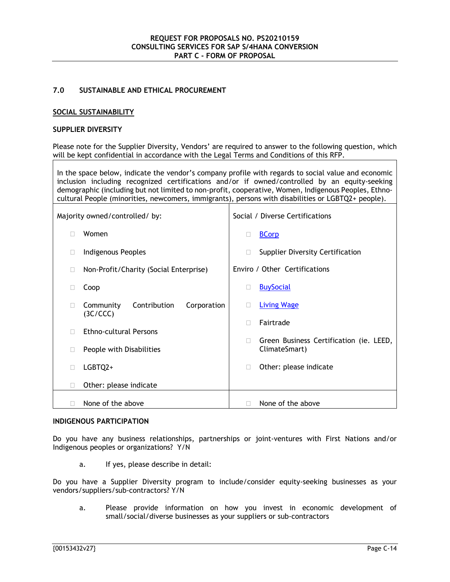## **7.0 SUSTAINABLE AND ETHICAL PROCUREMENT**

#### **SOCIAL SUSTAINABILITY**

#### **SUPPLIER DIVERSITY**

Please note for the Supplier Diversity, Vendors' are required to answer to the following question, which will be kept confidential in accordance with the Legal Terms and Conditions of this RFP.

In the space below, indicate the vendor's company profile with regards to social value and economic inclusion including recognized certifications and/or if owned/controlled by an equity-seeking demographic (including but not limited to non-profit, cooperative, Women, Indigenous Peoples, Ethnocultural People (minorities, newcomers, immigrants), persons with disabilities or LGBTQ2+ people).

| Majority owned/controlled/by: |                                                      | Social / Diverse Certifications                         |                                         |
|-------------------------------|------------------------------------------------------|---------------------------------------------------------|-----------------------------------------|
|                               | Women                                                | <b>BCorp</b><br>н                                       |                                         |
|                               | Indigenous Peoples                                   | <b>Supplier Diversity Certification</b><br>$\mathbf{L}$ |                                         |
|                               | Non-Profit/Charity (Social Enterprise)               | Enviro / Other Certifications                           |                                         |
|                               | Coop                                                 | <b>BuySocial</b>                                        |                                         |
|                               | Contribution<br>Corporation<br>Community<br>(3C/CCC) | <b>Living Wage</b>                                      |                                         |
|                               | Ethno-cultural Persons                               | Fairtrade                                               |                                         |
|                               | People with Disabilities                             | ClimateSmart)                                           | Green Business Certification (ie. LEED, |
|                               | LGBTQ2+                                              | Other: please indicate<br>□                             |                                         |
|                               | Other: please indicate                               |                                                         |                                         |
|                               | None of the above                                    | None of the above                                       |                                         |

#### **INDIGENOUS PARTICIPATION**

Do you have any business relationships, partnerships or joint-ventures with First Nations and/or Indigenous peoples or organizations? Y/N

a. If yes, please describe in detail:

Do you have a Supplier Diversity program to include/consider equity-seeking businesses as your vendors/suppliers/sub-contractors? Y/N

a. Please provide information on how you invest in economic development of small/social/diverse businesses as your suppliers or sub-contractors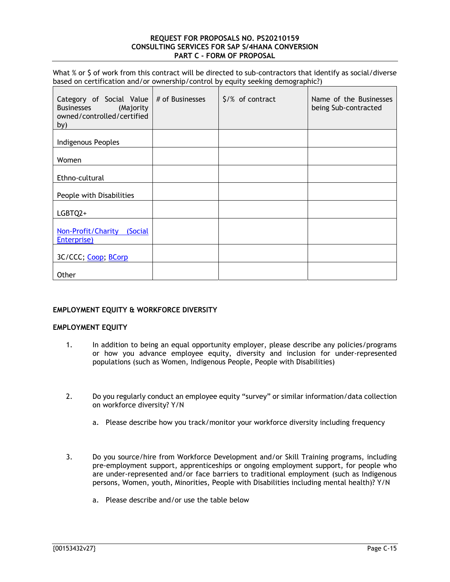What % or \$ of work from this contract will be directed to sub-contractors that identify as social/diverse based on certification and/or ownership/control by equity seeking demographic?)

| Category of Social Value $#$ of Businesses<br><b>Businesses</b><br>(Majority<br>owned/controlled/certified<br>by) | \$/% of contract | Name of the Businesses<br>being Sub-contracted |
|-------------------------------------------------------------------------------------------------------------------|------------------|------------------------------------------------|
| Indigenous Peoples                                                                                                |                  |                                                |
| Women                                                                                                             |                  |                                                |
| Ethno-cultural                                                                                                    |                  |                                                |
| People with Disabilities                                                                                          |                  |                                                |
| LGBTQ2+                                                                                                           |                  |                                                |
| Non-Profit/Charity (Social<br>Enterprise)                                                                         |                  |                                                |
| 3C/CCC; Coop; BCorp                                                                                               |                  |                                                |
| Other                                                                                                             |                  |                                                |

#### **EMPLOYMENT EQUITY & WORKFORCE DIVERSITY**

### **EMPLOYMENT EQUITY**

- 1. In addition to being an equal opportunity employer, please describe any policies/programs or how you advance employee equity, diversity and inclusion for under-represented populations (such as Women, Indigenous People, People with Disabilities)
- 2. Do you regularly conduct an employee equity "survey" or similar information/data collection on workforce diversity? Y/N
	- a. Please describe how you track/monitor your workforce diversity including frequency
- 3. Do you source/hire from Workforce Development and/or Skill Training programs, including pre-employment support, apprenticeships or ongoing employment support, for people who are under-represented and/or face barriers to traditional employment (such as Indigenous persons, Women, youth, Minorities, People with Disabilities including mental health)? Y/N
	- a. Please describe and/or use the table below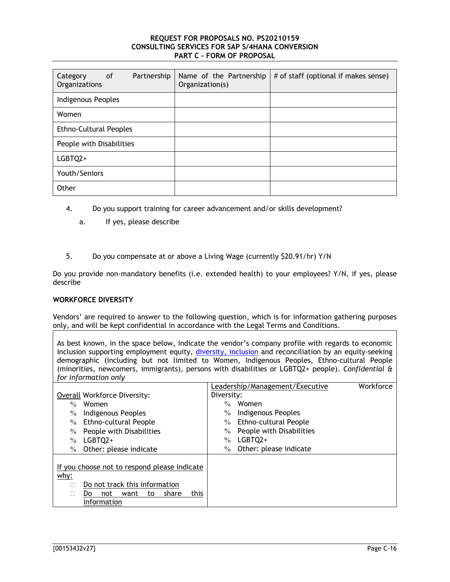| of<br>Partnership<br>Category<br>Organizations | Name of the Partnership<br>Organization(s) | # of staff (optional if makes sense) |
|------------------------------------------------|--------------------------------------------|--------------------------------------|
| Indigenous Peoples                             |                                            |                                      |
| Women                                          |                                            |                                      |
| <b>Ethno-Cultural Peoples</b>                  |                                            |                                      |
| People with Disabilities                       |                                            |                                      |
| LGBTQ2+                                        |                                            |                                      |
| Youth/Seniors                                  |                                            |                                      |
| Other                                          |                                            |                                      |

- 4. Do you support training for career advancement and/or skills development?
	- a. If yes, please describe
- 5. Do you compensate at or above a Living Wage (currently \$20.91/hr) Y/N

Do you provide non-mandatory benefits (i.e. extended health) to your employees? Y/N, if yes, please describe

#### **WORKFORCE DIVERSITY**

Vendors' are required to answer to the following question, which is for information gathering purposes only, and will be kept confidential in accordance with the Legal Terms and Conditions.

As best known, in the space below, indicate the vendor's company profile with regards to economic inclusion supporting employment equity, diversity, inclusion and reconciliation by an equity-seeking demographic (including but not limited to Women, Indigenous Peoples, Ethno-cultural People (minorities, newcomers, immigrants), persons with disabilities or LGBTQ2+ people). *Confidential & for information only*

|                                                      | Leadership/Management/Executive      | Workforce |
|------------------------------------------------------|--------------------------------------|-----------|
| <b>Overall Workforce Diversity:</b>                  | Diversity:                           |           |
| $\%$<br>Women                                        | Women<br>$\frac{0}{0}$               |           |
| Indigenous Peoples<br>$\frac{0}{0}$                  | Indigenous Peoples<br>$\%$           |           |
| Ethno-cultural People<br>$\%$                        | <b>Ethno-cultural People</b><br>$\%$ |           |
| People with Disabilities<br>$\%$                     | People with Disabilities<br>$\%$     |           |
| LGBTQ2+<br>$\frac{0}{0}$                             | LGBTO <sub>2+</sub><br>$\%$          |           |
| Other: please indicate<br>$\frac{0}{0}$              | Other: please indicate<br>$\%$       |           |
| If you choose not to respond please indicate<br>why: |                                      |           |
| Do not track this information                        |                                      |           |
| this<br>share<br>not<br>want<br>Do<br>to             |                                      |           |
| information                                          |                                      |           |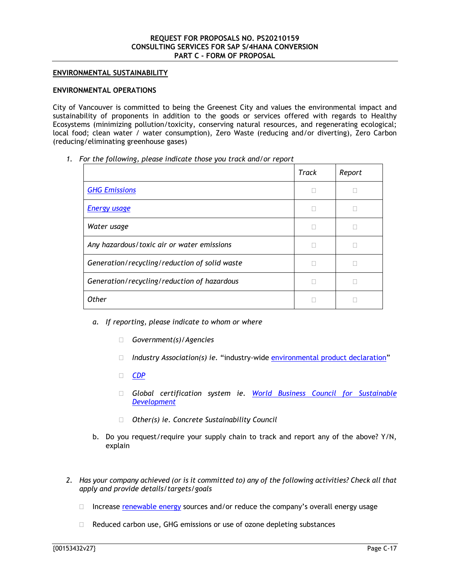## **ENVIRONMENTAL SUSTAINABILITY**

#### **ENVIRONMENTAL OPERATIONS**

City of Vancouver is committed to being the Greenest City and values the environmental impact and sustainability of proponents in addition to the goods or services offered with regards to Healthy Ecosystems (minimizing pollution/toxicity, conserving natural resources, and regenerating ecological; local food; clean water / water consumption), Zero Waste (reducing and/or diverting), Zero Carbon (reducing/eliminating greenhouse gases)

*1. For the following, please indicate those you track and/or report* 

|                                               | Track | Report |
|-----------------------------------------------|-------|--------|
| <b>GHG Emissions</b>                          |       |        |
| <b>Energy usage</b>                           |       |        |
| Water usage                                   |       |        |
| Any hazardous/toxic air or water emissions    | ш     |        |
| Generation/recycling/reduction of solid waste |       |        |
| Generation/recycling/reduction of hazardous   |       |        |
| Other                                         |       |        |

- *a. If reporting, please indicate to whom or where* 
	- *Government(s)/Agencies*
	- *Industry Association(s) ie.* "industry-wide environmental product declaration"
	- *CDP*
	- *Global certification system ie. World Business Council for Sustainable Development*
	- *Other(s) ie. Concrete Sustainability Council*
- b. Do you request/require your supply chain to track and report any of the above? Y/N, explain
- *2. Has your company achieved (or is it committed to) any of the following activities? Check all that apply and provide details/targets/goals* 
	- Increase renewable energy sources and/or reduce the company's overall energy usage
	- $\Box$  Reduced carbon use, GHG emissions or use of ozone depleting substances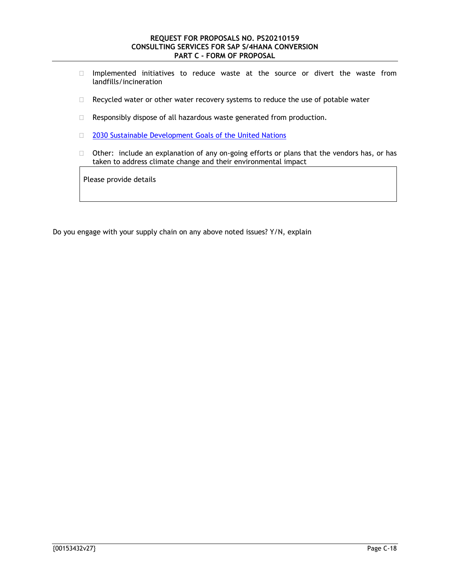- $\Box$  Implemented initiatives to reduce waste at the source or divert the waste from landfills/incineration
- $\Box$  Recycled water or other water recovery systems to reduce the use of potable water
- $\Box$  Responsibly dispose of all hazardous waste generated from production.
- □ 2030 Sustainable Development Goals of the United Nations
- Other: include an explanation of any on-going efforts or plans that the vendors has, or has taken to address climate change and their environmental impact

Please provide details

Do you engage with your supply chain on any above noted issues? Y/N, explain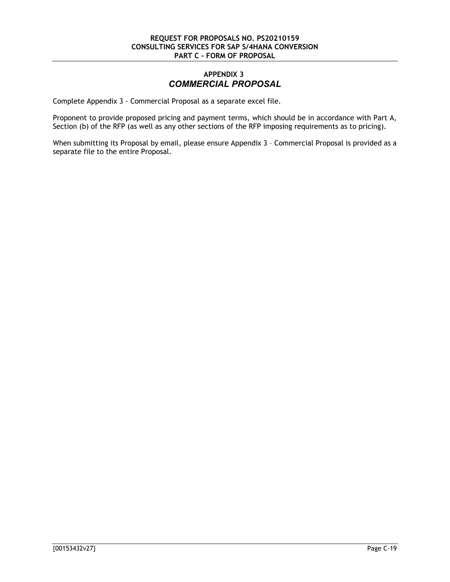# **APPENDIX 3** *COMMERCIAL PROPOSAL*

Complete Appendix 3 - Commercial Proposal as a separate excel file.

Proponent to provide proposed pricing and payment terms, which should be in accordance with Part A, Section (b) of the RFP (as well as any other sections of the RFP imposing requirements as to pricing).

When submitting its Proposal by email, please ensure Appendix 3 - Commercial Proposal is provided as a separate file to the entire Proposal.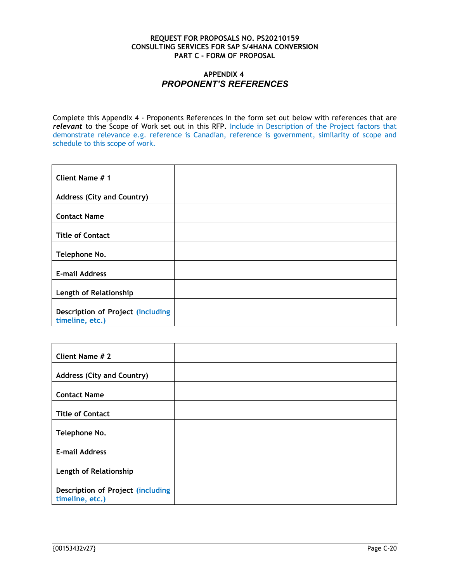# **APPENDIX 4** *PROPONENT'S REFERENCES*

Complete this Appendix 4 - Proponents References in the form set out below with references that are *relevant* to the Scope of Work set out in this RFP. Include in Description of the Project factors that demonstrate relevance e.g. reference is Canadian, reference is government, similarity of scope and schedule to this scope of work.

| Client Name #1                                              |  |
|-------------------------------------------------------------|--|
| <b>Address (City and Country)</b>                           |  |
| <b>Contact Name</b>                                         |  |
| <b>Title of Contact</b>                                     |  |
| Telephone No.                                               |  |
| <b>E-mail Address</b>                                       |  |
| Length of Relationship                                      |  |
| <b>Description of Project (including</b><br>timeline, etc.) |  |

| Client Name # 2                                             |  |
|-------------------------------------------------------------|--|
| <b>Address (City and Country)</b>                           |  |
| <b>Contact Name</b>                                         |  |
| <b>Title of Contact</b>                                     |  |
| Telephone No.                                               |  |
| <b>E-mail Address</b>                                       |  |
| Length of Relationship                                      |  |
| <b>Description of Project (including</b><br>timeline, etc.) |  |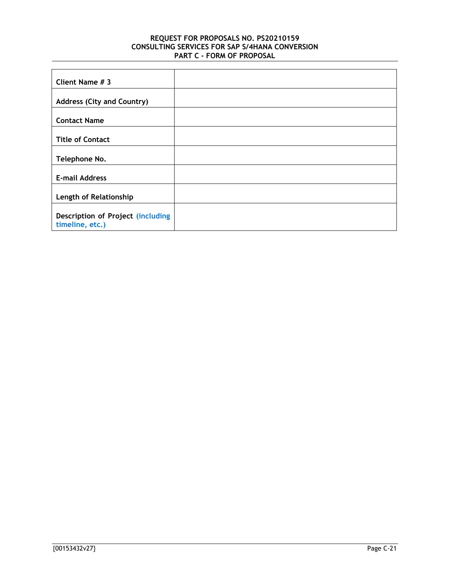| Client Name # 3                                             |  |
|-------------------------------------------------------------|--|
|                                                             |  |
| <b>Address (City and Country)</b>                           |  |
|                                                             |  |
| <b>Contact Name</b>                                         |  |
|                                                             |  |
| <b>Title of Contact</b>                                     |  |
|                                                             |  |
| Telephone No.                                               |  |
|                                                             |  |
| <b>E-mail Address</b>                                       |  |
|                                                             |  |
| Length of Relationship                                      |  |
|                                                             |  |
| <b>Description of Project (including</b><br>timeline, etc.) |  |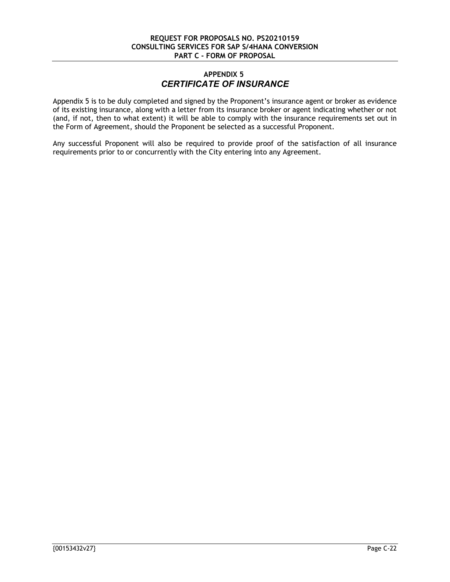# **APPENDIX 5** *CERTIFICATE OF INSURANCE*

Appendix 5 is to be duly completed and signed by the Proponent's insurance agent or broker as evidence of its existing insurance, along with a letter from its insurance broker or agent indicating whether or not (and, if not, then to what extent) it will be able to comply with the insurance requirements set out in the Form of Agreement, should the Proponent be selected as a successful Proponent.

Any successful Proponent will also be required to provide proof of the satisfaction of all insurance requirements prior to or concurrently with the City entering into any Agreement.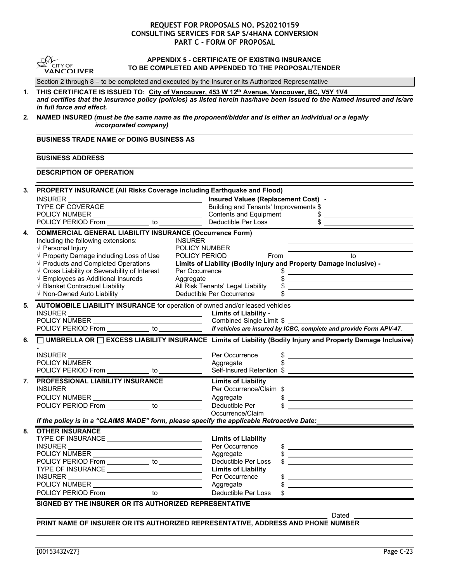|    | <b>CITY OF</b><br><b>VANCOUVER</b>                                                                                                                                                                                                                                                                                                                                                          | <b>APPENDIX 5 - CERTIFICATE OF EXISTING INSURANCE</b><br>TO BE COMPLETED AND APPENDED TO THE PROPOSAL/TENDER |                                                                                                                                                                                                                                                                                                                     |
|----|---------------------------------------------------------------------------------------------------------------------------------------------------------------------------------------------------------------------------------------------------------------------------------------------------------------------------------------------------------------------------------------------|--------------------------------------------------------------------------------------------------------------|---------------------------------------------------------------------------------------------------------------------------------------------------------------------------------------------------------------------------------------------------------------------------------------------------------------------|
|    | Section 2 through 8 - to be completed and executed by the Insurer or its Authorized Representative                                                                                                                                                                                                                                                                                          |                                                                                                              |                                                                                                                                                                                                                                                                                                                     |
| 1. | THIS CERTIFICATE IS ISSUED TO: City of Vancouver, 453 W 12th Avenue, Vancouver, BC, V5Y 1V4<br>and certifies that the insurance policy (policies) as listed herein has/have been issued to the Named Insured and is/are<br>in full force and effect.                                                                                                                                        |                                                                                                              |                                                                                                                                                                                                                                                                                                                     |
| 2. | NAMED INSURED (must be the same name as the proponent/bidder and is either an individual or a legally                                                                                                                                                                                                                                                                                       |                                                                                                              |                                                                                                                                                                                                                                                                                                                     |
|    | incorporated company)<br><b>BUSINESS TRADE NAME OF DOING BUSINESS AS</b>                                                                                                                                                                                                                                                                                                                    |                                                                                                              |                                                                                                                                                                                                                                                                                                                     |
|    |                                                                                                                                                                                                                                                                                                                                                                                             |                                                                                                              |                                                                                                                                                                                                                                                                                                                     |
|    | <b>BUSINESS ADDRESS</b>                                                                                                                                                                                                                                                                                                                                                                     |                                                                                                              |                                                                                                                                                                                                                                                                                                                     |
|    | <b>DESCRIPTION OF OPERATION</b>                                                                                                                                                                                                                                                                                                                                                             |                                                                                                              |                                                                                                                                                                                                                                                                                                                     |
|    | 3. PROPERTY INSURANCE (All Risks Coverage including Earthquake and Flood)                                                                                                                                                                                                                                                                                                                   |                                                                                                              |                                                                                                                                                                                                                                                                                                                     |
|    |                                                                                                                                                                                                                                                                                                                                                                                             |                                                                                                              |                                                                                                                                                                                                                                                                                                                     |
|    |                                                                                                                                                                                                                                                                                                                                                                                             |                                                                                                              |                                                                                                                                                                                                                                                                                                                     |
|    |                                                                                                                                                                                                                                                                                                                                                                                             |                                                                                                              |                                                                                                                                                                                                                                                                                                                     |
| 4. | <b>COMMERCIAL GENERAL LIABILITY INSURANCE (Occurrence Form)</b><br>Including the following extensions:<br>$\sqrt{\phantom{a}}$ Personal Injury                                                                                                                                                                                                                                              | <b>INSURER</b><br>POLICY NUMBER                                                                              |                                                                                                                                                                                                                                                                                                                     |
|    | $\sqrt{ }$ Property Damage including Loss of Use<br>$\sqrt{}$ Products and Completed Operations<br>$\sqrt{2}$ Cross Liability or Severability of Interest                                                                                                                                                                                                                                   | POLICY PERIOD<br>Limits of Liability (Bodily Injury and Property Damage Inclusive) -<br>Per Occurrence       | $\frac{1}{2}$                                                                                                                                                                                                                                                                                                       |
|    | $\sqrt{\phantom{a}}$ Employees as Additional Insureds<br>$\sqrt{ }$ Blanket Contractual Liability                                                                                                                                                                                                                                                                                           | Aggregate<br>All Risk Tenants' Legal Liability                                                               | $\frac{1}{2}$<br>$\frac{1}{2}$                                                                                                                                                                                                                                                                                      |
|    | $\sqrt{ }$ Non-Owned Auto Liability                                                                                                                                                                                                                                                                                                                                                         | Deductible Per Occurrence                                                                                    |                                                                                                                                                                                                                                                                                                                     |
|    | 5. AUTOMOBILE LIABILITY INSURANCE for operation of owned and/or leased vehicles                                                                                                                                                                                                                                                                                                             |                                                                                                              |                                                                                                                                                                                                                                                                                                                     |
|    | <b>INSURER</b><br><u> 1989 - Johann Barnett, fransk politiker (d. 1989)</u>                                                                                                                                                                                                                                                                                                                 | <b>Limits of Liability -</b><br>Combined Single Limit \$                                                     |                                                                                                                                                                                                                                                                                                                     |
|    | POLICY NUMBER<br>POLICY PERIOD From ____________ to ___________                                                                                                                                                                                                                                                                                                                             |                                                                                                              | If vehicles are insured by ICBC, complete and provide Form APV-47.                                                                                                                                                                                                                                                  |
|    | 6. <b>O UMBRELLA OR O EXCESS LIABILITY INSURANCE</b> Limits of Liability (Bodily Injury and Property Damage Inclusive)                                                                                                                                                                                                                                                                      |                                                                                                              |                                                                                                                                                                                                                                                                                                                     |
|    | <b>INSURER</b>                                                                                                                                                                                                                                                                                                                                                                              | Per Occurrence                                                                                               |                                                                                                                                                                                                                                                                                                                     |
|    | <u> 1989 - Johann Barnett, fransk politiker (</u>                                                                                                                                                                                                                                                                                                                                           | Aggregate                                                                                                    | $\frac{1}{2}$<br>$\frac{1}{2}$                                                                                                                                                                                                                                                                                      |
|    | POLICY NUMBER<br>POLICY PERIOD From _____________ to ____________                                                                                                                                                                                                                                                                                                                           |                                                                                                              | Self-Insured Retention \$                                                                                                                                                                                                                                                                                           |
|    | PROFESSIONAL LIABILITY INSURANCE                                                                                                                                                                                                                                                                                                                                                            | <b>Limits of Liability</b>                                                                                   |                                                                                                                                                                                                                                                                                                                     |
|    |                                                                                                                                                                                                                                                                                                                                                                                             | Aggregate                                                                                                    | $\frac{1}{2}$                                                                                                                                                                                                                                                                                                       |
|    | POLICY PERIOD From _____________ to ____________                                                                                                                                                                                                                                                                                                                                            | Deductible Per                                                                                               | $\frac{1}{2}$ $\frac{1}{2}$ $\frac{1}{2}$ $\frac{1}{2}$ $\frac{1}{2}$ $\frac{1}{2}$ $\frac{1}{2}$ $\frac{1}{2}$ $\frac{1}{2}$ $\frac{1}{2}$ $\frac{1}{2}$ $\frac{1}{2}$ $\frac{1}{2}$ $\frac{1}{2}$ $\frac{1}{2}$ $\frac{1}{2}$ $\frac{1}{2}$ $\frac{1}{2}$ $\frac{1}{2}$ $\frac{1}{2}$ $\frac{1}{2}$ $\frac{1}{2}$ |
|    |                                                                                                                                                                                                                                                                                                                                                                                             | Occurrence/Claim                                                                                             |                                                                                                                                                                                                                                                                                                                     |
|    | If the policy is in a "CLAIMS MADE" form, please specify the applicable Retroactive Date: ____________________                                                                                                                                                                                                                                                                              |                                                                                                              |                                                                                                                                                                                                                                                                                                                     |
| 8. | <b>OTHER INSURANCE</b>                                                                                                                                                                                                                                                                                                                                                                      |                                                                                                              |                                                                                                                                                                                                                                                                                                                     |
|    |                                                                                                                                                                                                                                                                                                                                                                                             | <b>Limits of Liability</b><br>Per Occurrence                                                                 | $\frac{1}{2}$                                                                                                                                                                                                                                                                                                       |
|    |                                                                                                                                                                                                                                                                                                                                                                                             | Aggregate                                                                                                    | $\frac{1}{2}$                                                                                                                                                                                                                                                                                                       |
|    | POLICY NUMBER<br>POLICY PERIOD From ____________ to ___________                                                                                                                                                                                                                                                                                                                             | Deductible Per Loss                                                                                          | $\frac{1}{2}$ $\frac{1}{2}$ $\frac{1}{2}$ $\frac{1}{2}$ $\frac{1}{2}$ $\frac{1}{2}$ $\frac{1}{2}$ $\frac{1}{2}$ $\frac{1}{2}$ $\frac{1}{2}$ $\frac{1}{2}$ $\frac{1}{2}$ $\frac{1}{2}$ $\frac{1}{2}$ $\frac{1}{2}$ $\frac{1}{2}$ $\frac{1}{2}$ $\frac{1}{2}$ $\frac{1}{2}$ $\frac{1}{2}$ $\frac{1}{2}$ $\frac{1}{2}$ |
|    | TYPE OF INSURANCE ___________________________                                                                                                                                                                                                                                                                                                                                               | <b>Limits of Liability</b>                                                                                   |                                                                                                                                                                                                                                                                                                                     |
|    | $\begin{picture}(20,10) \put(0,0){\dashbox{0.5}(10,0){ }} \put(15,0){\circle{10}} \put(25,0){\circle{10}} \put(25,0){\circle{10}} \put(25,0){\circle{10}} \put(25,0){\circle{10}} \put(25,0){\circle{10}} \put(25,0){\circle{10}} \put(25,0){\circle{10}} \put(25,0){\circle{10}} \put(25,0){\circle{10}} \put(25,0){\circle{10}} \put(25,0){\circle{10}} \put(25,0){\circle{10}} \put(25,$ | Per Occurrence<br>Aggregate                                                                                  | $\frac{1}{2}$                                                                                                                                                                                                                                                                                                       |
|    | POLICY NUMBER<br>POLICY PERIOD From _____________ to ____________                                                                                                                                                                                                                                                                                                                           | Deductible Per Loss                                                                                          | $\frac{1}{2}$<br>$\frac{1}{2}$                                                                                                                                                                                                                                                                                      |
|    | SIGNED BY THE INSURER OR ITS AUTHORIZED REPRESENTATIVE                                                                                                                                                                                                                                                                                                                                      |                                                                                                              |                                                                                                                                                                                                                                                                                                                     |
|    |                                                                                                                                                                                                                                                                                                                                                                                             |                                                                                                              |                                                                                                                                                                                                                                                                                                                     |
|    | PRINT NAME OF INSURER OR ITS AUTHORIZED REPRESENTATIVE, ADDRESS AND PHONE NUMBER                                                                                                                                                                                                                                                                                                            |                                                                                                              | Dated                                                                                                                                                                                                                                                                                                               |
|    |                                                                                                                                                                                                                                                                                                                                                                                             |                                                                                                              |                                                                                                                                                                                                                                                                                                                     |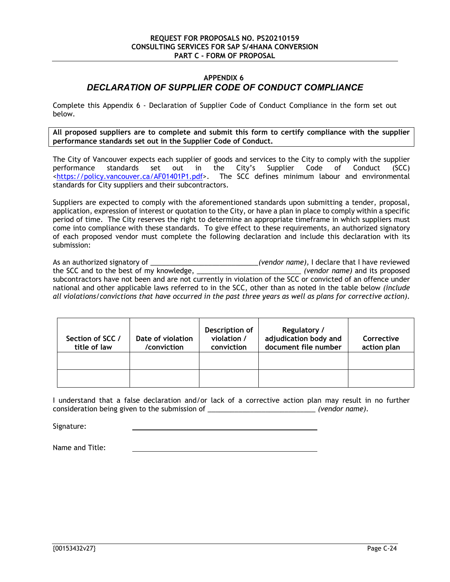# **APPENDIX 6** *DECLARATION OF SUPPLIER CODE OF CONDUCT COMPLIANCE*

Complete this Appendix 6 - Declaration of Supplier Code of Conduct Compliance in the form set out below.

**All proposed suppliers are to complete and submit this form to certify compliance with the supplier performance standards set out in the Supplier Code of Conduct.** 

The City of Vancouver expects each supplier of goods and services to the City to comply with the supplier performance standards set out in the City's Supplier Code of Conduct (SCC) <https://policy.vancouver.ca/AF01401P1.pdf>. The SCC defines minimum labour and environmental standards for City suppliers and their subcontractors.

Suppliers are expected to comply with the aforementioned standards upon submitting a tender, proposal, application, expression of interest or quotation to the City, or have a plan in place to comply within a specific period of time. The City reserves the right to determine an appropriate timeframe in which suppliers must come into compliance with these standards. To give effect to these requirements, an authorized signatory of each proposed vendor must complete the following declaration and include this declaration with its submission:

As an authorized signatory of \_\_\_\_\_\_\_\_\_\_\_\_\_\_\_\_\_\_\_\_\_\_\_\_\_\_\_\_*(vendor name),* I declare that I have reviewed the SCC and to the best of my knowledge, \_\_\_\_\_\_\_\_\_\_\_\_\_\_\_\_\_\_\_\_\_\_\_\_\_\_\_ *(vendor name)* and its proposed subcontractors have not been and are not currently in violation of the SCC or convicted of an offence under national and other applicable laws referred to in the SCC, other than as noted in the table below *(include all violations/convictions that have occurred in the past three years as well as plans for corrective action).*

| Section of SCC /<br>title of law | Date of violation<br>/conviction | Description of<br>violation /<br>conviction | Regulatory /<br>adjudication body and<br>document file number | Corrective<br>action plan |
|----------------------------------|----------------------------------|---------------------------------------------|---------------------------------------------------------------|---------------------------|
|                                  |                                  |                                             |                                                               |                           |
|                                  |                                  |                                             |                                                               |                           |

I understand that a false declaration and/or lack of a corrective action plan may result in no further consideration being given to the submission of \_\_\_\_\_\_\_\_\_\_\_\_\_\_\_\_\_\_\_\_\_\_\_\_\_\_\_\_ *(vendor name).* 

Signature:

Name and Title: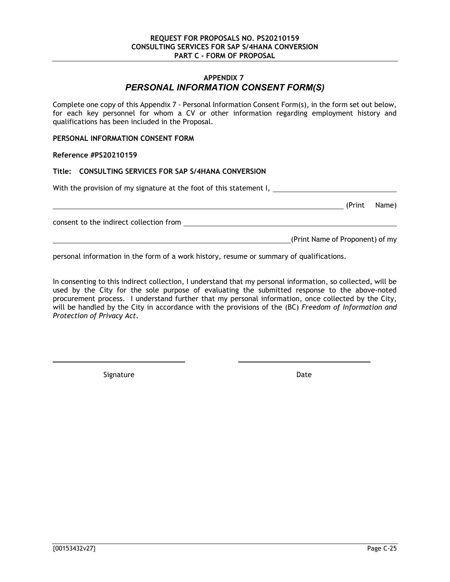# **APPENDIX 7** *PERSONAL INFORMATION CONSENT FORM(S)*

Complete one copy of this Appendix 7 - Personal Information Consent Form(s), in the form set out below, for each key personnel for whom a CV or other information regarding employment history and qualifications has been included in the Proposal.

# **PERSONAL INFORMATION CONSENT FORM**

#### **Reference #PS20210159**

## **Title: CONSULTING SERVICES FOR SAP S/4HANA CONVERSION**

With the provision of my signature at the foot of this statement I,

consent to the indirect collection from

(Print Name of Proponent) of my

(Print Name)

personal information in the form of a work history, resume or summary of qualifications.

In consenting to this indirect collection, I understand that my personal information, so collected, will be used by the City for the sole purpose of evaluating the submitted response to the above-noted procurement process. I understand further that my personal information, once collected by the City, will be handled by the City in accordance with the provisions of the (BC) *Freedom of Information and Protection of Privacy Act*.

Signature Date Date Date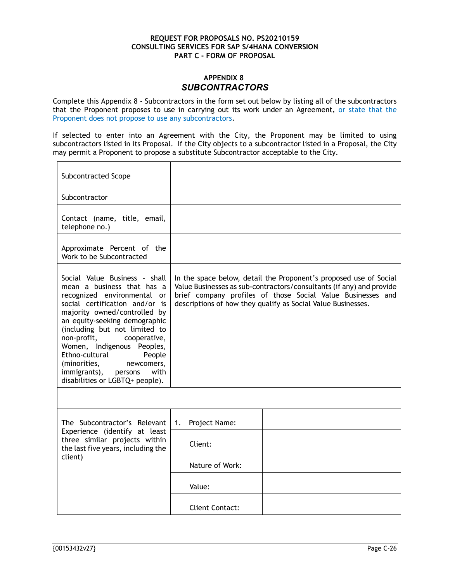# **APPENDIX 8** *SUBCONTRACTORS*

Complete this Appendix 8 - Subcontractors in the form set out below by listing all of the subcontractors that the Proponent proposes to use in carrying out its work under an Agreement, or state that the Proponent does not propose to use any subcontractors.

If selected to enter into an Agreement with the City, the Proponent may be limited to using subcontractors listed in its Proposal. If the City objects to a subcontractor listed in a Proposal, the City may permit a Proponent to propose a substitute Subcontractor acceptable to the City.

| Subcontracted Scope                                                                                                                                                                                                                                                                                                                                                                                                         |                                                                                                                                                                                                                                                                          |  |
|-----------------------------------------------------------------------------------------------------------------------------------------------------------------------------------------------------------------------------------------------------------------------------------------------------------------------------------------------------------------------------------------------------------------------------|--------------------------------------------------------------------------------------------------------------------------------------------------------------------------------------------------------------------------------------------------------------------------|--|
| Subcontractor                                                                                                                                                                                                                                                                                                                                                                                                               |                                                                                                                                                                                                                                                                          |  |
| Contact (name, title, email,<br>telephone no.)                                                                                                                                                                                                                                                                                                                                                                              |                                                                                                                                                                                                                                                                          |  |
| Approximate Percent of the<br>Work to be Subcontracted                                                                                                                                                                                                                                                                                                                                                                      |                                                                                                                                                                                                                                                                          |  |
| Social Value Business - shall<br>mean a business that has a<br>recognized environmental or<br>social certification and/or is<br>majority owned/controlled by<br>an equity-seeking demographic<br>(including but not limited to<br>non-profit,<br>cooperative,<br>Women, Indigenous Peoples,<br>Ethno-cultural<br>People<br>(minorities,<br>newcomers,<br>with<br>immigrants),<br>persons<br>disabilities or LGBTQ+ people). | In the space below, detail the Proponent's proposed use of Social<br>Value Businesses as sub-contractors/consultants (if any) and provide<br>brief company profiles of those Social Value Businesses and<br>descriptions of how they qualify as Social Value Businesses. |  |
|                                                                                                                                                                                                                                                                                                                                                                                                                             |                                                                                                                                                                                                                                                                          |  |
| The Subcontractor's Relevant                                                                                                                                                                                                                                                                                                                                                                                                | 1.<br>Project Name:                                                                                                                                                                                                                                                      |  |
| Experience (identify at least<br>three similar projects within<br>the last five years, including the<br>client)                                                                                                                                                                                                                                                                                                             | Client:                                                                                                                                                                                                                                                                  |  |
|                                                                                                                                                                                                                                                                                                                                                                                                                             | Nature of Work:                                                                                                                                                                                                                                                          |  |
|                                                                                                                                                                                                                                                                                                                                                                                                                             | Value:                                                                                                                                                                                                                                                                   |  |
|                                                                                                                                                                                                                                                                                                                                                                                                                             | Client Contact:                                                                                                                                                                                                                                                          |  |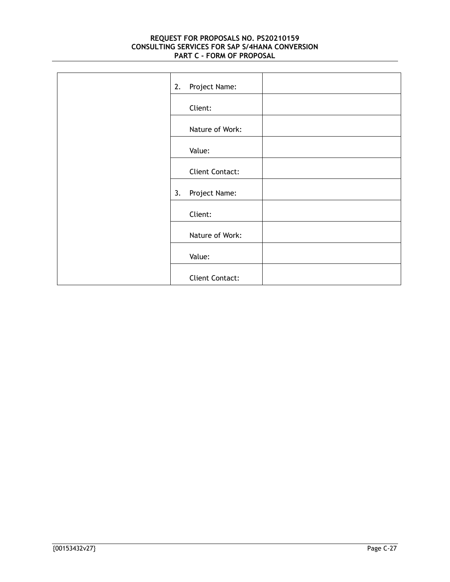| Project Name:<br>2.    |
|------------------------|
| Client:                |
| Nature of Work:        |
| Value:                 |
| <b>Client Contact:</b> |
| Project Name:<br>3.    |
| Client:                |
| Nature of Work:        |
| Value:                 |
| <b>Client Contact:</b> |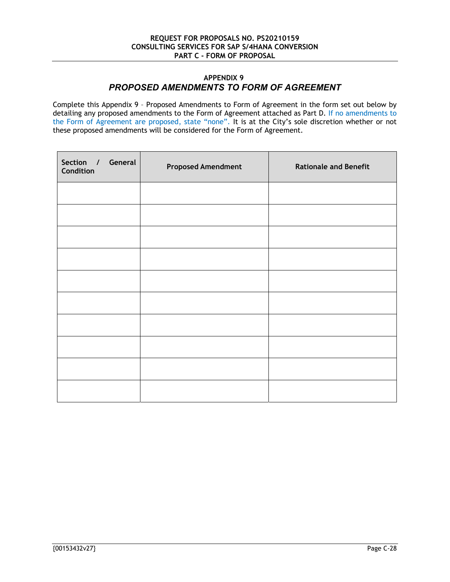# **APPENDIX 9** *PROPOSED AMENDMENTS TO FORM OF AGREEMENT*

Complete this Appendix 9 – Proposed Amendments to Form of Agreement in the form set out below by detailing any proposed amendments to the Form of Agreement attached as Part D. If no amendments to the Form of Agreement are proposed, state "none". It is at the City's sole discretion whether or not these proposed amendments will be considered for the Form of Agreement.

| Section / General<br>Condition | <b>Proposed Amendment</b> | <b>Rationale and Benefit</b> |
|--------------------------------|---------------------------|------------------------------|
|                                |                           |                              |
|                                |                           |                              |
|                                |                           |                              |
|                                |                           |                              |
|                                |                           |                              |
|                                |                           |                              |
|                                |                           |                              |
|                                |                           |                              |
|                                |                           |                              |
|                                |                           |                              |

 $\blacksquare$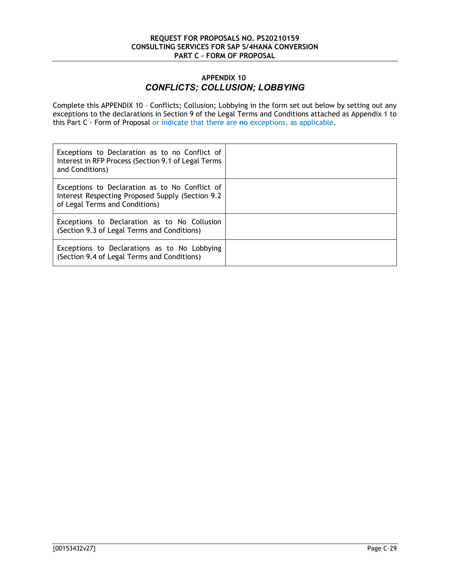# **APPENDIX 10** *CONFLICTS; COLLUSION; LOBBYING*

Complete this APPENDIX 10 – Conflicts; Collusion; Lobbying in the form set out below by setting out any exceptions to the declarations in Section 9 of the Legal Terms and Conditions attached as Appendix 1 to this Part C - Form of Proposal or indicate that there are **no** exceptions, as applicable.

| Exceptions to Declaration as to no Conflict of<br>Interest in RFP Process (Section 9.1 of Legal Terms<br>and Conditions)              |  |
|---------------------------------------------------------------------------------------------------------------------------------------|--|
| Exceptions to Declaration as to No Conflict of<br>Interest Respecting Proposed Supply (Section 9.2)<br>of Legal Terms and Conditions) |  |
| Exceptions to Declaration as to No Collusion<br>(Section 9.3 of Legal Terms and Conditions)                                           |  |
| Exceptions to Declarations as to No Lobbying<br>(Section 9.4 of Legal Terms and Conditions)                                           |  |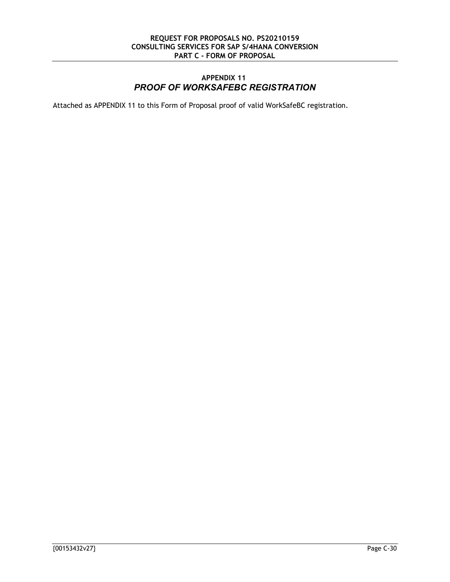# **APPENDIX 11** *PROOF OF WORKSAFEBC REGISTRATION*

Attached as APPENDIX 11 to this Form of Proposal proof of valid WorkSafeBC registration.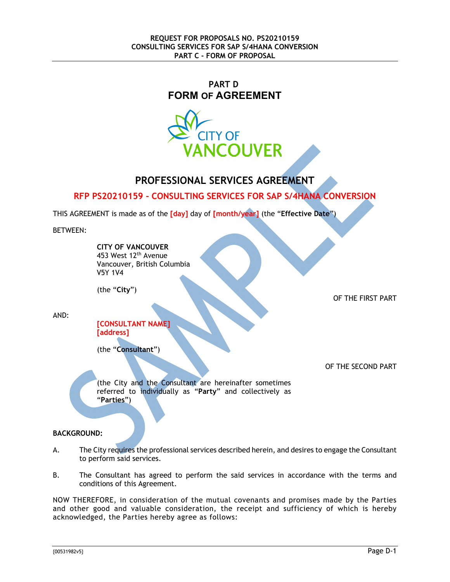# **PART D FORM OF AGREEMENT**



# **PROFESSIONAL SERVICES AGREEMENT**

# **RFP PS20210159 - CONSULTING SERVICES FOR SAP S/4HANA CONVERSION**

THIS AGREEMENT is made as of the **[day]** day of **[month/year]** (the "**Effective Date**")

BETWEEN:

**CITY OF VANCOUVER**  453 West 12th Avenue Vancouver, British Columbia V5Y 1V4

(the "**City**")

OF THE FIRST PART

AND:

**[CONSULTANT NAME] [address]** 

(the "**Consultant**")

OF THE SECOND PART

(the City and the Consultant are hereinafter sometimes referred to individually as "**Party**" and collectively as "**Parties**")

# **BACKGROUND:**

- A. The City requires the professional services described herein, and desires to engage the Consultant to perform said services.
- B. The Consultant has agreed to perform the said services in accordance with the terms and conditions of this Agreement.

NOW THEREFORE, in consideration of the mutual covenants and promises made by the Parties and other good and valuable consideration, the receipt and sufficiency of which is hereby acknowledged, the Parties hereby agree as follows: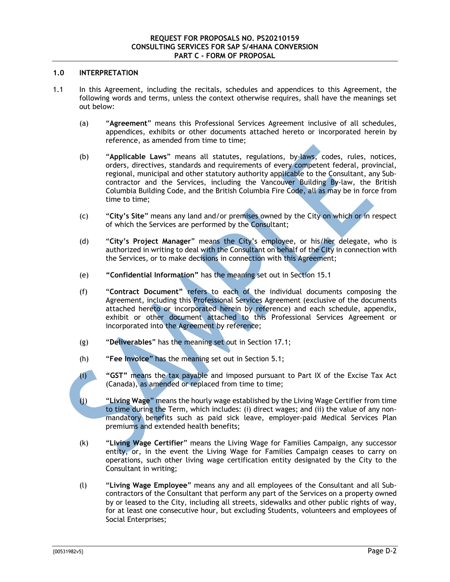# **1.0 INTERPRETATION**

- 1.1 In this Agreement, including the recitals, schedules and appendices to this Agreement, the following words and terms, unless the context otherwise requires, shall have the meanings set out below:
	- (a) "**Agreement**" means this Professional Services Agreement inclusive of all schedules, appendices, exhibits or other documents attached hereto or incorporated herein by reference, as amended from time to time;
	- (b) "**Applicable Laws**" means all statutes, regulations, by-laws, codes, rules, notices, orders, directives, standards and requirements of every competent federal, provincial, regional, municipal and other statutory authority applicable to the Consultant, any Subcontractor and the Services, including the Vancouver Building By-law, the British Columbia Building Code, and the British Columbia Fire Code, all as may be in force from time to time;
	- (c) "**City's Site**" means any land and/or premises owned by the City on which or in respect of which the Services are performed by the Consultant;
	- (d) "**City's Project Manager**" means the City's employee, or his/her delegate, who is authorized in writing to deal with the Consultant on behalf of the City in connection with the Services, or to make decisions in connection with this Agreement;
	- (e) **"Confidential Information"** has the meaning set out in Section 15.1
	- (f) "**Contract Document"** refers to each of the individual documents composing the Agreement, including this Professional Services Agreement (exclusive of the documents attached hereto or incorporated herein by reference) and each schedule, appendix, exhibit or other document attached to this Professional Services Agreement or incorporated into the Agreement by reference;
	- (g) "**Deliverables**" has the meaning set out in Section 17.1;
	- (h) "**Fee Invoice**" has the meaning set out in Section 5.1;
	- (i) **"GST"** means the tax payable and imposed pursuant to Part IX of the Excise Tax Act (Canada), as amended or replaced from time to time;
	- (j) "**Living Wage**" means the hourly wage established by the Living Wage Certifier from time to time during the Term, which includes: (i) direct wages; and (ii) the value of any nonmandatory benefits such as paid sick leave, employer-paid Medical Services Plan premiums and extended health benefits;
	- (k) "**Living Wage Certifier**" means the Living Wage for Families Campaign, any successor entity, or, in the event the Living Wage for Families Campaign ceases to carry on operations, such other living wage certification entity designated by the City to the Consultant in writing;
	- (l) "**Living Wage Employee**" means any and all employees of the Consultant and all Subcontractors of the Consultant that perform any part of the Services on a property owned by or leased to the City, including all streets, sidewalks and other public rights of way, for at least one consecutive hour, but excluding Students, volunteers and employees of Social Enterprises;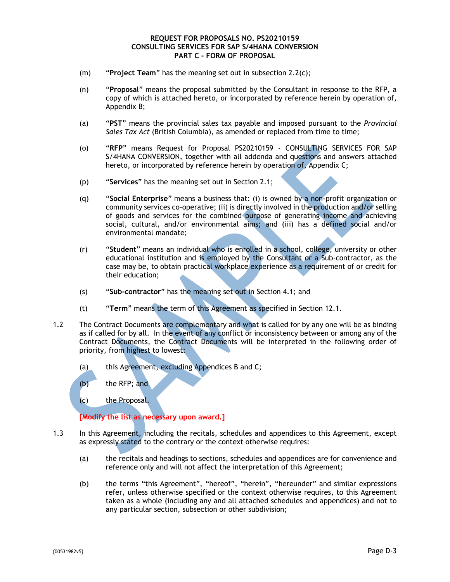- (m) "**Project Team**" has the meaning set out in subsection 2.2(c);
- (n) "**Proposa**l" means the proposal submitted by the Consultant in response to the RFP, a copy of which is attached hereto, or incorporated by reference herein by operation of, Appendix B;
- (a) "**PST**" means the provincial sales tax payable and imposed pursuant to the *Provincial Sales Tax Act* (British Columbia), as amended or replaced from time to time;
- (o) "**RFP**" means Request for Proposal PS20210159 CONSULTING SERVICES FOR SAP S/4HANA CONVERSION, together with all addenda and questions and answers attached hereto, or incorporated by reference herein by operation of, Appendix C;
- (p) "**Services**" has the meaning set out in Section 2.1;
- (q) "**Social Enterprise**" means a business that: (i) is owned by a non-profit organization or community services co-operative; (ii) is directly involved in the production and/or selling of goods and services for the combined purpose of generating income and achieving social, cultural, and/or environmental aims; and (iii) has a defined social and/or environmental mandate;
- (r) "**Student**" means an individual who is enrolled in a school, college, university or other educational institution and is employed by the Consultant or a Sub-contractor, as the case may be, to obtain practical workplace experience as a requirement of or credit for their education;
- (s) "**Sub-contractor**" has the meaning set out in Section 4.1; and
- (t) "**Term**" means the term of this Agreement as specified in Section 12.1.
- 1.2 The Contract Documents are complementary and what is called for by any one will be as binding as if called for by all. In the event of any conflict or inconsistency between or among any of the Contract Documents, the Contract Documents will be interpreted in the following order of priority, from highest to lowest:
	- (a) this Agreement, excluding Appendices B and C;
	- (b) the RFP; and
	- (c) the Proposal.

**[Modify the list as necessary upon award.]** 

- 1.3 In this Agreement, including the recitals, schedules and appendices to this Agreement, except as expressly stated to the contrary or the context otherwise requires:
	- (a) the recitals and headings to sections, schedules and appendices are for convenience and reference only and will not affect the interpretation of this Agreement;
	- (b) the terms "this Agreement", "hereof", "herein", "hereunder" and similar expressions refer, unless otherwise specified or the context otherwise requires, to this Agreement taken as a whole (including any and all attached schedules and appendices) and not to any particular section, subsection or other subdivision;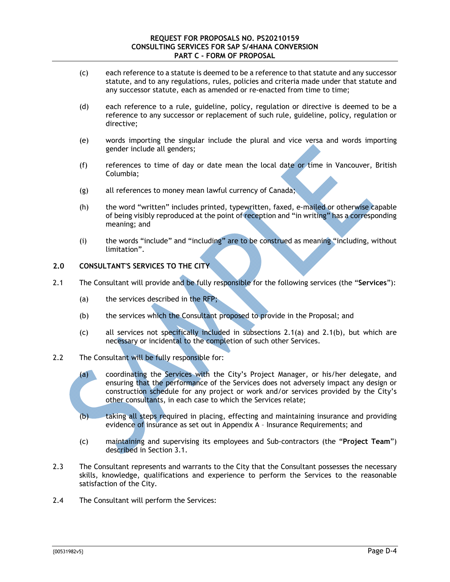- (c) each reference to a statute is deemed to be a reference to that statute and any successor statute, and to any regulations, rules, policies and criteria made under that statute and any successor statute, each as amended or re-enacted from time to time;
- (d) each reference to a rule, guideline, policy, regulation or directive is deemed to be a reference to any successor or replacement of such rule, guideline, policy, regulation or directive;
- (e) words importing the singular include the plural and vice versa and words importing gender include all genders;
- (f) references to time of day or date mean the local date or time in Vancouver, British Columbia;
- (g) all references to money mean lawful currency of Canada;
- (h) the word "written" includes printed, typewritten, faxed, e-mailed or otherwise capable of being visibly reproduced at the point of reception and "in writing" has a corresponding meaning; and
- (i) the words "include" and "including" are to be construed as meaning "including, without limitation".

# **2.0 CONSULTANT'S SERVICES TO THE CITY**

- 2.1 The Consultant will provide and be fully responsible for the following services (the "**Services**"):
	- (a) the services described in the RFP;
	- (b) the services which the Consultant proposed to provide in the Proposal; and
	- (c) all services not specifically included in subsections 2.1(a) and 2.1(b), but which are necessary or incidental to the completion of such other Services.
- 2.2 The Consultant will be fully responsible for:
	- (a) coordinating the Services with the City's Project Manager, or his/her delegate, and ensuring that the performance of the Services does not adversely impact any design or construction schedule for any project or work and/or services provided by the City's other consultants, in each case to which the Services relate;
	- (b) taking all steps required in placing, effecting and maintaining insurance and providing evidence of insurance as set out in Appendix A – Insurance Requirements; and
	- (c) maintaining and supervising its employees and Sub-contractors (the "**Project Team**") described in Section 3.1.
- 2.3 The Consultant represents and warrants to the City that the Consultant possesses the necessary skills, knowledge, qualifications and experience to perform the Services to the reasonable satisfaction of the City.
- 2.4 The Consultant will perform the Services: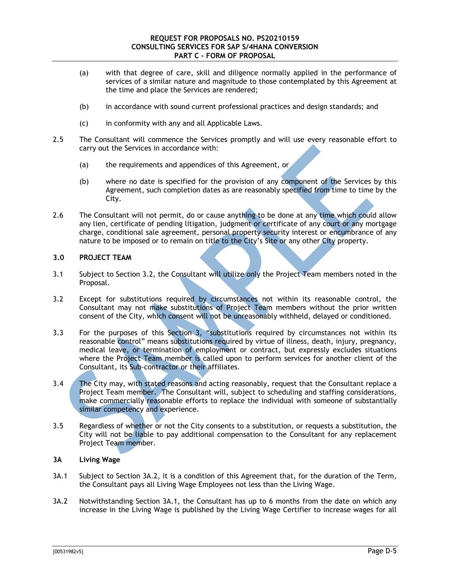- (a) with that degree of care, skill and diligence normally applied in the performance of services of a similar nature and magnitude to those contemplated by this Agreement at the time and place the Services are rendered;
- (b) in accordance with sound current professional practices and design standards; and
- (c) in conformity with any and all Applicable Laws.
- 2.5 The Consultant will commence the Services promptly and will use every reasonable effort to carry out the Services in accordance with:
	- (a) the requirements and appendices of this Agreement, or
	- (b) where no date is specified for the provision of any component of the Services by this Agreement, such completion dates as are reasonably specified from time to time by the City.
- 2.6 The Consultant will not permit, do or cause anything to be done at any time which could allow any lien, certificate of pending litigation, judgment or certificate of any court or any mortgage charge, conditional sale agreement, personal property security interest or encumbrance of any nature to be imposed or to remain on title to the City's Site or any other City property.

#### **3.0 PROJECT TEAM**

- 3.1 Subject to Section 3.2, the Consultant will utilize only the Project Team members noted in the Proposal.
- 3.2 Except for substitutions required by circumstances not within its reasonable control, the Consultant may not make substitutions of Project Team members without the prior written consent of the City, which consent will not be unreasonably withheld, delayed or conditioned.
- 3.3 For the purposes of this Section 3, "substitutions required by circumstances not within its reasonable control" means substitutions required by virtue of illness, death, injury, pregnancy, medical leave, or termination of employment or contract, but expressly excludes situations where the Project Team member is called upon to perform services for another client of the Consultant, its Sub-contractor or their affiliates.
- 3.4 The City may, with stated reasons and acting reasonably, request that the Consultant replace a Project Team member. The Consultant will, subject to scheduling and staffing considerations, make commercially reasonable efforts to replace the individual with someone of substantially similar competency and experience.
- 3.5 Regardless of whether or not the City consents to a substitution, or requests a substitution, the City will not be liable to pay additional compensation to the Consultant for any replacement Project Team member.

#### **3A Living Wage**

- 3A.1 Subject to Section 3A.2, it is a condition of this Agreement that, for the duration of the Term, the Consultant pays all Living Wage Employees not less than the Living Wage.
- 3A.2 Notwithstanding Section 3A.1, the Consultant has up to 6 months from the date on which any increase in the Living Wage is published by the Living Wage Certifier to increase wages for all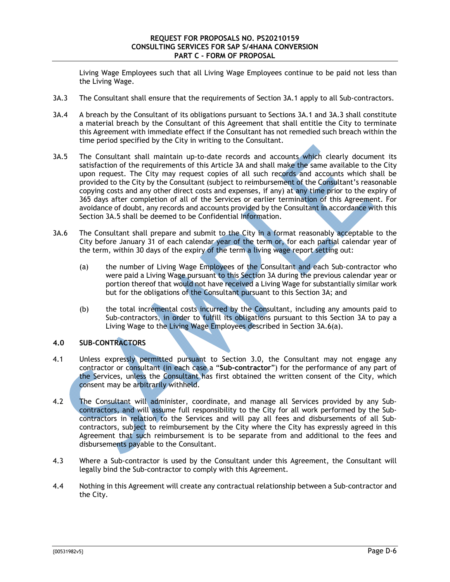Living Wage Employees such that all Living Wage Employees continue to be paid not less than the Living Wage.

- 3A.3 The Consultant shall ensure that the requirements of Section 3A.1 apply to all Sub-contractors.
- 3A.4 A breach by the Consultant of its obligations pursuant to Sections 3A.1 and 3A.3 shall constitute a material breach by the Consultant of this Agreement that shall entitle the City to terminate this Agreement with immediate effect if the Consultant has not remedied such breach within the time period specified by the City in writing to the Consultant.
- 3A.5 The Consultant shall maintain up-to-date records and accounts which clearly document its satisfaction of the requirements of this Article 3A and shall make the same available to the City upon request. The City may request copies of all such records and accounts which shall be provided to the City by the Consultant (subject to reimbursement of the Consultant's reasonable copying costs and any other direct costs and expenses, if any) at any time prior to the expiry of 365 days after completion of all of the Services or earlier termination of this Agreement. For avoidance of doubt, any records and accounts provided by the Consultant in accordance with this Section 3A.5 shall be deemed to be Confidential Information.
- 3A.6 The Consultant shall prepare and submit to the City in a format reasonably acceptable to the City before January 31 of each calendar year of the term or, for each partial calendar year of the term, within 30 days of the expiry of the term a living wage report setting out:
	- (a) the number of Living Wage Employees of the Consultant and each Sub-contractor who were paid a Living Wage pursuant to this Section 3A during the previous calendar year or portion thereof that would not have received a Living Wage for substantially similar work but for the obligations of the Consultant pursuant to this Section 3A; and
	- (b) the total incremental costs incurred by the Consultant, including any amounts paid to Sub-contractors, in order to fulfill its obligations pursuant to this Section 3A to pay a Living Wage to the Living Wage Employees described in Section 3A.6(a).

# **4.0 SUB-CONTRACTORS**

- 4.1 Unless expressly permitted pursuant to Section 3.0, the Consultant may not engage any contractor or consultant (in each case a "**Sub-contractor**") for the performance of any part of the Services, unless the Consultant has first obtained the written consent of the City, which consent may be arbitrarily withheld.
- 4.2 The Consultant will administer, coordinate, and manage all Services provided by any Subcontractors, and will assume full responsibility to the City for all work performed by the Subcontractors in relation to the Services and will pay all fees and disbursements of all Subcontractors, subject to reimbursement by the City where the City has expressly agreed in this Agreement that such reimbursement is to be separate from and additional to the fees and disbursements payable to the Consultant.
- 4.3 Where a Sub-contractor is used by the Consultant under this Agreement, the Consultant will legally bind the Sub-contractor to comply with this Agreement.
- 4.4 Nothing in this Agreement will create any contractual relationship between a Sub-contractor and the City.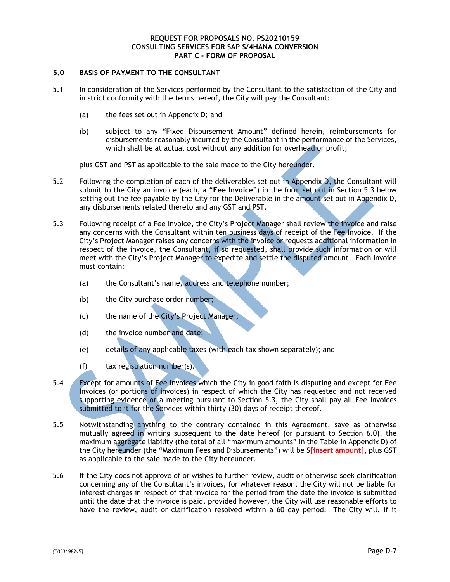# **5.0 BASIS OF PAYMENT TO THE CONSULTANT**

- 5.1 In consideration of the Services performed by the Consultant to the satisfaction of the City and in strict conformity with the terms hereof, the City will pay the Consultant:
	- (a) the fees set out in Appendix D; and
	- (b) subject to any "Fixed Disbursement Amount" defined herein, reimbursements for disbursements reasonably incurred by the Consultant in the performance of the Services, which shall be at actual cost without any addition for overhead or profit;

plus GST and PST as applicable to the sale made to the City hereunder.

- 5.2 Following the completion of each of the deliverables set out in Appendix D, the Consultant will submit to the City an invoice (each, a "**Fee Invoice**") in the form set out in Section 5.3 below setting out the fee payable by the City for the Deliverable in the amount set out in Appendix D, any disbursements related thereto and any GST and PST.
- 5.3 Following receipt of a Fee Invoice, the City's Project Manager shall review the invoice and raise any concerns with the Consultant within ten business days of receipt of the Fee Invoice. If the City's Project Manager raises any concerns with the invoice or requests additional information in respect of the invoice, the Consultant, if so requested, shall provide such information or will meet with the City's Project Manager to expedite and settle the disputed amount. Each invoice must contain:
	- (a) the Consultant's name, address and telephone number;
	- (b) the City purchase order number;
	- (c) the name of the City's Project Manager;
	- (d) the invoice number and date;
	- (e) details of any applicable taxes (with each tax shown separately); and
	- (f) tax registration number(s).
- 5.4 Except for amounts of Fee Invoices which the City in good faith is disputing and except for Fee Invoices (or portions of invoices) in respect of which the City has requested and not received supporting evidence or a meeting pursuant to Section 5.3, the City shall pay all Fee Invoices submitted to it for the Services within thirty (30) days of receipt thereof.
- 5.5 Notwithstanding anything to the contrary contained in this Agreement, save as otherwise mutually agreed in writing subsequent to the date hereof (or pursuant to Section 6.0), the maximum aggregate liability (the total of all "maximum amounts" in the Table in Appendix D) of the City hereunder (the "Maximum Fees and Disbursements") will be \$**[insert amount]**, plus GST as applicable to the sale made to the City hereunder.
- 5.6 If the City does not approve of or wishes to further review, audit or otherwise seek clarification concerning any of the Consultant's invoices, for whatever reason, the City will not be liable for interest charges in respect of that invoice for the period from the date the invoice is submitted until the date that the invoice is paid, provided however, the City will use reasonable efforts to have the review, audit or clarification resolved within a 60 day period. The City will, if it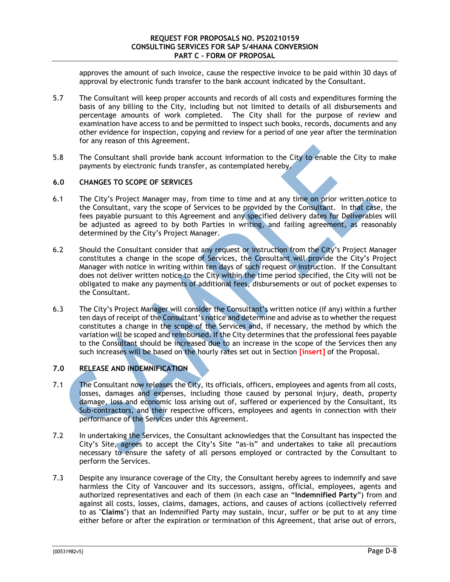approves the amount of such invoice, cause the respective invoice to be paid within 30 days of approval by electronic funds transfer to the bank account indicated by the Consultant.

- 5.7 The Consultant will keep proper accounts and records of all costs and expenditures forming the basis of any billing to the City, including but not limited to details of all disbursements and percentage amounts of work completed. The City shall for the purpose of review and examination have access to and be permitted to inspect such books, records, documents and any other evidence for inspection, copying and review for a period of one year after the termination for any reason of this Agreement.
- 5.8 The Consultant shall provide bank account information to the City to enable the City to make payments by electronic funds transfer, as contemplated hereby.

## **6.0 CHANGES TO SCOPE OF SERVICES**

- 6.1 The City's Project Manager may, from time to time and at any time on prior written notice to the Consultant, vary the scope of Services to be provided by the Consultant. In that case, the fees payable pursuant to this Agreement and any specified delivery dates for Deliverables will be adjusted as agreed to by both Parties in writing, and failing agreement, as reasonably determined by the City's Project Manager.
- 6.2 Should the Consultant consider that any request or instruction from the City's Project Manager constitutes a change in the scope of Services, the Consultant will provide the City's Project Manager with notice in writing within ten days of such request or instruction. If the Consultant does not deliver written notice to the City within the time period specified, the City will not be obligated to make any payments of additional fees, disbursements or out of pocket expenses to the Consultant.
- 6.3 The City's Project Manager will consider the Consultant's written notice (if any) within a further ten days of receipt of the Consultant's notice and determine and advise as to whether the request constitutes a change in the scope of the Services and, if necessary, the method by which the variation will be scoped and reimbursed. If the City determines that the professional fees payable to the Consultant should be increased due to an increase in the scope of the Services then any such increases will be based on the hourly rates set out in Section **[insert]** of the Proposal.

# **7.0 RELEASE AND INDEMNIFICATION**

- 7.1 The Consultant now releases the City, its officials, officers, employees and agents from all costs, losses, damages and expenses, including those caused by personal injury, death, property damage, loss and economic loss arising out of, suffered or experienced by the Consultant, its Sub-contractors, and their respective officers, employees and agents in connection with their performance of the Services under this Agreement.
- 7.2 In undertaking the Services, the Consultant acknowledges that the Consultant has inspected the City's Site, agrees to accept the City's Site "as-is" and undertakes to take all precautions necessary to ensure the safety of all persons employed or contracted by the Consultant to perform the Services.
- 7.3 Despite any insurance coverage of the City, the Consultant hereby agrees to indemnify and save harmless the City of Vancouver and its successors, assigns, official, employees, agents and authorized representatives and each of them (in each case an "**Indemnified Party**") from and against all costs, losses, claims, damages, actions, and causes of actions (collectively referred to as "**Claims**") that an Indemnified Party may sustain, incur, suffer or be put to at any time either before or after the expiration or termination of this Agreement, that arise out of errors,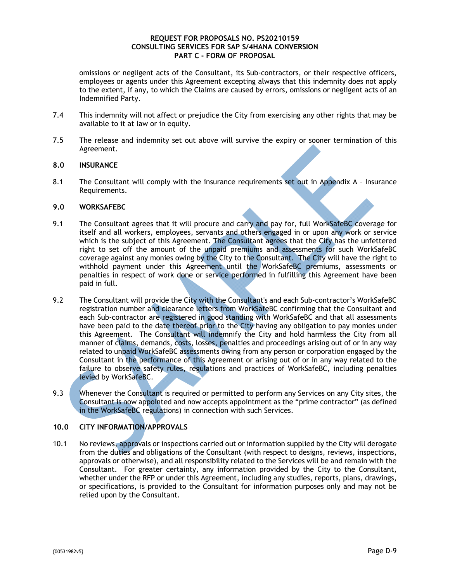omissions or negligent acts of the Consultant, its Sub-contractors, or their respective officers, employees or agents under this Agreement excepting always that this indemnity does not apply to the extent, if any, to which the Claims are caused by errors, omissions or negligent acts of an Indemnified Party.

- 7.4 This indemnity will not affect or prejudice the City from exercising any other rights that may be available to it at law or in equity.
- 7.5 The release and indemnity set out above will survive the expiry or sooner termination of this Agreement.

# **8.0 INSURANCE**

8.1 The Consultant will comply with the insurance requirements set out in Appendix A – Insurance Requirements.

## **9.0 WORKSAFEBC**

- 9.1 The Consultant agrees that it will procure and carry and pay for, full WorkSafeBC coverage for itself and all workers, employees, servants and others engaged in or upon any work or service which is the subject of this Agreement. The Consultant agrees that the City has the unfettered right to set off the amount of the unpaid premiums and assessments for such WorkSafeBC coverage against any monies owing by the City to the Consultant. The City will have the right to withhold payment under this Agreement until the WorkSafeBC premiums, assessments or penalties in respect of work done or service performed in fulfilling this Agreement have been paid in full.
- 9.2 The Consultant will provide the City with the Consultant's and each Sub-contractor's WorkSafeBC registration number and clearance letters from WorkSafeBC confirming that the Consultant and each Sub-contractor are registered in good standing with WorkSafeBC and that all assessments have been paid to the date thereof prior to the City having any obligation to pay monies under this Agreement. The Consultant will indemnify the City and hold harmless the City from all manner of claims, demands, costs, losses, penalties and proceedings arising out of or in any way related to unpaid WorkSafeBC assessments owing from any person or corporation engaged by the Consultant in the performance of this Agreement or arising out of or in any way related to the failure to observe safety rules, regulations and practices of WorkSafeBC, including penalties levied by WorkSafeBC.
- 9.3 Whenever the Consultant is required or permitted to perform any Services on any City sites, the Consultant is now appointed and now accepts appointment as the "prime contractor" (as defined in the WorkSafeBC regulations) in connection with such Services.

# **10.0 CITY INFORMATION/APPROVALS**

10.1 No reviews, approvals or inspections carried out or information supplied by the City will derogate from the duties and obligations of the Consultant (with respect to designs, reviews, inspections, approvals or otherwise), and all responsibility related to the Services will be and remain with the Consultant. For greater certainty, any information provided by the City to the Consultant, whether under the RFP or under this Agreement, including any studies, reports, plans, drawings, or specifications, is provided to the Consultant for information purposes only and may not be relied upon by the Consultant.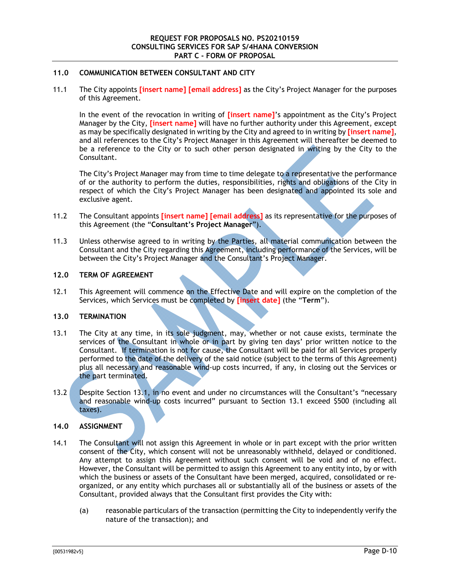# **11.0 COMMUNICATION BETWEEN CONSULTANT AND CITY**

11.1 The City appoints **[insert name] [email address]** as the City's Project Manager for the purposes of this Agreement.

In the event of the revocation in writing of **[insert name]**'s appointment as the City's Project Manager by the City, **[insert name]** will have no further authority under this Agreement, except as may be specifically designated in writing by the City and agreed to in writing by **[insert name]**, and all references to the City's Project Manager in this Agreement will thereafter be deemed to be a reference to the City or to such other person designated in writing by the City to the Consultant.

The City's Project Manager may from time to time delegate to a representative the performance of or the authority to perform the duties, responsibilities, rights and obligations of the City in respect of which the City's Project Manager has been designated and appointed its sole and exclusive agent.

- 11.2 The Consultant appoints **[insert name] [email address]** as its representative for the purposes of this Agreement (the "**Consultant's Project Manager**").
- 11.3 Unless otherwise agreed to in writing by the Parties, all material communication between the Consultant and the City regarding this Agreement, including performance of the Services, will be between the City's Project Manager and the Consultant's Project Manager.

## **12.0 TERM OF AGREEMENT**

12.1 This Agreement will commence on the Effective Date and will expire on the completion of the Services, which Services must be completed by **[insert date]** (the "**Term**").

## **13.0 TERMINATION**

- 13.1 The City at any time, in its sole judgment, may, whether or not cause exists, terminate the services of the Consultant in whole or in part by giving ten days' prior written notice to the Consultant. If termination is not for cause, the Consultant will be paid for all Services properly performed to the date of the delivery of the said notice (subject to the terms of this Agreement) plus all necessary and reasonable wind-up costs incurred, if any, in closing out the Services or the part terminated.
- 13.2 Despite Section 13.1, in no event and under no circumstances will the Consultant's "necessary and reasonable wind-up costs incurred" pursuant to Section 13.1 exceed \$500 (including all taxes).

# **14.0 ASSIGNMENT**

- 14.1 The Consultant will not assign this Agreement in whole or in part except with the prior written consent of the City, which consent will not be unreasonably withheld, delayed or conditioned. Any attempt to assign this Agreement without such consent will be void and of no effect. However, the Consultant will be permitted to assign this Agreement to any entity into, by or with which the business or assets of the Consultant have been merged, acquired, consolidated or reorganized, or any entity which purchases all or substantially all of the business or assets of the Consultant, provided always that the Consultant first provides the City with:
	- (a) reasonable particulars of the transaction (permitting the City to independently verify the nature of the transaction); and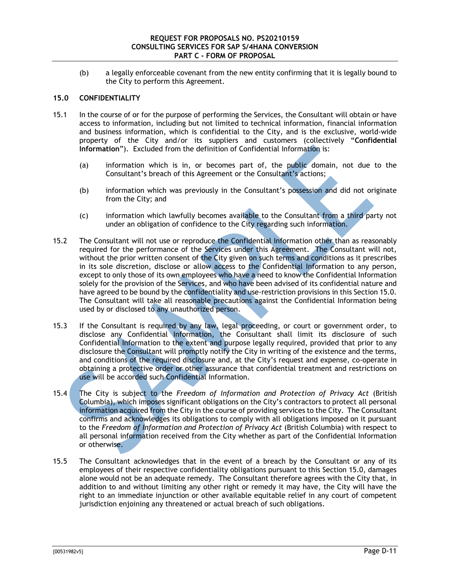(b) a legally enforceable covenant from the new entity confirming that it is legally bound to the City to perform this Agreement.

## **15.0 CONFIDENTIALITY**

- 15.1 In the course of or for the purpose of performing the Services, the Consultant will obtain or have access to information, including but not limited to technical information, financial information and business information, which is confidential to the City, and is the exclusive, world-wide property of the City and/or its suppliers and customers (collectively "**Confidential Information**"). Excluded from the definition of Confidential Information is:
	- (a) information which is in, or becomes part of, the public domain, not due to the Consultant's breach of this Agreement or the Consultant's actions;
	- (b) information which was previously in the Consultant's possession and did not originate from the City; and
	- (c) information which lawfully becomes available to the Consultant from a third party not under an obligation of confidence to the City regarding such information.
- 15.2 The Consultant will not use or reproduce the Confidential Information other than as reasonably required for the performance of the Services under this Agreement. The Consultant will not, without the prior written consent of the City given on such terms and conditions as it prescribes in its sole discretion, disclose or allow access to the Confidential Information to any person, except to only those of its own employees who have a need to know the Confidential Information solely for the provision of the Services, and who have been advised of its confidential nature and have agreed to be bound by the confidentiality and use-restriction provisions in this Section 15.0. The Consultant will take all reasonable precautions against the Confidential Information being used by or disclosed to any unauthorized person.
- 15.3 If the Consultant is required by any law, legal proceeding, or court or government order, to disclose any Confidential Information, the Consultant shall limit its disclosure of such Confidential Information to the extent and purpose legally required, provided that prior to any disclosure the Consultant will promptly notify the City in writing of the existence and the terms, and conditions of the required disclosure and, at the City's request and expense, co-operate in obtaining a protective order or other assurance that confidential treatment and restrictions on use will be accorded such Confidential Information.
- 15.4 The City is subject to the *Freedom of Information and Protection of Privacy Act* (British Columbia), which imposes significant obligations on the City's contractors to protect all personal information acquired from the City in the course of providing services to the City. The Consultant confirms and acknowledges its obligations to comply with all obligations imposed on it pursuant to the *Freedom of Information and Protection of Privacy Act* (British Columbia) with respect to all personal information received from the City whether as part of the Confidential Information or otherwise.
- 15.5 The Consultant acknowledges that in the event of a breach by the Consultant or any of its employees of their respective confidentiality obligations pursuant to this Section 15.0, damages alone would not be an adequate remedy. The Consultant therefore agrees with the City that, in addition to and without limiting any other right or remedy it may have, the City will have the right to an immediate injunction or other available equitable relief in any court of competent jurisdiction enjoining any threatened or actual breach of such obligations.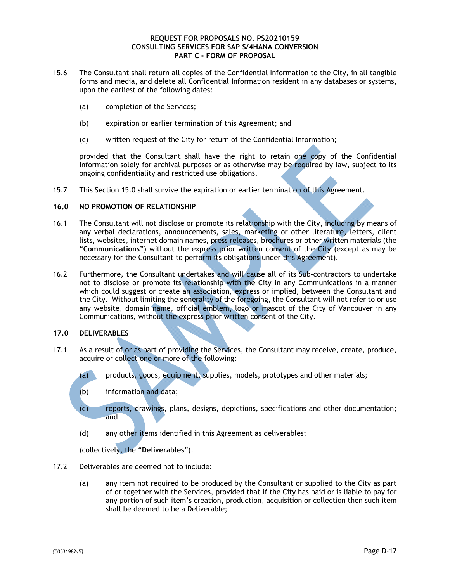- 15.6 The Consultant shall return all copies of the Confidential Information to the City, in all tangible forms and media, and delete all Confidential Information resident in any databases or systems, upon the earliest of the following dates:
	- (a) completion of the Services;
	- (b) expiration or earlier termination of this Agreement; and
	- (c) written request of the City for return of the Confidential Information;

provided that the Consultant shall have the right to retain one copy of the Confidential Information solely for archival purposes or as otherwise may be required by law, subject to its ongoing confidentiality and restricted use obligations.

15.7 This Section 15.0 shall survive the expiration or earlier termination of this Agreement.

## **16.0 NO PROMOTION OF RELATIONSHIP**

- 16.1 The Consultant will not disclose or promote its relationship with the City, including by means of any verbal declarations, announcements, sales, marketing or other literature, letters, client lists, websites, internet domain names, press releases, brochures or other written materials (the "**Communications**") without the express prior written consent of the City (except as may be necessary for the Consultant to perform its obligations under this Agreement).
- 16.2 Furthermore, the Consultant undertakes and will cause all of its Sub-contractors to undertake not to disclose or promote its relationship with the City in any Communications in a manner which could suggest or create an association, express or implied, between the Consultant and the City. Without limiting the generality of the foregoing, the Consultant will not refer to or use any website, domain name, official emblem, logo or mascot of the City of Vancouver in any Communications, without the express prior written consent of the City.

#### **17.0 DELIVERABLES**

- 17.1 As a result of or as part of providing the Services, the Consultant may receive, create, produce, acquire or collect one or more of the following:
	- (a) products, goods, equipment, supplies, models, prototypes and other materials;
	- (b) information and data;
	- (c) reports, drawings, plans, designs, depictions, specifications and other documentation; and
	- (d) any other items identified in this Agreement as deliverables;

(collectively, the "**Deliverables**").

- 17.2 Deliverables are deemed not to include:
	- (a) any item not required to be produced by the Consultant or supplied to the City as part of or together with the Services, provided that if the City has paid or is liable to pay for any portion of such item's creation, production, acquisition or collection then such item shall be deemed to be a Deliverable;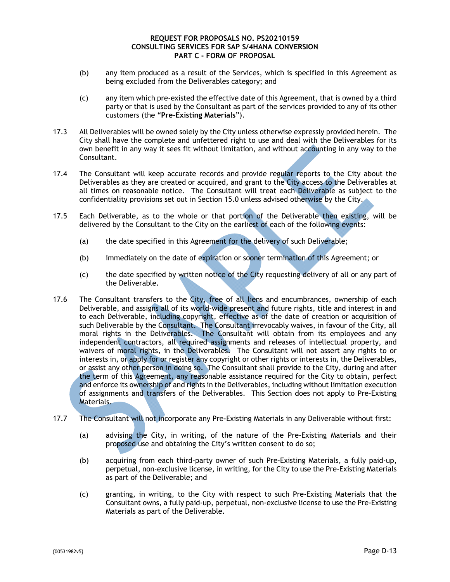- (b) any item produced as a result of the Services, which is specified in this Agreement as being excluded from the Deliverables category; and
- (c) any item which pre-existed the effective date of this Agreement, that is owned by a third party or that is used by the Consultant as part of the services provided to any of its other customers (the "**Pre-Existing Materials**").
- 17.3 All Deliverables will be owned solely by the City unless otherwise expressly provided herein. The City shall have the complete and unfettered right to use and deal with the Deliverables for its own benefit in any way it sees fit without limitation, and without accounting in any way to the Consultant.
- 17.4 The Consultant will keep accurate records and provide regular reports to the City about the Deliverables as they are created or acquired, and grant to the City access to the Deliverables at all times on reasonable notice. The Consultant will treat each Deliverable as subject to the confidentiality provisions set out in Section 15.0 unless advised otherwise by the City.
- 17.5 Each Deliverable, as to the whole or that portion of the Deliverable then existing, will be delivered by the Consultant to the City on the earliest of each of the following events:
	- (a) the date specified in this Agreement for the delivery of such Deliverable;
	- (b) immediately on the date of expiration or sooner termination of this Agreement; or
	- (c) the date specified by written notice of the City requesting delivery of all or any part of the Deliverable.
- 17.6 The Consultant transfers to the City, free of all liens and encumbrances, ownership of each Deliverable, and assigns all of its world-wide present and future rights, title and interest in and to each Deliverable, including copyright, effective as of the date of creation or acquisition of such Deliverable by the Consultant. The Consultant irrevocably waives, in favour of the City, all moral rights in the Deliverables. The Consultant will obtain from its employees and any independent contractors, all required assignments and releases of intellectual property, and waivers of moral rights, in the Deliverables. The Consultant will not assert any rights to or interests in, or apply for or register any copyright or other rights or interests in, the Deliverables, or assist any other person in doing so. The Consultant shall provide to the City, during and after the term of this Agreement, any reasonable assistance required for the City to obtain, perfect and enforce its ownership of and rights in the Deliverables, including without limitation execution of assignments and transfers of the Deliverables. This Section does not apply to Pre-Existing Materials.
- 17.7 The Consultant will not incorporate any Pre-Existing Materials in any Deliverable without first:
	- (a) advising the City, in writing, of the nature of the Pre-Existing Materials and their proposed use and obtaining the City's written consent to do so;
	- (b) acquiring from each third-party owner of such Pre-Existing Materials, a fully paid-up, perpetual, non-exclusive license, in writing, for the City to use the Pre-Existing Materials as part of the Deliverable; and
	- (c) granting, in writing, to the City with respect to such Pre-Existing Materials that the Consultant owns, a fully paid-up, perpetual, non-exclusive license to use the Pre-Existing Materials as part of the Deliverable.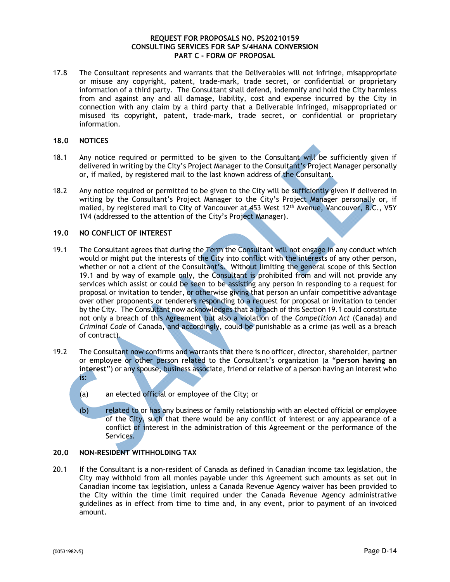17.8 The Consultant represents and warrants that the Deliverables will not infringe, misappropriate or misuse any copyright, patent, trade-mark, trade secret, or confidential or proprietary information of a third party. The Consultant shall defend, indemnify and hold the City harmless from and against any and all damage, liability, cost and expense incurred by the City in connection with any claim by a third party that a Deliverable infringed, misappropriated or misused its copyright, patent, trade-mark, trade secret, or confidential or proprietary information.

### **18.0 NOTICES**

- 18.1 Any notice required or permitted to be given to the Consultant will be sufficiently given if delivered in writing by the City's Project Manager to the Consultant's Project Manager personally or, if mailed, by registered mail to the last known address of the Consultant.
- 18.2 Any notice required or permitted to be given to the City will be sufficiently given if delivered in writing by the Consultant's Project Manager to the City's Project Manager personally or, if mailed, by registered mail to City of Vancouver at  $453$  West  $12<sup>th</sup>$  Avenue, Vancouver, B.C., V5Y 1V4 (addressed to the attention of the City's Project Manager).

## **19.0 NO CONFLICT OF INTEREST**

- 19.1 The Consultant agrees that during the Term the Consultant will not engage in any conduct which would or might put the interests of the City into conflict with the interests of any other person, whether or not a client of the Consultant's. Without limiting the general scope of this Section 19.1 and by way of example only, the Consultant is prohibited from and will not provide any services which assist or could be seen to be assisting any person in responding to a request for proposal or invitation to tender, or otherwise giving that person an unfair competitive advantage over other proponents or tenderers responding to a request for proposal or invitation to tender by the City. The Consultant now acknowledges that a breach of this Section 19.1 could constitute not only a breach of this Agreement but also a violation of the *Competition Act* (Canada) and *Criminal Code* of Canada, and accordingly, could be punishable as a crime (as well as a breach of contract).
- 19.2 The Consultant now confirms and warrants that there is no officer, director, shareholder, partner or employee or other person related to the Consultant's organization (a "**person having an interest**") or any spouse, business associate, friend or relative of a person having an interest who is:
	- (a) an elected official or employee of the City; or
	- (b) related to or has any business or family relationship with an elected official or employee of the City, such that there would be any conflict of interest or any appearance of a conflict of interest in the administration of this Agreement or the performance of the Services.

# **20.0 NON-RESIDENT WITHHOLDING TAX**

20.1 If the Consultant is a non-resident of Canada as defined in Canadian income tax legislation, the City may withhold from all monies payable under this Agreement such amounts as set out in Canadian income tax legislation, unless a Canada Revenue Agency waiver has been provided to the City within the time limit required under the Canada Revenue Agency administrative guidelines as in effect from time to time and, in any event, prior to payment of an invoiced amount.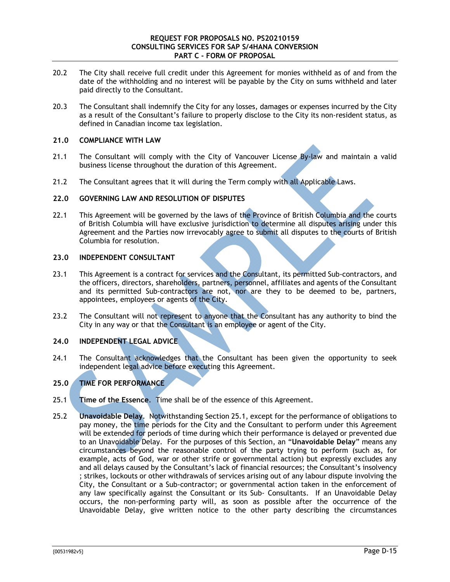#### **REQUEST FOR PROPOSALS NO. PS20210159 CONSULTING SERVICES FOR SAP S/4HANA CONVERSION PART C - FORM OF PROPOSAL**

- 20.2 The City shall receive full credit under this Agreement for monies withheld as of and from the date of the withholding and no interest will be payable by the City on sums withheld and later paid directly to the Consultant.
- 20.3 The Consultant shall indemnify the City for any losses, damages or expenses incurred by the City as a result of the Consultant's failure to properly disclose to the City its non-resident status, as defined in Canadian income tax legislation.

### **21.0 COMPLIANCE WITH LAW**

- 21.1 The Consultant will comply with the City of Vancouver License By-law and maintain a valid business license throughout the duration of this Agreement.
- 21.2 The Consultant agrees that it will during the Term comply with all Applicable Laws.

### **22.0 GOVERNING LAW AND RESOLUTION OF DISPUTES**

22.1 This Agreement will be governed by the laws of the Province of British Columbia and the courts of British Columbia will have exclusive jurisdiction to determine all disputes arising under this Agreement and the Parties now irrevocably agree to submit all disputes to the courts of British Columbia for resolution.

## **23.0 INDEPENDENT CONSULTANT**

- 23.1 This Agreement is a contract for services and the Consultant, its permitted Sub-contractors, and the officers, directors, shareholders, partners, personnel, affiliates and agents of the Consultant and its permitted Sub-contractors are not, nor are they to be deemed to be, partners, appointees, employees or agents of the City.
- 23.2 The Consultant will not represent to anyone that the Consultant has any authority to bind the City in any way or that the Consultant is an employee or agent of the City.

### **24.0 INDEPENDENT LEGAL ADVICE**

24.1 The Consultant acknowledges that the Consultant has been given the opportunity to seek independent legal advice before executing this Agreement.

## **25.0 TIME FOR PERFORMANCE**

- 25.1 **Time of the Essence**. Time shall be of the essence of this Agreement.
- 25.2 **Unavoidable Delay**. Notwithstanding Section 25.1, except for the performance of obligations to pay money, the time periods for the City and the Consultant to perform under this Agreement will be extended for periods of time during which their performance is delayed or prevented due to an Unavoidable Delay. For the purposes of this Section, an "**Unavoidable Delay**" means any circumstances beyond the reasonable control of the party trying to perform (such as, for example, acts of God, war or other strife or governmental action) but expressly excludes any and all delays caused by the Consultant's lack of financial resources; the Consultant's insolvency ; strikes, lockouts or other withdrawals of services arising out of any labour dispute involving the City, the Consultant or a Sub-contractor; or governmental action taken in the enforcement of any law specifically against the Consultant or its Sub- Consultants. If an Unavoidable Delay occurs, the non-performing party will, as soon as possible after the occurrence of the Unavoidable Delay, give written notice to the other party describing the circumstances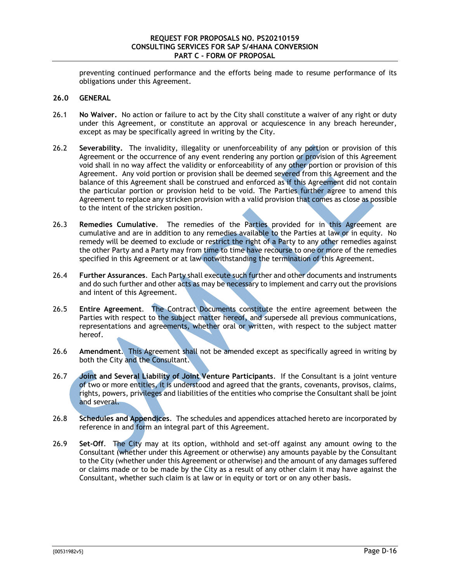preventing continued performance and the efforts being made to resume performance of its obligations under this Agreement.

## **26.0 GENERAL**

- 26.1 **No Waiver.** No action or failure to act by the City shall constitute a waiver of any right or duty under this Agreement, or constitute an approval or acquiescence in any breach hereunder, except as may be specifically agreed in writing by the City.
- 26.2 **Severability.** The invalidity, illegality or unenforceability of any portion or provision of this Agreement or the occurrence of any event rendering any portion or provision of this Agreement void shall in no way affect the validity or enforceability of any other portion or provision of this Agreement. Any void portion or provision shall be deemed severed from this Agreement and the balance of this Agreement shall be construed and enforced as if this Agreement did not contain the particular portion or provision held to be void. The Parties further agree to amend this Agreement to replace any stricken provision with a valid provision that comes as close as possible to the intent of the stricken position.
- 26.3 **Remedies Cumulative**. The remedies of the Parties provided for in this Agreement are cumulative and are in addition to any remedies available to the Parties at law or in equity. No remedy will be deemed to exclude or restrict the right of a Party to any other remedies against the other Party and a Party may from time to time have recourse to one or more of the remedies specified in this Agreement or at law notwithstanding the termination of this Agreement.
- 26.4 **Further Assurances**. Each Party shall execute such further and other documents and instruments and do such further and other acts as may be necessary to implement and carry out the provisions and intent of this Agreement.
- 26.5 **Entire Agreement**. The Contract Documents constitute the entire agreement between the Parties with respect to the subject matter hereof, and supersede all previous communications, representations and agreements, whether oral or written, with respect to the subject matter hereof.
- 26.6 **Amendment**. This Agreement shall not be amended except as specifically agreed in writing by both the City and the Consultant.
- 26.7 **Joint and Several Liability of Joint Venture Participants**. If the Consultant is a joint venture of two or more entities, it is understood and agreed that the grants, covenants, provisos, claims, rights, powers, privileges and liabilities of the entities who comprise the Consultant shall be joint and several.
- 26.8 **Schedules and Appendices**. The schedules and appendices attached hereto are incorporated by reference in and form an integral part of this Agreement.
- 26.9 **Set-Off**. The City may at its option, withhold and set-off against any amount owing to the Consultant (whether under this Agreement or otherwise) any amounts payable by the Consultant to the City (whether under this Agreement or otherwise) and the amount of any damages suffered or claims made or to be made by the City as a result of any other claim it may have against the Consultant, whether such claim is at law or in equity or tort or on any other basis.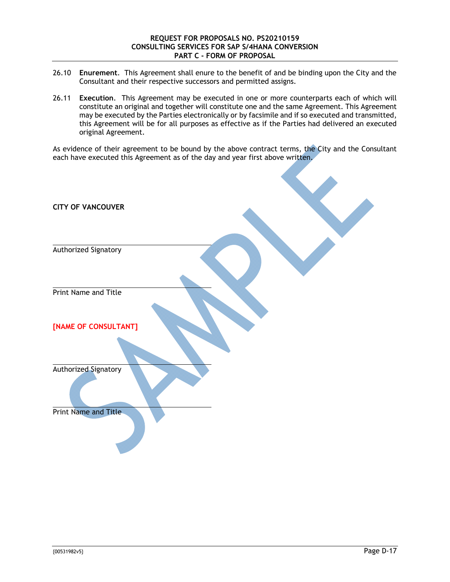#### **REQUEST FOR PROPOSALS NO. PS20210159 CONSULTING SERVICES FOR SAP S/4HANA CONVERSION PART C - FORM OF PROPOSAL**

- 26.10 **Enurement**. This Agreement shall enure to the benefit of and be binding upon the City and the Consultant and their respective successors and permitted assigns.
- 26.11 **Execution**. This Agreement may be executed in one or more counterparts each of which will constitute an original and together will constitute one and the same Agreement. This Agreement may be executed by the Parties electronically or by facsimile and if so executed and transmitted, this Agreement will be for all purposes as effective as if the Parties had delivered an executed original Agreement.

As evidence of their agreement to be bound by the above contract terms, the City and the Consultant each have executed this Agreement as of the day and year first above written.

| <b>CITY OF VANCOUVER</b>    |  |  |
|-----------------------------|--|--|
| Authorized Signatory        |  |  |
| Print Name and Title        |  |  |
| [NAME OF CONSULTANT]        |  |  |
| <b>Authorized Signatory</b> |  |  |
|                             |  |  |
| Print Name and Title        |  |  |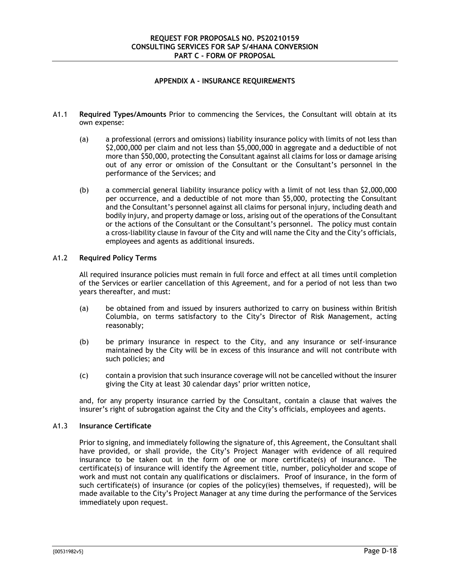### **APPENDIX A - INSURANCE REQUIREMENTS**

- A1.1 **Required Types/Amounts** Prior to commencing the Services, the Consultant will obtain at its own expense:
	- (a) a professional (errors and omissions) liability insurance policy with limits of not less than \$2,000,000 per claim and not less than \$5,000,000 in aggregate and a deductible of not more than \$50,000, protecting the Consultant against all claims for loss or damage arising out of any error or omission of the Consultant or the Consultant's personnel in the performance of the Services; and
	- (b) a commercial general liability insurance policy with a limit of not less than \$2,000,000 per occurrence, and a deductible of not more than \$5,000, protecting the Consultant and the Consultant's personnel against all claims for personal injury, including death and bodily injury, and property damage or loss, arising out of the operations of the Consultant or the actions of the Consultant or the Consultant's personnel. The policy must contain a cross-liability clause in favour of the City and will name the City and the City's officials, employees and agents as additional insureds.

#### A1.2 **Required Policy Terms**

All required insurance policies must remain in full force and effect at all times until completion of the Services or earlier cancellation of this Agreement, and for a period of not less than two years thereafter, and must:

- (a) be obtained from and issued by insurers authorized to carry on business within British Columbia, on terms satisfactory to the City's Director of Risk Management, acting reasonably;
- (b) be primary insurance in respect to the City, and any insurance or self-insurance maintained by the City will be in excess of this insurance and will not contribute with such policies; and
- (c) contain a provision that such insurance coverage will not be cancelled without the insurer giving the City at least 30 calendar days' prior written notice,

and, for any property insurance carried by the Consultant, contain a clause that waives the insurer's right of subrogation against the City and the City's officials, employees and agents.

#### A1.3 **Insurance Certificate**

Prior to signing, and immediately following the signature of, this Agreement, the Consultant shall have provided, or shall provide, the City's Project Manager with evidence of all required insurance to be taken out in the form of one or more certificate(s) of insurance. The certificate(s) of insurance will identify the Agreement title, number, policyholder and scope of work and must not contain any qualifications or disclaimers. Proof of insurance, in the form of such certificate(s) of insurance (or copies of the policy(ies) themselves, if requested), will be made available to the City's Project Manager at any time during the performance of the Services immediately upon request.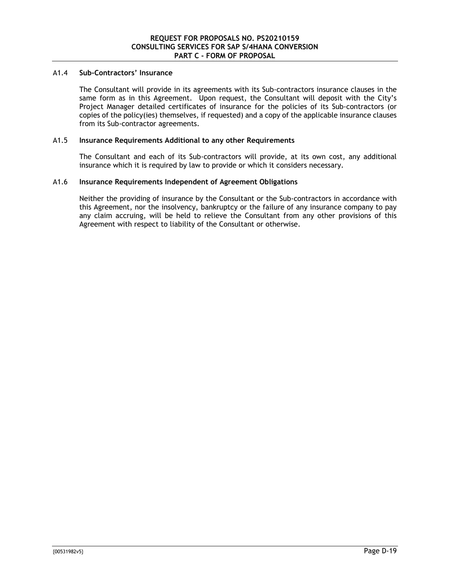## A1.4 **Sub-Contractors' Insurance**

The Consultant will provide in its agreements with its Sub-contractors insurance clauses in the same form as in this Agreement. Upon request, the Consultant will deposit with the City's Project Manager detailed certificates of insurance for the policies of its Sub-contractors (or copies of the policy(ies) themselves, if requested) and a copy of the applicable insurance clauses from its Sub-contractor agreements.

#### A1.5 **Insurance Requirements Additional to any other Requirements**

The Consultant and each of its Sub-contractors will provide, at its own cost, any additional insurance which it is required by law to provide or which it considers necessary.

#### A1.6 **Insurance Requirements Independent of Agreement Obligations**

Neither the providing of insurance by the Consultant or the Sub-contractors in accordance with this Agreement, nor the insolvency, bankruptcy or the failure of any insurance company to pay any claim accruing, will be held to relieve the Consultant from any other provisions of this Agreement with respect to liability of the Consultant or otherwise.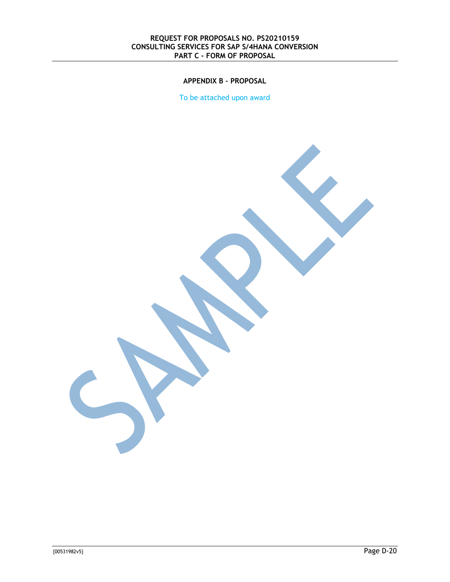# **APPENDIX B – PROPOSAL**

To be attached upon award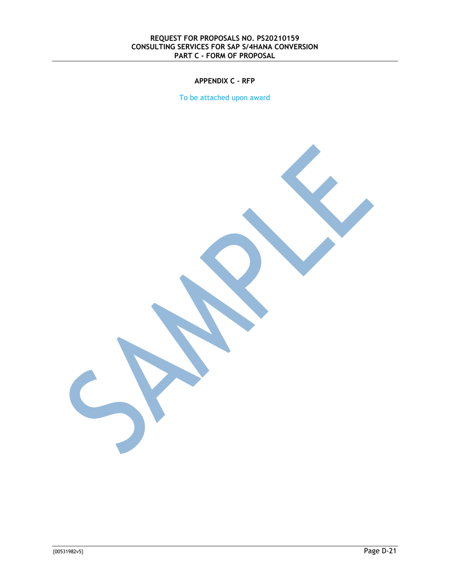## **APPENDIX C – RFP**

To be attached upon award